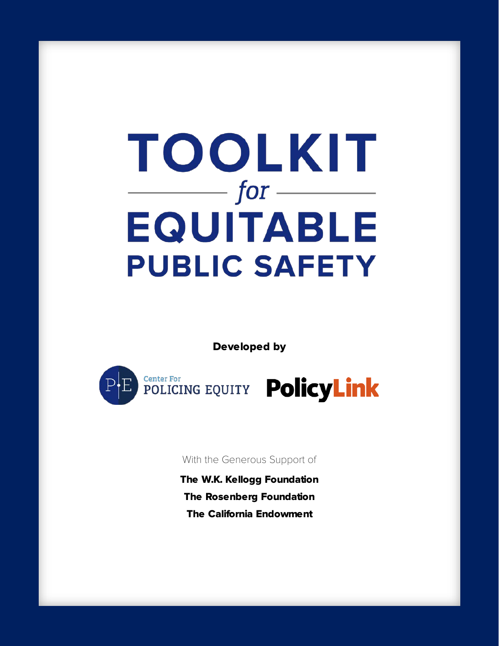# TOOLKIT — for — **EQUITABLE PUBLIC SAFETY**

Developed by



With the Generous Support of

The W.K. Kellogg Foundation The Rosenberg Foundation The California Endowment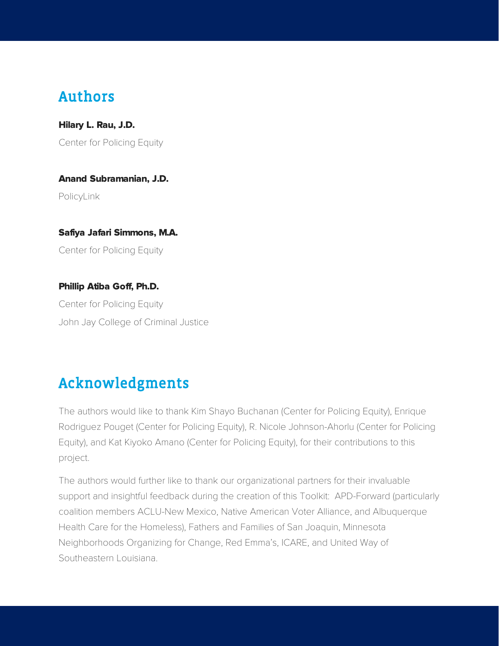# Authors

Hilary L. Rau, J.D. Center for Policing Equity

Anand Subramanian, J.D. PolicyLink

Safiya Jafari Simmons, M.A. Center for Policing Equity

Phillip Atiba Goff, Ph.D. Center for Policing Equity John Jay College of Criminal Justice

# Acknowledgments

The authors would like to thank Kim Shayo Buchanan (Center for Policing Equity), Enrique Rodriguez Pouget (Center for Policing Equity), R. Nicole Johnson-Ahorlu (Center for Policing Equity), and Kat Kiyoko Amano (Center for Policing Equity), for their contributions to this project.

The authors would further like to thank our organizational partners for their invaluable support and insightful feedback during the creation of this Toolkit: APD-Forward (particularly coalition members ACLU-New Mexico, Native American Voter Alliance, and Albuquerque Health Care for the Homeless), Fathers and Families of San Joaquin, Minnesota Neighborhoods Organizing for Change, Red Emma's, ICARE, and United Way of Southeastern Louisiana.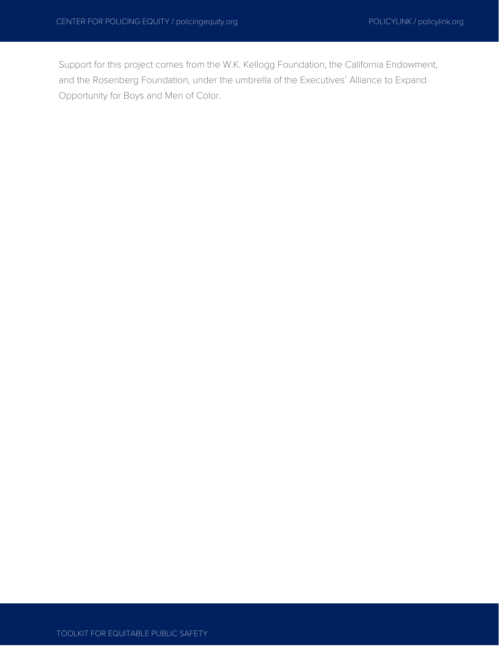Support for this project comes from the W.K. Kellogg Foundation, the California Endowment, and the Rosenberg Foundation, under the umbrella of the Executives' Alliance to Expand Opportunity for Boys and Men of Color.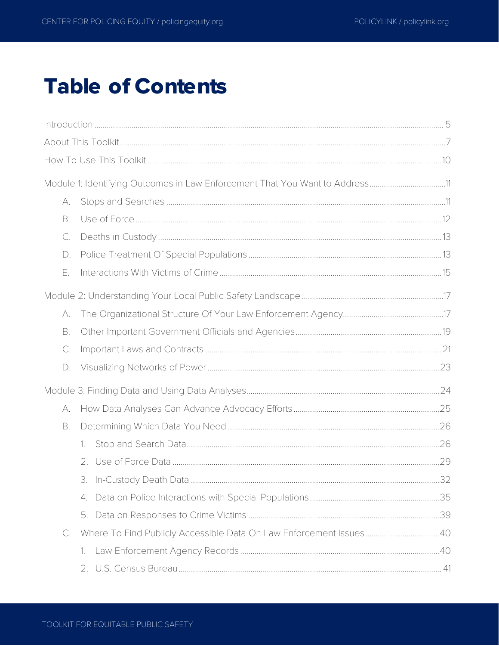# **Table of Contents**

| А.            |        |  |
|---------------|--------|--|
| B.            |        |  |
| C.            |        |  |
| D.            |        |  |
| Ε.            |        |  |
|               |        |  |
| А.            |        |  |
| B.            |        |  |
| C.            |        |  |
| D.            |        |  |
|               |        |  |
| A.            |        |  |
| Β.            |        |  |
|               | $\sim$ |  |
|               |        |  |
|               | 3.     |  |
|               |        |  |
|               |        |  |
| $\mathsf{C}.$ |        |  |
|               | 1.     |  |
|               |        |  |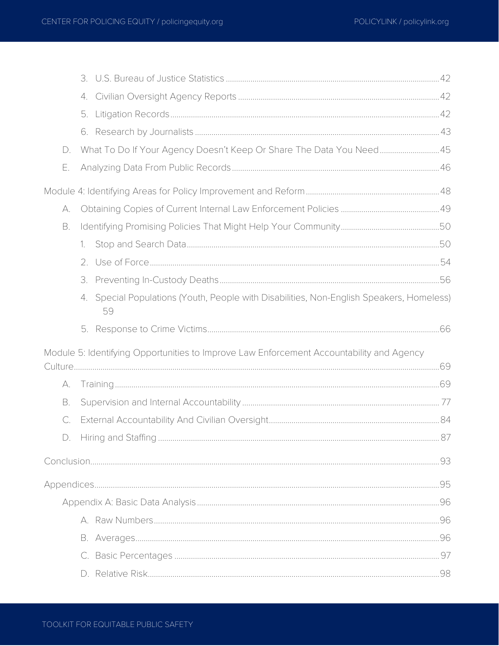|    | 4.                                                                                             |  |
|----|------------------------------------------------------------------------------------------------|--|
|    |                                                                                                |  |
|    |                                                                                                |  |
| D. | What To Do If Your Agency Doesn't Keep Or Share The Data You Need 45                           |  |
| Ε. |                                                                                                |  |
|    |                                                                                                |  |
| А. |                                                                                                |  |
| Β. |                                                                                                |  |
|    | 1.                                                                                             |  |
|    |                                                                                                |  |
|    |                                                                                                |  |
|    | 4. Special Populations (Youth, People with Disabilities, Non-English Speakers, Homeless)<br>59 |  |
|    |                                                                                                |  |
|    | Module 5: Identifying Opportunities to Improve Law Enforcement Accountability and Agency       |  |
|    |                                                                                                |  |
| A. |                                                                                                |  |
| B. |                                                                                                |  |
| C. |                                                                                                |  |
|    |                                                                                                |  |
|    |                                                                                                |  |
|    |                                                                                                |  |
|    |                                                                                                |  |
|    |                                                                                                |  |
|    |                                                                                                |  |
|    |                                                                                                |  |
|    |                                                                                                |  |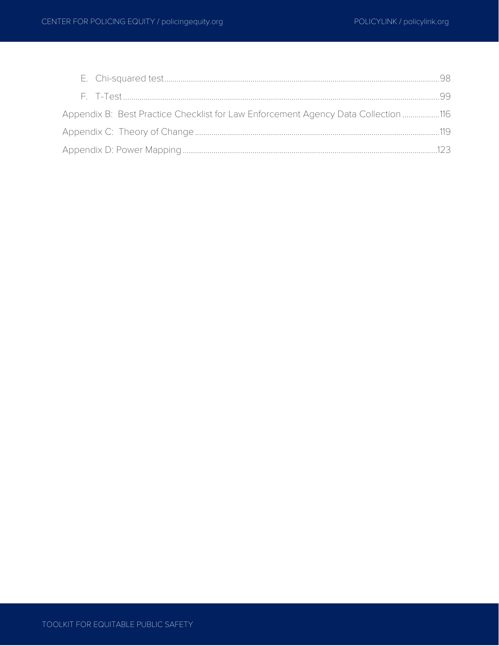| Appendix B: Best Practice Checklist for Law Enforcement Agency Data Collection 116 |  |
|------------------------------------------------------------------------------------|--|
|                                                                                    |  |
|                                                                                    |  |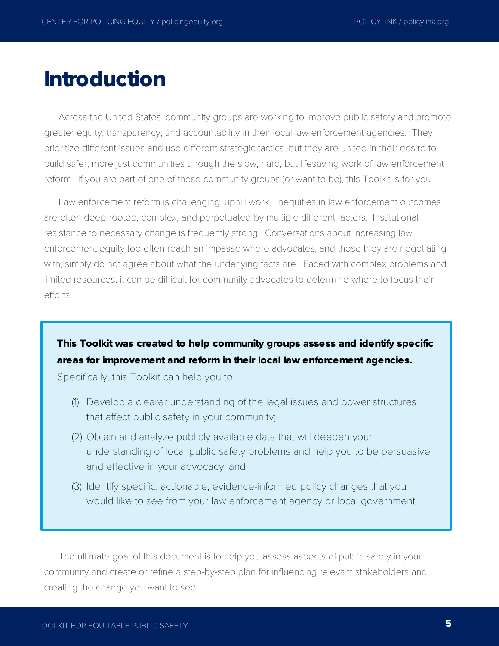# <span id="page-6-0"></span>Introduction

Across the United States, community groups are working to improve public safety and promote greater equity, transparency, and accountability in their local law enforcement agencies. They prioritize different issues and use different strategic tactics, but they are united in their desire to build safer, more just communities through the slow, hard, but lifesaving work of law enforcement reform. If you are part of one of these community groups (or want to be), this Toolkit is for you.

Law enforcement reform is challenging, uphill work. Inequities in law enforcement outcomes are often deep-rooted, complex, and perpetuated by multiple different factors. Institutional resistance to necessary change is frequently strong. Conversations about increasing law enforcement equity too often reach an impasse where advocates, and those they are negotiating with, simply do not agree about what the underlying facts are. Faced with complex problems and limited resources, it can be difficult for community advocates to determine where to focus their efforts.

### This Toolkit was created to help community groups assess and identify specific areas for improvement and reform in their local law enforcement agencies.

Specifically, this Toolkit can help you to:

- (1) Develop a clearer understanding of the legal issues and power structures that affect public safety in your community;
- (2) Obtain and analyze publicly available data that will deepen your understanding of local public safety problems and help you to be persuasive and effective in your advocacy; and
- (3) Identify specific, actionable, evidence-informed policy changes that you would like to see from your law enforcement agency or local government.

The ultimate goal of this document is to help you assess aspects of public safety in your community and create or refine a step-by-step plan for influencing relevant stakeholders and creating the change you want to see.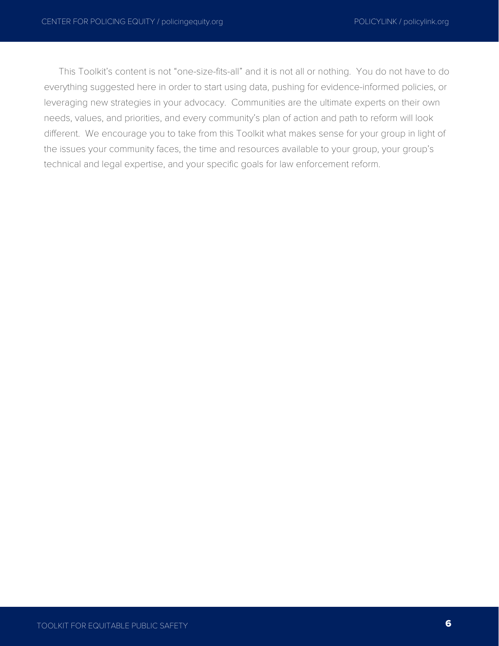This Toolkit's content is not "one-size-fits-all" and it is not all or nothing. You do not have to do everything suggested here in order to start using data, pushing for evidence-informed policies, or leveraging new strategies in your advocacy. Communities are the ultimate experts on their own needs, values, and priorities, and every community's plan of action and path to reform will look different. We encourage you to take from this Toolkit what makes sense for your group in light of the issues your community faces, the time and resources available to your group, your group's technical and legal expertise, and your specific goals for law enforcement reform.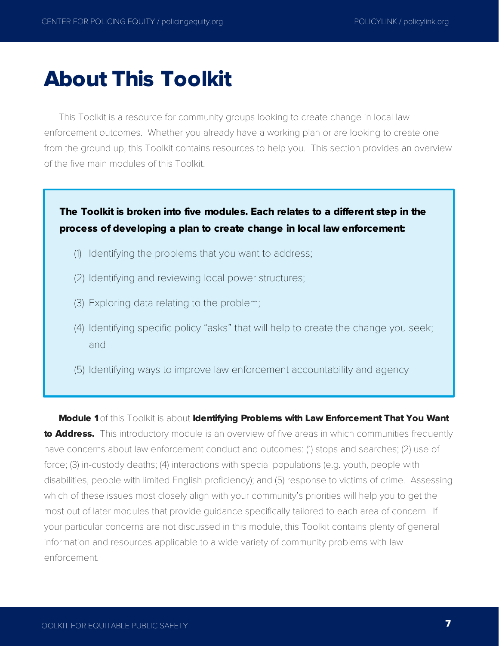# <span id="page-8-0"></span>About This Toolkit

This Toolkit is a resource for community groups looking to create change in local law enforcement outcomes. Whether you already have a working plan or are looking to create one from the ground up, this Toolkit contains resources to help you. This section provides an overview of the five main modules of this Toolkit.

### The Toolkit is broken into five modules. Each relates to a different step in the process of developing a plan to create change in local law enforcement:

- (1) Identifying the problems that you want to address;
- (2) Identifying and reviewing local power structures;
- (3) Exploring data relating to the problem;
- (4) Identifying specific policy "asks" that will help to create the change you seek; and
- (5) Identifying ways to improve law enforcement accountability and agency

Module 1of this Toolkit is about Identifying Problems with Law Enforcement That You Want to Address. This introductory module is an overview of five areas in which communities frequently have concerns about law enforcement conduct and outcomes: (1) stops and searches; (2) use of force; (3) in-custody deaths; (4) interactions with special populations (e.g. youth, people with disabilities, people with limited English proficiency); and (5) response to victims of crime. Assessing which of these issues most closely align with your community's priorities will help you to get the most out of later modules that provide guidance specifically tailored to each area of concern. If your particular concerns are not discussed in this module, this Toolkit contains plenty of general information and resources applicable to a wide variety of community problems with law enforcement.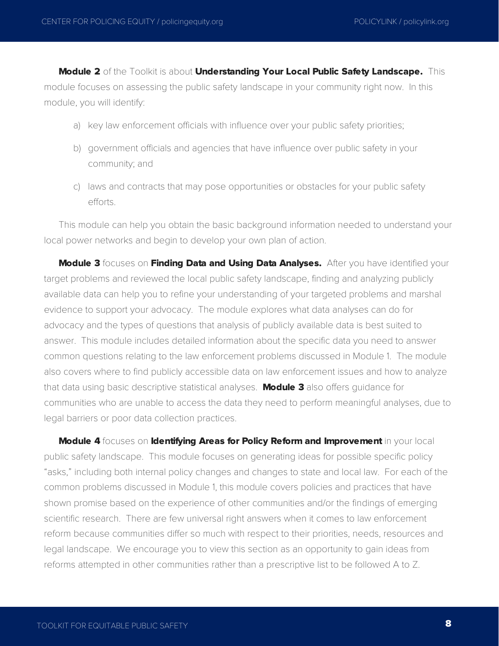Module 2 of the Toolkit is about Understanding Your Local Public Safety Landscape. This module focuses on assessing the public safety landscape in your community right now. In this module, you will identify:

- a) key law enforcement officials with influence over your public safety priorities;
- b) government officials and agencies that have influence over public safety in your community; and
- c) laws and contracts that may pose opportunities or obstacles for your public safety efforts.

This module can help you obtain the basic background information needed to understand your local power networks and begin to develop your own plan of action.

Module 3 focuses on Finding Data and Using Data Analyses. After you have identified your target problems and reviewed the local public safety landscape, finding and analyzing publicly available data can help you to refine your understanding of your targeted problems and marshal evidence to support your advocacy. The module explores what data analyses can do for advocacy and the types of questions that analysis of publicly available data is best suited to answer. This module includes detailed information about the specific data you need to answer common questions relating to the law enforcement problems discussed in Module 1. The module also covers where to find publicly accessible data on law enforcement issues and how to analyze that data using basic descriptive statistical analyses. **Module 3** also offers guidance for communities who are unable to access the data they need to perform meaningful analyses, due to legal barriers or poor data collection practices.

Module 4 focuses on Identifying Areas for Policy Reform and Improvement in your local public safety landscape. This module focuses on generating ideas for possible specific policy "asks," including both internal policy changes and changes to state and local law. For each of the common problems discussed in Module 1, this module covers policies and practices that have shown promise based on the experience of other communities and/or the findings of emerging scientific research. There are few universal right answers when it comes to law enforcement reform because communities differ so much with respect to their priorities, needs, resources and legal landscape. We encourage you to view this section as an opportunity to gain ideas from reforms attempted in other communities rather than a prescriptive list to be followed A to Z.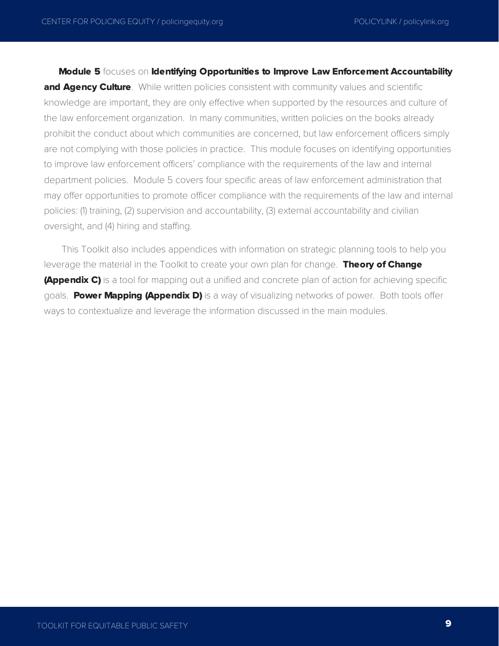Module 5 focuses on Identifying Opportunities to Improve Law Enforcement Accountability and Agency Culture. While written policies consistent with community values and scientific knowledge are important, they are only effective when supported by the resources and culture of the law enforcement organization. In many communities, written policies on the books already prohibit the conduct about which communities are concerned, but law enforcement officers simply are not complying with those policies in practice. This module focuses on identifying opportunities to improve law enforcement officers' compliance with the requirements of the law and internal department policies. Module 5 covers four specific areas of law enforcement administration that may offer opportunities to promote officer compliance with the requirements of the law and internal policies: (1) training, (2) supervision and accountability, (3) external accountability and civilian oversight, and (4) hiring and staffing.

<span id="page-10-0"></span>This Toolkit also includes appendices with information on strategic planning tools to help you leverage the material in the Toolkit to create your own plan for change. Theory of Change **(Appendix C)** is a tool for mapping out a unified and concrete plan of action for achieving specific goals. Power Mapping (Appendix D) is a way of visualizing networks of power. Both tools offer ways to contextualize and leverage the information discussed in the main modules.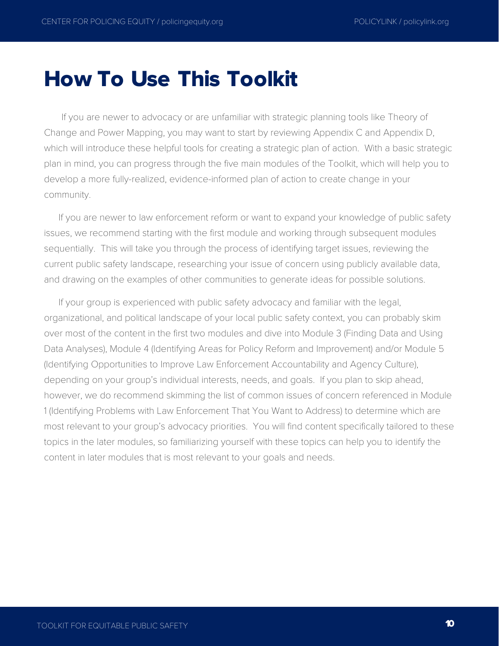# How To Use This Toolkit

If you are newer to advocacy or are unfamiliar with strategic planning tools like Theory of Change and Power Mapping, you may want to start by reviewing Appendix C and Appendix D, which will introduce these helpful tools for creating a strategic plan of action. With a basic strategic plan in mind, you can progress through the five main modules of the Toolkit, which will help you to develop a more fully-realized, evidence-informed plan of action to create change in your community.

If you are newer to law enforcement reform or want to expand your knowledge of public safety issues, we recommend starting with the first module and working through subsequent modules sequentially. This will take you through the process of identifying target issues, reviewing the current public safety landscape, researching your issue of concern using publicly available data, and drawing on the examples of other communities to generate ideas for possible solutions.

If your group is experienced with public safety advocacy and familiar with the legal, organizational, and political landscape of your local public safety context, you can probably skim over most of the content in the first two modules and dive into Module 3 (Finding Data and Using Data Analyses), Module 4 (Identifying Areas for Policy Reform and Improvement) and/or Module 5 (Identifying Opportunities to Improve Law Enforcement Accountability and Agency Culture), depending on your group's individual interests, needs, and goals. If you plan to skip ahead, however, we do recommend skimming the list of common issues of concern referenced in Module 1 (Identifying Problems with Law Enforcement That You Want to Address) to determine which are most relevant to your group's advocacy priorities. You will find content specifically tailored to these topics in the later modules, so familiarizing yourself with these topics can help you to identify the content in later modules that is most relevant to your goals and needs.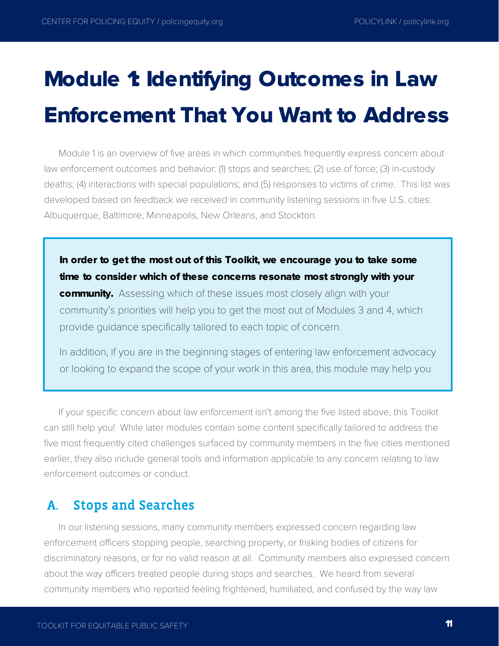# <span id="page-12-0"></span>**Module 1: Identifying Outcomes in Law** Enforcement That You Want to Address

Module 1 is an overview of five areas in which communities frequently express concern about law enforcement outcomes and behavior: (1) stops and searches; (2) use of force; (3) in-custody deaths; (4) interactions with special populations; and (5) responses to victims of crime. This list was developed based on feedback we received in community listening sessions in five U.S. cities: Albuquerque, Baltimore, Minneapolis, New Orleans, and Stockton.

In order to get the most out of this Toolkit, we encourage you to take some time to consider which of these concerns resonate most strongly with your community. Assessing which of these issues most closely align with your community's priorities will help you to get the most out of Modules 3 and 4, which provide guidance specifically tailored to each topic of concern.

In addition, if you are in the beginning stages of entering law enforcement advocacy or looking to expand the scope of your work in this area, this module may help you

If your specific concern about law enforcement isn't among the five listed above, this Toolkit can still help you! While later modules contain some content specifically tailored to address the five most frequently cited challenges surfaced by community members in the five cities mentioned earlier, they also include general tools and information applicable to any concern relating to law enforcement outcomes or conduct.

# <span id="page-12-1"></span>A. Stops and Searches

֦

In our listening sessions, many community members expressed concern regarding law enforcement officers stopping people, searching property, or frisking bodies of citizens for discriminatory reasons, or for no valid reason at all. Community members also expressed concern about the way officers treated people during stops and searches. We heard from several community members who reported feeling frightened, humiliated, and confused by the way law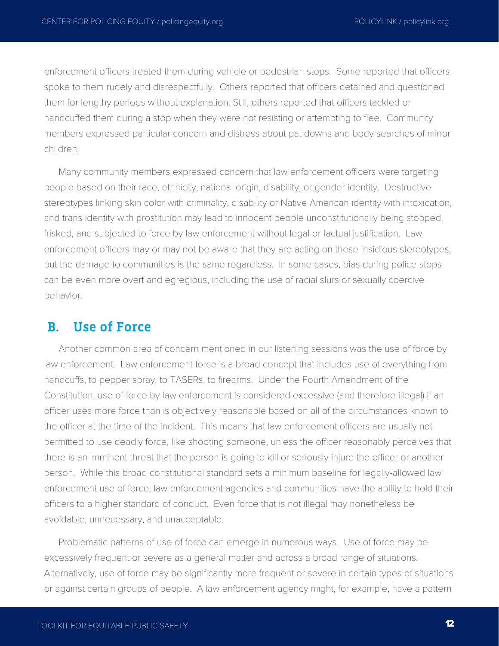enforcement officers treated them during vehicle or pedestrian stops. Some reported that officers spoke to them rudely and disrespectfully. Others reported that officers detained and questioned them for lengthy periods without explanation. Still, others reported that officers tackled or handcuffed them during a stop when they were not resisting or attempting to flee. Community members expressed particular concern and distress about pat downs and body searches of minor children.

Many community members expressed concern that law enforcement officers were targeting people based on their race, ethnicity, national origin, disability, or gender identity. Destructive stereotypes linking skin color with criminality, disability or Native American identity with intoxication, and trans identity with prostitution may lead to innocent people unconstitutionally being stopped, frisked, and subjected to force by law enforcement without legal or factual justification. Law enforcement officers may or may not be aware that they are acting on these insidious stereotypes, but the damage to communities is the same regardless. In some cases, bias during police stops can be even more overt and egregious, including the use of racial slurs or sexually coercive behavior.

#### <span id="page-13-0"></span>B. Use of Force

Another common area of concern mentioned in our listening sessions was the use of force by law enforcement. Law enforcement force is a broad concept that includes use of everything from handcuffs, to pepper spray, to TASERs, to firearms. Under the Fourth Amendment of the Constitution, use of force by law enforcement is considered excessive (and therefore illegal) if an officer uses more force than is objectively reasonable based on all of the circumstances known to the officer at the time of the incident. This means that law enforcement officers are usually not permitted to use deadly force, like shooting someone, unless the officer reasonably perceives that there is an imminent threat that the person is going to kill or seriously injure the officer or another person. While this broad constitutional standard sets a minimum baseline for legally-allowed law enforcement use of force, law enforcement agencies and communities have the ability to hold their officers to a higher standard of conduct. Even force that is not illegal may nonetheless be avoidable, unnecessary, and unacceptable.

Problematic patterns of use of force can emerge in numerous ways. Use of force may be excessively frequent or severe as a general matter and across a broad range of situations. Alternatively, use of force may be significantly more frequent or severe in certain types of situations or against certain groups of people. A law enforcement agency might, for example, have a pattern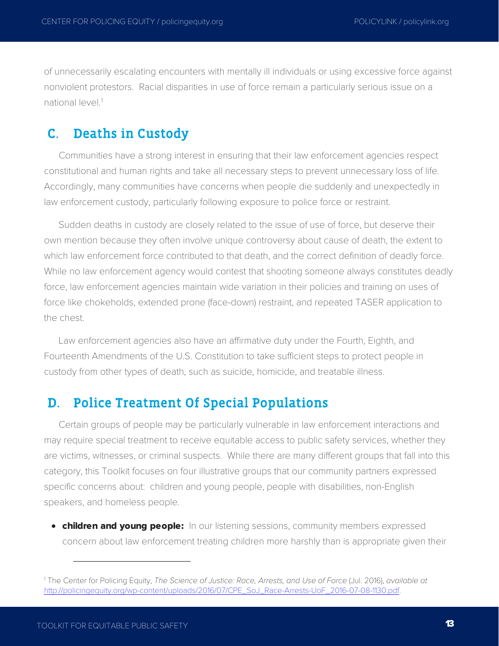of unnecessarily escalating encounters with mentally ill individuals or using excessive force against nonviolent protestors. Racial disparities in use of force remain a particularly serious issue on a national level. [1](#page-14-2)

## <span id="page-14-0"></span>C. Deaths in Custody

Communities have a strong interest in ensuring that their law enforcement agencies respect constitutional and human rights and take all necessary steps to prevent unnecessary loss of life. Accordingly, many communities have concerns when people die suddenly and unexpectedly in law enforcement custody, particularly following exposure to police force or restraint.

Sudden deaths in custody are closely related to the issue of use of force, but deserve their own mention because they often involve unique controversy about cause of death, the extent to which law enforcement force contributed to that death, and the correct definition of deadly force. While no law enforcement agency would contest that shooting someone always constitutes deadly force, law enforcement agencies maintain wide variation in their policies and training on uses of force like chokeholds, extended prone (face-down) restraint, and repeated TASER application to the chest.

Law enforcement agencies also have an affirmative duty under the Fourth, Eighth, and Fourteenth Amendments of the U.S. Constitution to take sufficient steps to protect people in custody from other types of death, such as suicide, homicide, and treatable illness.

## <span id="page-14-1"></span>D. Police Treatment Of Special Populations

Certain groups of people may be particularly vulnerable in law enforcement interactions and may require special treatment to receive equitable access to public safety services, whether they are victims, witnesses, or criminal suspects. While there are many different groups that fall into this category, this Toolkit focuses on four illustrative groups that our community partners expressed specific concerns about: children and young people, people with disabilities, non-English speakers, and homeless people.

**• children and young people:** In our listening sessions, community members expressed concern about law enforcement treating children more harshly than is appropriate given their

<span id="page-14-2"></span><sup>&</sup>lt;sup>1</sup> The Center for Policing Equity, The Science of Justice: Race, Arrests, and Use of Force (Jul. 2016), available at [http://policingequity.org/wp-content/uploads/2016/07/CPE\\_SoJ\\_Race-Arrests-UoF\\_2016-07-08-1130.pdf.](http://policingequity.org/wp-content/uploads/2016/07/CPE_SoJ_Race-Arrests-UoF_2016-07-08-1130.pdf)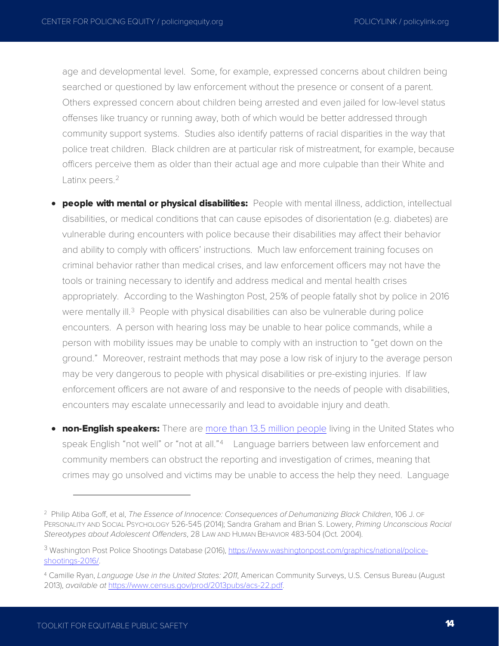age and developmental level. Some, for example, expressed concerns about children being searched or questioned by law enforcement without the presence or consent of a parent. Others expressed concern about children being arrested and even jailed for low-level status offenses like truancy or running away, both of which would be better addressed through community support systems. Studies also identify patterns of racial disparities in the way that police treat children. Black children are at particular risk of mistreatment, for example, because officers perceive them as older than their actual age and more culpable than their White and Latinx peers.<sup>[2](#page-15-0)</sup>

- **people with mental or physical disabilities:** People with mental illness, addiction, intellectual disabilities, or medical conditions that can cause episodes of disorientation (e.g. diabetes) are vulnerable during encounters with police because their disabilities may affect their behavior and ability to comply with officers' instructions. Much law enforcement training focuses on criminal behavior rather than medical crises, and law enforcement officers may not have the tools or training necessary to identify and address medical and mental health crises appropriately. According to the Washington Post, 25% of people fatally shot by police in 2016 were mentally ill.<sup>[3](#page-15-1)</sup> People with physical disabilities can also be vulnerable during police encounters. A person with hearing loss may be unable to hear police commands, while a person with mobility issues may be unable to comply with an instruction to "get down on the ground." Moreover, restraint methods that may pose a low risk of injury to the average person may be very dangerous to people with physical disabilities or pre-existing injuries. If law enforcement officers are not aware of and responsive to the needs of people with disabilities, encounters may escalate unnecessarily and lead to avoidable injury and death.
- **non-English speakers:** There are [more than 13.5 million people](https://www.census.gov/prod/2013pubs/acs-22.pdf) living in the United States who speak English "not well" or "not at all."<sup>[4](#page-15-2)</sup> Language barriers between law enforcement and community members can obstruct the reporting and investigation of crimes, meaning that crimes may go unsolved and victims may be unable to access the help they need. Language

<span id="page-15-0"></span><sup>&</sup>lt;sup>2</sup> Philip Atiba Goff, et al, The Essence of Innocence: Consequences of Dehumanizing Black Children, 106 J. OF PERSONALITY AND SOCIAL PSYCHOLOGY 526-545 (2014); Sandra Graham and Brian S. Lowery, Priming Unconscious Racial Stereotypes about Adolescent Offenders, 28 LAW AND HUMAN BEHAVIOR 483-504 (Oct. 2004).

<span id="page-15-1"></span><sup>3</sup> Washington Post Police Shootings Database (2016), [https://www.washingtonpost.com/graphics/national/police](https://www.washingtonpost.com/graphics/national/police-shootings-2016/)[shootings-2016/.](https://www.washingtonpost.com/graphics/national/police-shootings-2016/)

<span id="page-15-2"></span><sup>4</sup> Camille Ryan, Language Use in the United States: 2011, American Community Surveys, U.S. Census Bureau (August 2013), available at [https://www.census.gov/prod/2013pubs/acs-22.pdf.](https://www.census.gov/prod/2013pubs/acs-22.pdf)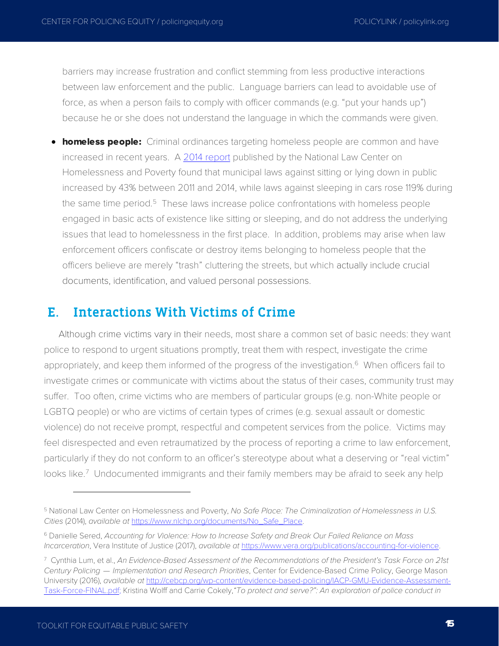barriers may increase frustration and conflict stemming from less productive interactions between law enforcement and the public. Language barriers can lead to avoidable use of force, as when a person fails to comply with officer commands (e.g. "put your hands up") because he or she does not understand the language in which the commands were given.

**homeless people:** Criminal ordinances targeting homeless people are common and have increased in recent years. A [2014 report](https://www.nlchp.org/documents/No_Safe_Place) published by the National Law Center on Homelessness and Poverty found that municipal laws against sitting or lying down in public increased by 43% between 2011 and 2014, while laws against sleeping in cars rose 119% during the same time period.<sup>[5](#page-16-1)</sup> These laws increase police confrontations with homeless people engaged in basic acts of existence like sitting or sleeping, and do not address the underlying issues that lead to homelessness in the first place. In addition, problems may arise when law enforcement officers confiscate or destroy items belonging to homeless people that the officers believe are merely "trash" cluttering the streets, but which actually include crucial documents, identification, and valued personal possessions.

### <span id="page-16-0"></span>E. Interactions With Victims of Crime

Although crime victims vary in their needs, most share a common set of basic needs: they want police to respond to urgent situations promptly, treat them with respect, investigate the crime appropriately, and keep them informed of the progress of the investigation.<sup>[6](#page-16-2)</sup> When officers fail to investigate crimes or communicate with victims about the status of their cases, community trust may suffer. Too often, crime victims who are members of particular groups (e.g. non-White people or LGBTQ people) or who are victims of certain types of crimes (e.g. sexual assault or domestic violence) do not receive prompt, respectful and competent services from the police. Victims may feel disrespected and even retraumatized by the process of reporting a crime to law enforcement, particularly if they do not conform to an officer's stereotype about what a deserving or "real victim" looks like.<sup>[7](#page-16-3)</sup> Undocumented immigrants and their family members may be afraid to seek any help

<span id="page-16-1"></span><sup>5</sup> National Law Center on Homelessness and Poverty, No Safe Place: The Criminalization of Homelessness in U.S. Cities (2014), available at [https://www.nlchp.org/documents/No\\_Safe\\_Place.](https://www.nlchp.org/documents/No_Safe_Place)

<span id="page-16-2"></span><sup>6</sup> Danielle Sered, Accounting for Violence: How to Increase Safety and Break Our Failed Reliance on Mass Incarceration, Vera Institute of Justice (2017), available at [https://www.vera.org/publications/accounting-for-violence.](https://www.vera.org/publications/accounting-for-violence)

<span id="page-16-3"></span><sup>&</sup>lt;sup>7</sup> Cynthia Lum, et al., An Evidence-Based Assessment of the Recommendations of the President's Task Force on 21st Century Policing — Implementation and Research Priorities, Center for Evidence-Based Crime Policy, George Mason University (2016), available at [http://cebcp.org/wp-content/evidence-based-policing/IACP-GMU-Evidence-Assessment-](http://cebcp.org/wp-content/evidence-based-policing/IACP-GMU-Evidence-Assessment-Task-Force-FINAL.pdf)[Task-Force-FINAL.pdf;](http://cebcp.org/wp-content/evidence-based-policing/IACP-GMU-Evidence-Assessment-Task-Force-FINAL.pdf) Kristina Wolff and Carrie Cokely,"To protect and serve?": An exploration of police conduct in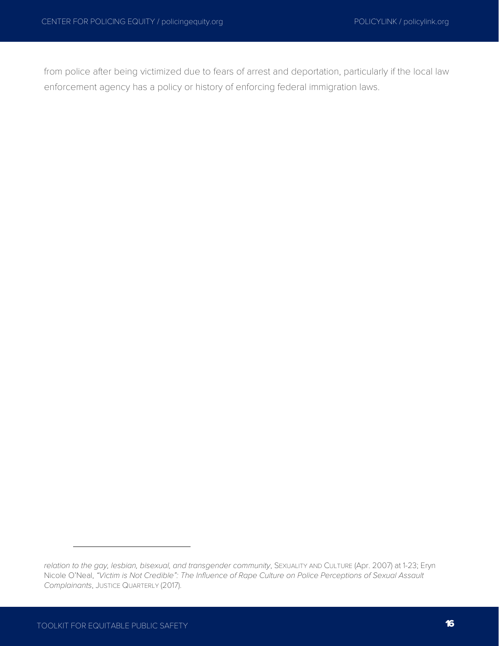from police after being victimized due to fears of arrest and deportation, particularly if the local law enforcement agency has a policy or history of enforcing federal immigration laws.

relation to the gay, lesbian, bisexual, and transgender community, SEXUALITY AND CULTURE (Apr. 2007) at 1-23; Eryn Nicole O'Neal, "Victim is Not Credible": The Influence of Rape Culture on Police Perceptions of Sexual Assault Complainants, JUSTICE QUARTERLY (2017).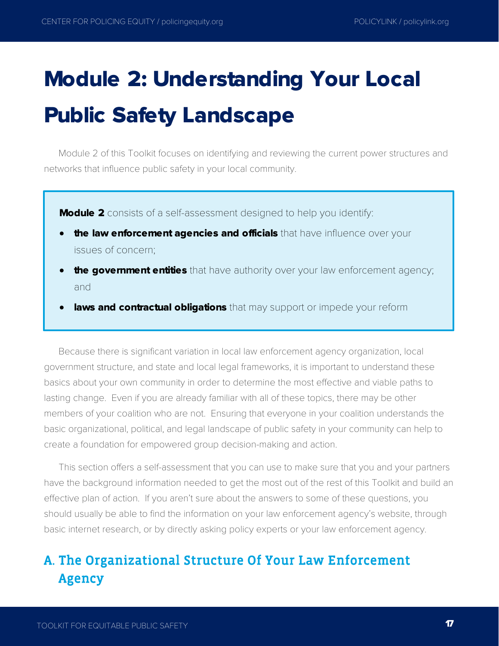# <span id="page-18-0"></span>Module 2: Understanding Your Local Public Safety Landscape

Module 2 of this Toolkit focuses on identifying and reviewing the current power structures and networks that influence public safety in your local community.

**Module 2** consists of a self-assessment designed to help you identify:

- the law enforcement agencies and officials that have influence over your issues of concern;
- **the government entities** that have authority over your law enforcement agency; and
- laws and contractual obligations that may support or impede your reform

Because there is significant variation in local law enforcement agency organization, local government structure, and state and local legal frameworks, it is important to understand these basics about your own community in order to determine the most effective and viable paths to lasting change. Even if you are already familiar with all of these topics, there may be other members of your coalition who are not. Ensuring that everyone in your coalition understands the basic organizational, political, and legal landscape of public safety in your community can help to create a foundation for empowered group decision-making and action.

This section offers a self-assessment that you can use to make sure that you and your partners have the background information needed to get the most out of the rest of this Toolkit and build an effective plan of action. If you aren't sure about the answers to some of these questions, you should usually be able to find the information on your law enforcement agency's website, through basic internet research, or by directly asking policy experts or your law enforcement agency.

# <span id="page-18-1"></span>A. The Organizational Structure Of Your Law Enforcement Agency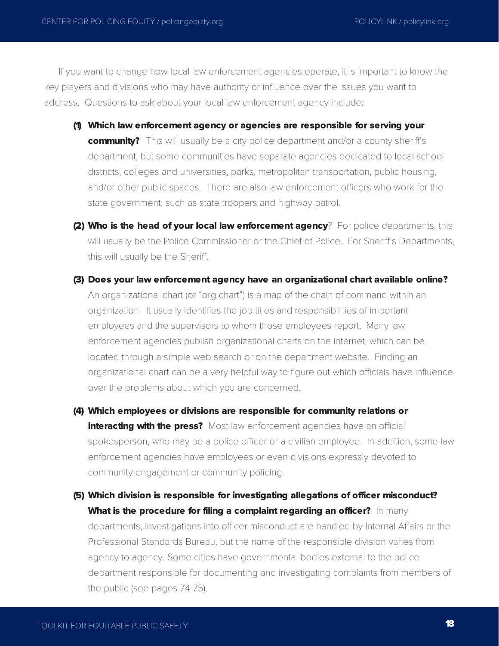If you want to change how local law enforcement agencies operate, it is important to know the key players and divisions who may have authority or influence over the issues you want to address. Questions to ask about your local law enforcement agency include:

- (1) Which law enforcement agency or agencies are responsible for serving your community? This will usually be a city police department and/or a county sheriff's department, but some communities have separate agencies dedicated to local school districts, colleges and universities, parks, metropolitan transportation, public housing, and/or other public spaces. There are also law enforcement officers who work for the state government, such as state troopers and highway patrol.
- (2) Who is the head of your local law enforcement agency? For police departments, this will usually be the Police Commissioner or the Chief of Police. For Sheriff's Departments, this will usually be the Sheriff.
- (3) Does your law enforcement agency have an organizational chart available online? An organizational chart (or "org chart") is a map of the chain of command within an organization. It usually identifies the job titles and responsibilities of important employees and the supervisors to whom those employees report. Many law enforcement agencies publish organizational charts on the internet, which can be located through a simple web search or on the department website. Finding an organizational chart can be a very helpful way to figure out which officials have influence over the problems about which you are concerned.
- (4) Which employees or divisions are responsible for community relations or interacting with the press? Most law enforcement agencies have an official spokesperson, who may be a police officer or a civilian employee. In addition, some law enforcement agencies have employees or even divisions expressly devoted to community engagement or community policing.
- (5) Which division is responsible for investigating allegations of officer misconduct? What is the procedure for filing a complaint regarding an officer? In many departments, investigations into officer misconduct are handled by Internal Affairs or the Professional Standards Bureau, but the name of the responsible division varies from agency to agency. Some cities have governmental bodies external to the police department responsible for documenting and investigating complaints from members of the public (see pages 74-75).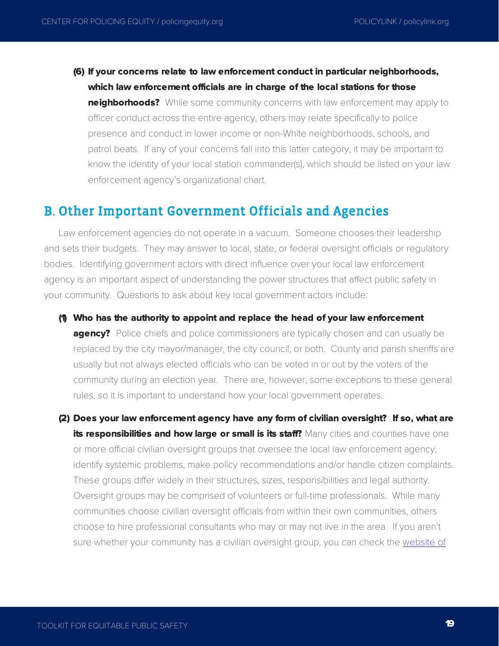(6) If your concerns relate to law enforcement conduct in particular neighborhoods, which law enforcement officials are in charge of the local stations for those

**neighborhoods?** While some community concerns with law enforcement may apply to officer conduct across the entire agency, others may relate specifically to police presence and conduct in lower income or non-White neighborhoods, schools, and patrol beats. If any of your concerns fall into this latter category, it may be important to know the identity of your local station commander(s), which should be listed on your law enforcement agency's organizational chart.

# <span id="page-20-0"></span>B. Other Important Government Officials and Agencies

Law enforcement agencies do not operate in a vacuum. Someone chooses their leadership and sets their budgets. They may answer to local, state, or federal oversight officials or regulatory bodies. Identifying government actors with direct influence over your local law enforcement agency is an important aspect of understanding the power structures that affect public safety in your community. Questions to ask about key local government actors include:

- (1) Who has the authority to appoint and replace the head of your law enforcement **agency?** Police chiefs and police commissioners are typically chosen and can usually be replaced by the city mayor/manager, the city council, or both. County and parish sheriffs are usually but not always elected officials who can be voted in or out by the voters of the community during an election year. There are, however, some exceptions to these general rules, so it is important to understand how your local government operates.
- (2) Does your law enforcement agency have any form of civilian oversight? If so, what are its responsibilities and how large or small is its staff? Many cities and counties have one or more official civilian oversight groups that oversee the local law enforcement agency, identify systemic problems, make policy recommendations and/or handle citizen complaints. These groups differ widely in their structures, sizes, responsibilities and legal authority. Oversight groups may be comprised of volunteers or full-time professionals. While many communities choose civilian oversight officials from within their own communities, others choose to hire professional consultants who may or may not live in the area. If you aren't sure whether your community has a civilian oversight group, you can check the website of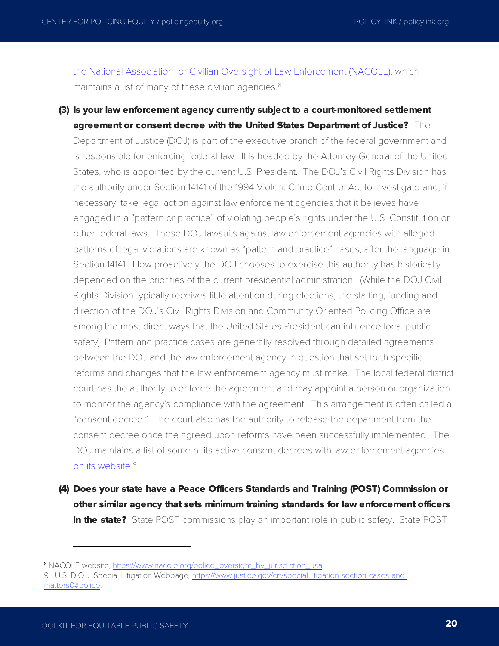the [National Association for Civilian Oversight of Law Enforcement \(NACOLE\),](http://www.nacole.org/police_oversight_by_jurisdiction_usa) which maintains a list of many of these civilian agencies.<sup>[8](#page-21-0)</sup>

(3) Is your law enforcement agency currently subject to a court-monitored settlement agreement or consent decree with the United States Department of Justice? The

Department of Justice (DOJ) is part of the executive branch of the federal government and is responsible for enforcing federal law. It is headed by the Attorney General of the United States, who is appointed by the current U.S. President. The DOJ's Civil Rights Division has the authority under Section 14141 of the 1994 Violent Crime Control Act to investigate and, if necessary, take legal action against law enforcement agencies that it believes have engaged in a "pattern or practice" of violating people's rights under the U.S. Constitution or other federal laws. These DOJ lawsuits against law enforcement agencies with alleged patterns of legal violations are known as "pattern and practice" cases, after the language in Section 14141. How proactively the DOJ chooses to exercise this authority has historically depended on the priorities of the current presidential administration. (While the DOJ Civil Rights Division typically receives little attention during elections, the staffing, funding and direction of the DOJ's Civil Rights Division and Community Oriented Policing Office are among the most direct ways that the United States President can influence local public safety). Pattern and practice cases are generally resolved through detailed agreements between the DOJ and the law enforcement agency in question that set forth specific reforms and changes that the law enforcement agency must make. The local federal district court has the authority to enforce the agreement and may appoint a person or organization to monitor the agency's compliance with the agreement. This arrangement is often called a "consent decree." The court also has the authority to release the department from the consent decree once the agreed upon reforms have been successfully implemented. The DOJ maintains a list of some of its active consent decrees with law enforcement agencies [on its website.](https://www.justice.gov/crt/special-litigation-section-cases-and-matters0#police)<sup>9</sup>

(4) Does your state have a Peace Officers Standards and Training (POST) Commission or other similar agency that sets minimum training standards for law enforcement officers in the state? State POST commissions play an important role in public safety. State POST

<span id="page-21-0"></span><sup>8</sup> NACOLE website, [https://www.nacole.org/police\\_oversight\\_by\\_jurisdiction\\_usa.](https://www.nacole.org/police_oversight_by_jurisdiction_usa)

<span id="page-21-1"></span><sup>9</sup> U.S. D.O.J. Special Litigation Webpage, [https://www.justice.gov/crt/special-litigation-section-cases-and](https://www.justice.gov/crt/special-litigation-section-cases-and-matters0#police)[matters0#police.](https://www.justice.gov/crt/special-litigation-section-cases-and-matters0#police)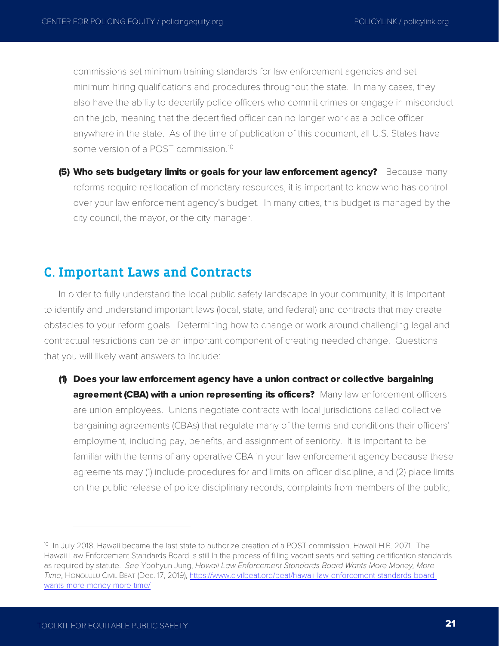commissions set minimum training standards for law enforcement agencies and set minimum hiring qualifications and procedures throughout the state. In many cases, they also have the ability to decertify police officers who commit crimes or engage in misconduct on the job, meaning that the decertified officer can no longer work as a police officer anywhere in the state. As of the time of publication of this document, all U.S. States have some version of a POST commission.<sup>[10](#page-22-1)</sup>

**(5) Who sets budgetary limits or goals for your law enforcement agency?** Because many reforms require reallocation of monetary resources, it is important to know who has control over your law enforcement agency's budget. In many cities, this budget is managed by the city council, the mayor, or the city manager.

#### <span id="page-22-0"></span>C. Important Laws and Contracts

In order to fully understand the local public safety landscape in your community, it is important to identify and understand important laws (local, state, and federal) and contracts that may create obstacles to your reform goals. Determining how to change or work around challenging legal and contractual restrictions can be an important component of creating needed change. Questions that you will likely want answers to include:

(1) Does your law enforcement agency have a union contract or collective bargaining agreement (CBA) with a union representing its officers? Many law enforcement officers are union employees. Unions negotiate contracts with local jurisdictions called collective bargaining agreements (CBAs) that regulate many of the terms and conditions their officers' employment, including pay, benefits, and assignment of seniority. It is important to be familiar with the terms of any operative CBA in your law enforcement agency because these agreements may (1) include procedures for and limits on officer discipline, and (2) place limits on the public release of police disciplinary records, complaints from members of the public,

<span id="page-22-1"></span><sup>&</sup>lt;sup>10</sup> In July 2018, Hawaii became the last state to authorize creation of a POST commission. Hawaii H.B. 2071. The Hawaii Law Enforcement Standards Board is still In the process of filling vacant seats and setting certification standards as required by statute. See Yoohyun Jung, Hawaii Law Enforcement Standards Board Wants More Money, More Time, HONOLULU CIVIL BEAT (Dec. 17, 2019)[, https://www.civilbeat.org/beat/hawaii-law-enforcement-standards-board](https://www.civilbeat.org/beat/hawaii-law-enforcement-standards-board-wants-more-money-more-time/)[wants-more-money-more-time/](https://www.civilbeat.org/beat/hawaii-law-enforcement-standards-board-wants-more-money-more-time/)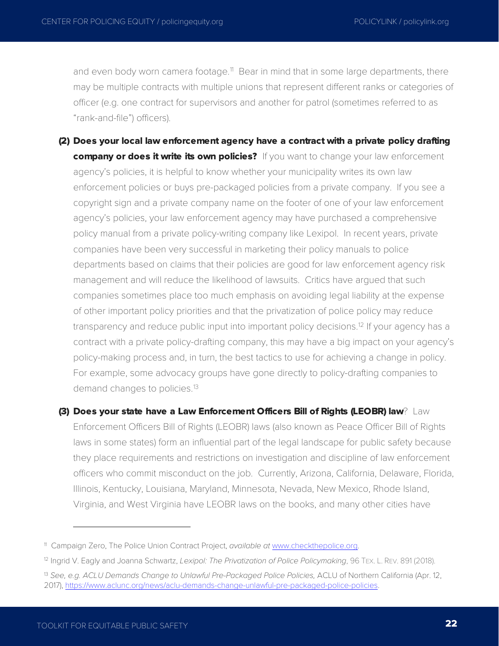and even body worn camera footage.<sup>11</sup> Bear in mind that in some large departments, there may be multiple contracts with multiple unions that represent different ranks or categories of officer (e.g. one contract for supervisors and another for patrol (sometimes referred to as "rank-and-file") officers).

- (2) Does your local law enforcement agency have a contract with a private policy drafting company or does it write its own policies? If you want to change your law enforcement agency's policies, it is helpful to know whether your municipality writes its own law enforcement policies or buys pre-packaged policies from a private company. If you see a copyright sign and a private company name on the footer of one of your law enforcement agency's policies, your law enforcement agency may have purchased a comprehensive policy manual from a private policy-writing company like Lexipol. In recent years, private companies have been very successful in marketing their policy manuals to police departments based on claims that their policies are good for law enforcement agency risk management and will reduce the likelihood of lawsuits. Critics have argued that such companies sometimes place too much emphasis on avoiding legal liability at the expense of other important policy priorities and that the privatization of police policy may reduce transparency and reduce public input into important policy decisions.<sup>[12](#page-23-1)</sup> If your agency has a contract with a private policy-drafting company, this may have a big impact on your agency's policy-making process and, in turn, the best tactics to use for achieving a change in policy. For example, some advocacy groups have gone directly to policy-drafting companies to demand changes to policies.<sup>[13](#page-23-2)</sup>
- (3) Does your state have a Law Enforcement Officers Bill of Rights (LEOBR) law? Law Enforcement Officers Bill of Rights (LEOBR) laws (also known as Peace Officer Bill of Rights laws in some states) form an influential part of the legal landscape for public safety because they place requirements and restrictions on investigation and discipline of law enforcement officers who commit misconduct on the job. Currently, Arizona, California, Delaware, Florida, Illinois, Kentucky, Louisiana, Maryland, Minnesota, Nevada, New Mexico, Rhode Island, Virginia, and West Virginia have LEOBR laws on the books, and many other cities have

<span id="page-23-2"></span><sup>13</sup> See, e.g. ACLU Demands Change to Unlawful Pre-Packaged Police Policies, ACLU of Northern California (Apr. 12, 2017), [https://www.aclunc.org/news/aclu-demands-change-unlawful-pre-packaged-police-policies.](https://www.aclunc.org/news/aclu-demands-change-unlawful-pre-packaged-police-policies) 

<span id="page-23-0"></span><sup>&</sup>lt;sup>11</sup> Campaign Zero, The Police Union Contract Project, available at [www.checkthepolice.org.](http://www.checkthepolice.org/)

<span id="page-23-1"></span><sup>&</sup>lt;sup>12</sup> Ingrid V. Eagly and Joanna Schwartz, Lexipol: The Privatization of Police Policymaking, 96 TEX. L. REV. 891 (2018).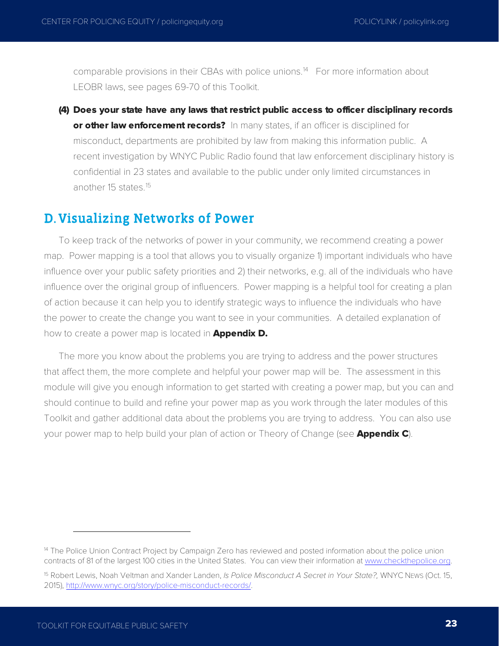comparable provisions in their CBAs with police unions.<sup>[14](#page-24-1)</sup> For more information about LEOBR laws, see pages 69-70 of this Toolkit.

(4) Does your state have any laws that restrict public access to officer disciplinary records or other law enforcement records? In many states, if an officer is disciplined for misconduct, departments are prohibited by law from making this information public. A recent investigation by WNYC Public Radio found that law enforcement disciplinary history is confidential in 23 states and available to the public under only limited circumstances in another [15](#page-24-2) states <sup>15</sup>

## <span id="page-24-0"></span>D. Visualizing Networks of Power

To keep track of the networks of power in your community, we recommend creating a power map. Power mapping is a tool that allows you to visually organize 1) important individuals who have influence over your public safety priorities and 2) their networks, e.g. all of the individuals who have influence over the original group of influencers. Power mapping is a helpful tool for creating a plan of action because it can help you to identify strategic ways to influence the individuals who have the power to create the change you want to see in your communities. A detailed explanation of how to create a power map is located in **Appendix D.** 

The more you know about the problems you are trying to address and the power structures that affect them, the more complete and helpful your power map will be. The assessment in this module will give you enough information to get started with creating a power map, but you can and should continue to build and refine your power map as you work through the later modules of this Toolkit and gather additional data about the problems you are trying to address. You can also use your power map to help build your plan of action or Theory of Change (see **Appendix C**).

<span id="page-24-1"></span><sup>&</sup>lt;sup>14</sup> The Police Union Contract Project by Campaign Zero has reviewed and posted information about the police union contracts of 81 of the largest 100 cities in the United States. You can view their information at [www.checkthepolice.org.](http://www.checkthepolice.org/)

<span id="page-24-2"></span><sup>&</sup>lt;sup>15</sup> Robert Lewis, Noah Veltman and Xander Landen, Is Police Misconduct A Secret in Your State?, WNYC News (Oct. 15, 2015), [http://www.wnyc.org/story/police-misconduct-records/.](http://www.wnyc.org/story/police-misconduct-records/)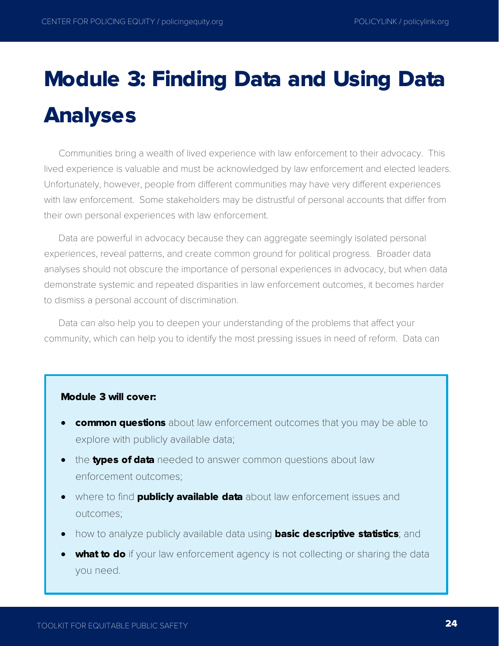# <span id="page-25-0"></span>Module 3: Finding Data and Using Data Analyses

Communities bring a wealth of lived experience with law enforcement to their advocacy. This lived experience is valuable and must be acknowledged by law enforcement and elected leaders. Unfortunately, however, people from different communities may have very different experiences with law enforcement. Some stakeholders may be distrustful of personal accounts that differ from their own personal experiences with law enforcement.

Data are powerful in advocacy because they can aggregate seemingly isolated personal experiences, reveal patterns, and create common ground for political progress. Broader data analyses should not obscure the importance of personal experiences in advocacy, but when data demonstrate systemic and repeated disparities in law enforcement outcomes, it becomes harder to dismiss a personal account of discrimination.

Data can also help you to deepen your understanding of the problems that affect your community, which can help you to identify the most pressing issues in need of reform. Data can

#### Module 3 will cover:

- **common questions** about law enforcement outcomes that you may be able to explore with publicly available data;
- the types of data needed to answer common questions about law enforcement outcomes;
- where to find **publicly available data** about law enforcement issues and outcomes;
- how to analyze publicly available data using **basic descriptive statistics**; and
- what to do if your law enforcement agency is not collecting or sharing the data you need.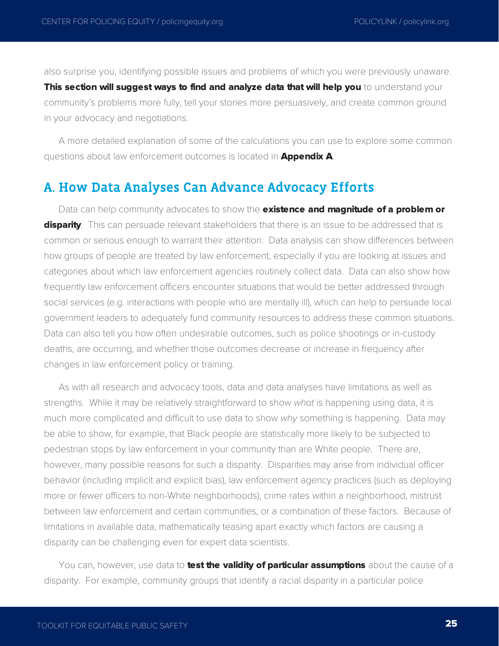also surprise you, identifying possible issues and problems of which you were previously unaware. This section will suggest ways to find and analyze data that will help you to understand your community's problems more fully, tell your stories more persuasively, and create common ground in your advocacy and negotiations.

A more detailed explanation of some of the calculations you can use to explore some common questions about law enforcement outcomes is located in **Appendix A**.

## <span id="page-26-0"></span>A. How Data Analyses Can Advance Advocacy Efforts

Data can help community advocates to show the existence and magnitude of a problem or disparity. This can persuade relevant stakeholders that there is an issue to be addressed that is common or serious enough to warrant their attention. Data analysis can show differences between how groups of people are treated by law enforcement, especially if you are looking at issues and categories about which law enforcement agencies routinely collect data. Data can also show how frequently law enforcement officers encounter situations that would be better addressed through social services (e.g. interactions with people who are mentally ill), which can help to persuade local government leaders to adequately fund community resources to address these common situations. Data can also tell you how often undesirable outcomes, such as police shootings or in-custody deaths, are occurring, and whether those outcomes decrease or increase in frequency after changes in law enforcement policy or training.

As with all research and advocacy tools, data and data analyses have limitations as well as strengths. While it may be relatively straightforward to show what is happening using data, it is much more complicated and difficult to use data to show why something is happening. Data may be able to show, for example, that Black people are statistically more likely to be subjected to pedestrian stops by law enforcement in your community than are White people. There are, however, many possible reasons for such a disparity. Disparities may arise from individual officer behavior (including implicit and explicit bias), law enforcement agency practices (such as deploying more or fewer officers to non-White neighborhoods), crime rates within a neighborhood, mistrust between law enforcement and certain communities, or a combination of these factors. Because of limitations in available data, mathematically teasing apart exactly which factors are causing a disparity can be challenging even for expert data scientists.

You can, however, use data to **test the validity of particular assumptions** about the cause of a disparity. For example, community groups that identify a racial disparity in a particular police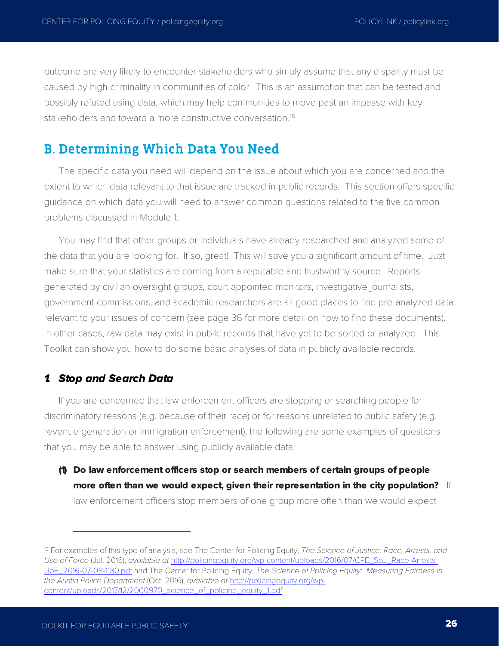outcome are very likely to encounter stakeholders who simply assume that any disparity must be caused by high criminality in communities of color. This is an assumption that can be tested and possibly refuted using data, which may help communities to move past an impasse with key stakeholders and toward a more constructive conversation.<sup>[16](#page-27-2)</sup>

## <span id="page-27-0"></span>B. Determining Which Data You Need

The specific data you need will depend on the issue about which you are concerned and the extent to which data relevant to that issue are tracked in public records. This section offers specific guidance on which data you will need to answer common questions related to the five common problems discussed in Module 1.

You may find that other groups or individuals have already researched and analyzed some of the data that you are looking for. If so, great! This will save you a significant amount of time. Just make sure that your statistics are coming from a reputable and trustworthy source. Reports generated by civilian oversight groups, court appointed monitors, investigative journalists, government commissions, and academic researchers are all good places to find pre-analyzed data relevant to your issues of concern (see page 36 for more detail on how to find these documents). In other cases, raw data may exist in public records that have yet to be sorted or analyzed. This Toolkit can show you how to do some basic analyses of data in publicly available records.

#### <span id="page-27-1"></span>1. Stop and Search Data

If you are concerned that law enforcement officers are stopping or searching people for discriminatory reasons (e.g. because of their race) or for reasons unrelated to public safety (e.g. revenue generation or immigration enforcement), the following are some examples of questions that you may be able to answer using publicly available data:

(1) Do law enforcement officers stop or search members of certain groups of people more often than we would expect, given their representation in the city population? If law enforcement officers stop members of one group more often than we would expect

<span id="page-27-2"></span><sup>&</sup>lt;sup>16</sup> For examples of this type of analysis, see The Center for Policing Equity, The Science of Justice: Race, Arrests, and Use of Force (Jul. 2016), available at [http://policingequity.org/wp-content/uploads/2016/07/CPE\\_SoJ\\_Race-Arrests-](http://policingequity.org/wp-content/uploads/2016/07/CPE_SoJ_Race-Arrests-UoF_2016-07-08-1130.pdf)[UoF\\_2016-07-08-1130.pdf](http://policingequity.org/wp-content/uploads/2016/07/CPE_SoJ_Race-Arrests-UoF_2016-07-08-1130.pdf) and The Center for Policing Equity, The Science of Policing Equity: Measuring Fairness in the Austin Police Department (Oct. 2016), available at [http://policingequity.org/wp](http://policingequity.org/wp-content/uploads/2017/12/2000970_science_of_policing_equity_1.pdf)[content/uploads/2017/12/2000970\\_science\\_of\\_policing\\_equity\\_1.pdf](http://policingequity.org/wp-content/uploads/2017/12/2000970_science_of_policing_equity_1.pdf)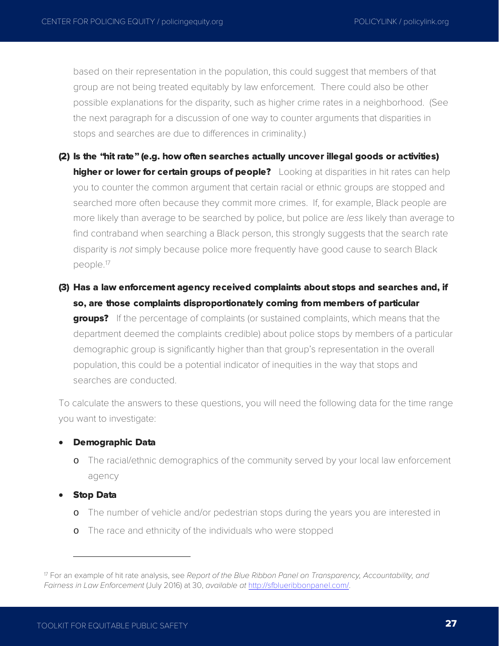based on their representation in the population, this could suggest that members of that group are not being treated equitably by law enforcement. There could also be other possible explanations for the disparity, such as higher crime rates in a neighborhood. (See the next paragraph for a discussion of one way to counter arguments that disparities in stops and searches are due to differences in criminality.)

- (2) Is the "hit rate" (e.g. how often searches actually uncover illegal goods or activities) higher or lower for certain groups of people? Looking at disparities in hit rates can help you to counter the common argument that certain racial or ethnic groups are stopped and searched more often because they commit more crimes. If, for example, Black people are more likely than average to be searched by police, but police are less likely than average to find contraband when searching a Black person, this strongly suggests that the search rate disparity is not simply because police more frequently have good cause to search Black people. [17](#page-28-0)
- (3) Has a law enforcement agency received complaints about stops and searches and, if so, are those complaints disproportionately coming from members of particular groups? If the percentage of complaints (or sustained complaints, which means that the department deemed the complaints credible) about police stops by members of a particular demographic group is significantly higher than that group's representation in the overall population, this could be a potential indicator of inequities in the way that stops and searches are conducted.

To calculate the answers to these questions, you will need the following data for the time range you want to investigate:

#### • Demographic Data

- o The racial/ethnic demographics of the community served by your local law enforcement agency
- Stop Data

- o The number of vehicle and/or pedestrian stops during the years you are interested in
- o The race and ethnicity of the individuals who were stopped

<span id="page-28-0"></span> $17$  For an example of hit rate analysis, see Report of the Blue Ribbon Panel on Transparency, Accountability, and Fairness in Law Enforcement (July 2016) at 30, available at [http://sfblueribbonpanel.com/.](http://sfblueribbonpanel.com/)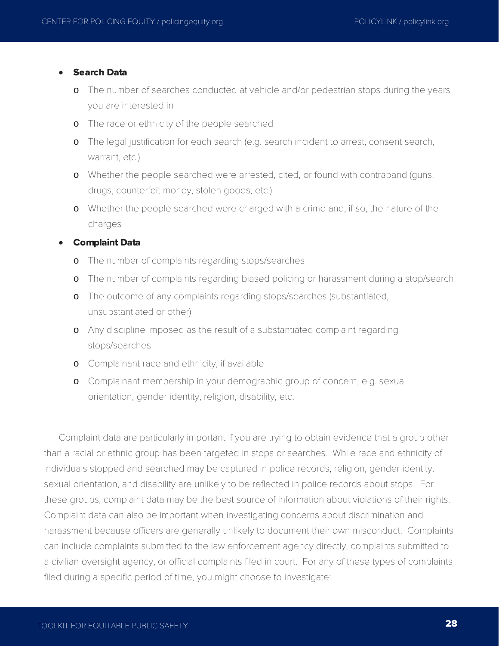#### **Search Data**

- o The number of searches conducted at vehicle and/or pedestrian stops during the years you are interested in
- o The race or ethnicity of the people searched
- o The legal justification for each search (e.g. search incident to arrest, consent search, warrant, etc.)
- o Whether the people searched were arrested, cited, or found with contraband (guns, drugs, counterfeit money, stolen goods, etc.)
- o Whether the people searched were charged with a crime and, if so, the nature of the charges

#### **Complaint Data**

- o The number of complaints regarding stops/searches
- o The number of complaints regarding biased policing or harassment during a stop/search
- o The outcome of any complaints regarding stops/searches (substantiated, unsubstantiated or other)
- o Any discipline imposed as the result of a substantiated complaint regarding stops/searches
- o Complainant race and ethnicity, if available
- o Complainant membership in your demographic group of concern, e.g. sexual orientation, gender identity, religion, disability, etc.

Complaint data are particularly important if you are trying to obtain evidence that a group other than a racial or ethnic group has been targeted in stops or searches. While race and ethnicity of individuals stopped and searched may be captured in police records, religion, gender identity, sexual orientation, and disability are unlikely to be reflected in police records about stops. For these groups, complaint data may be the best source of information about violations of their rights. Complaint data can also be important when investigating concerns about discrimination and harassment because officers are generally unlikely to document their own misconduct. Complaints can include complaints submitted to the law enforcement agency directly, complaints submitted to a civilian oversight agency, or official complaints filed in court. For any of these types of complaints filed during a specific period of time, you might choose to investigate: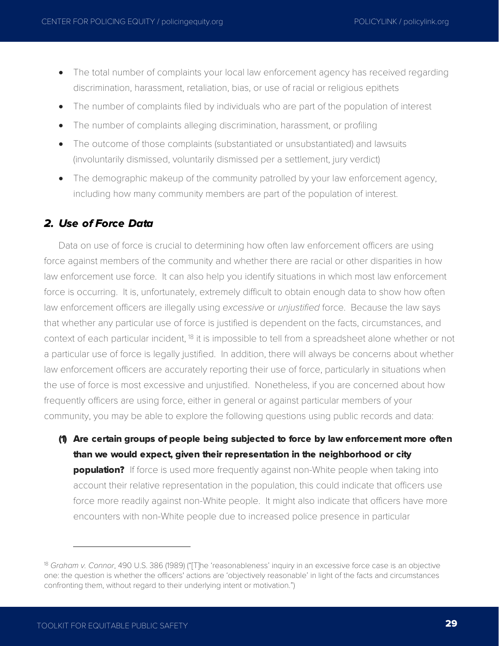- The total number of complaints your local law enforcement agency has received regarding discrimination, harassment, retaliation, bias, or use of racial or religious epithets
- The number of complaints filed by individuals who are part of the population of interest
- The number of complaints alleging discrimination, harassment, or profiling
- The outcome of those complaints (substantiated or unsubstantiated) and lawsuits (involuntarily dismissed, voluntarily dismissed per a settlement, jury verdict)
- The demographic makeup of the community patrolled by your law enforcement agency, including how many community members are part of the population of interest.

#### <span id="page-30-0"></span>2. Use of Force Data

Data on use of force is crucial to determining how often law enforcement officers are using force against members of the community and whether there are racial or other disparities in how law enforcement use force. It can also help you identify situations in which most law enforcement force is occurring. It is, unfortunately, extremely difficult to obtain enough data to show how often law enforcement officers are illegally using excessive or unjustified force. Because the law says that whether any particular use of force is justified is dependent on the facts, circumstances, and context of each particular incident, [18](#page-30-1) it is impossible to tell from a spreadsheet alone whether or not a particular use of force is legally justified. In addition, there will always be concerns about whether law enforcement officers are accurately reporting their use of force, particularly in situations when the use of force is most excessive and unjustified. Nonetheless, if you are concerned about how frequently officers are using force, either in general or against particular members of your community, you may be able to explore the following questions using public records and data:

(1) Are certain groups of people being subjected to force by law enforcement more often than we would expect, given their representation in the neighborhood or city **population?** If force is used more frequently against non-White people when taking into account their relative representation in the population, this could indicate that officers use force more readily against non-White people. It might also indicate that officers have more encounters with non-White people due to increased police presence in particular

<span id="page-30-1"></span><sup>&</sup>lt;sup>18</sup> Graham v. Connor, 490 U.S. 386 (1989) ("[T]he 'reasonableness' inquiry in an excessive force case is an objective one: the question is whether the officers' actions are 'objectively reasonable' in light of the facts and circumstances confronting them, without regard to their underlying intent or motivation.")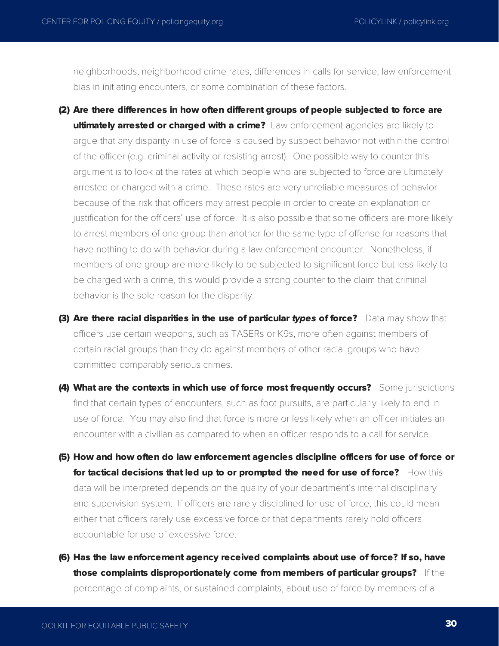neighborhoods, neighborhood crime rates, differences in calls for service, law enforcement bias in initiating encounters, or some combination of these factors.

- (2) Are there differences in how often different groups of people subjected to force are ultimately arrested or charged with a crime? Law enforcement agencies are likely to argue that any disparity in use of force is caused by suspect behavior not within the control of the officer (e.g. criminal activity or resisting arrest). One possible way to counter this argument is to look at the rates at which people who are subjected to force are ultimately arrested or charged with a crime. These rates are very unreliable measures of behavior because of the risk that officers may arrest people in order to create an explanation or justification for the officers' use of force. It is also possible that some officers are more likely to arrest members of one group than another for the same type of offense for reasons that have nothing to do with behavior during a law enforcement encounter. Nonetheless, if members of one group are more likely to be subjected to significant force but less likely to be charged with a crime, this would provide a strong counter to the claim that criminal behavior is the sole reason for the disparity.
- (3) Are there racial disparities in the use of particular types of force? Data may show that officers use certain weapons, such as TASERs or K9s, more often against members of certain racial groups than they do against members of other racial groups who have committed comparably serious crimes.
- (4) What are the contexts in which use of force most frequently occurs? Some jurisdictions find that certain types of encounters, such as foot pursuits, are particularly likely to end in use of force. You may also find that force is more or less likely when an officer initiates an encounter with a civilian as compared to when an officer responds to a call for service.
- (5) How and how often do law enforcement agencies discipline officers for use of force or for tactical decisions that led up to or prompted the need for use of force?  $\,$  How this data will be interpreted depends on the quality of your department's internal disciplinary and supervision system. If officers are rarely disciplined for use of force, this could mean either that officers rarely use excessive force or that departments rarely hold officers accountable for use of excessive force.
- (6) Has the law enforcement agency received complaints about use of force? If so, have those complaints disproportionately come from members of particular groups? If the percentage of complaints, or sustained complaints, about use of force by members of a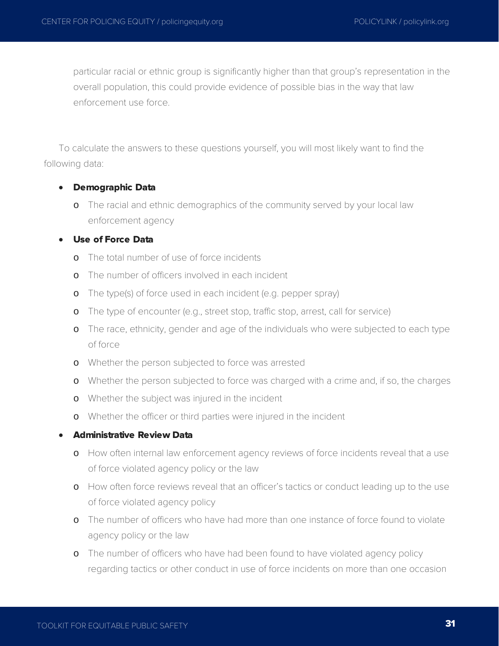particular racial or ethnic group is significantly higher than that group's representation in the overall population, this could provide evidence of possible bias in the way that law enforcement use force.

To calculate the answers to these questions yourself, you will most likely want to find the following data:

#### • Demographic Data

o The racial and ethnic demographics of the community served by your local law enforcement agency

#### Use of Force Data

- o The total number of use of force incidents
- o The number of officers involved in each incident
- o The type(s) of force used in each incident (e.g. pepper spray)
- o The type of encounter (e.g., street stop, traffic stop, arrest, call for service)
- o The race, ethnicity, gender and age of the individuals who were subjected to each type of force
- o Whether the person subjected to force was arrested
- o Whether the person subjected to force was charged with a crime and, if so, the charges
- o Whether the subject was injured in the incident
- o Whether the officer or third parties were injured in the incident

#### • Administrative Review Data

- o How often internal law enforcement agency reviews of force incidents reveal that a use of force violated agency policy or the law
- o How often force reviews reveal that an officer's tactics or conduct leading up to the use of force violated agency policy
- o The number of officers who have had more than one instance of force found to violate agency policy or the law
- o The number of officers who have had been found to have violated agency policy regarding tactics or other conduct in use of force incidents on more than one occasion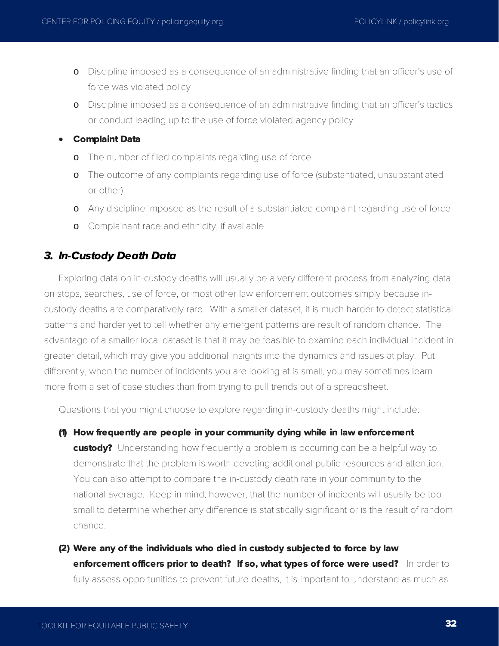- o Discipline imposed as a consequence of an administrative finding that an officer's use of force was violated policy
- o Discipline imposed as a consequence of an administrative finding that an officer's tactics or conduct leading up to the use of force violated agency policy

#### • Complaint Data

- o The number of filed complaints regarding use of force
- o The outcome of any complaints regarding use of force (substantiated, unsubstantiated or other)
- o Any discipline imposed as the result of a substantiated complaint regarding use of force
- o Complainant race and ethnicity, if available

#### <span id="page-33-0"></span>3. In-Custody Death Data

Exploring data on in-custody deaths will usually be a very different process from analyzing data on stops, searches, use of force, or most other law enforcement outcomes simply because incustody deaths are comparatively rare. With a smaller dataset, it is much harder to detect statistical patterns and harder yet to tell whether any emergent patterns are result of random chance. The advantage of a smaller local dataset is that it may be feasible to examine each individual incident in greater detail, which may give you additional insights into the dynamics and issues at play. Put differently, when the number of incidents you are looking at is small, you may sometimes learn more from a set of case studies than from trying to pull trends out of a spreadsheet.

Questions that you might choose to explore regarding in-custody deaths might include:

- (1) How frequently are people in your community dying while in law enforcement **custody?** Understanding how frequently a problem is occurring can be a helpful way to demonstrate that the problem is worth devoting additional public resources and attention. You can also attempt to compare the in-custody death rate in your community to the national average. Keep in mind, however, that the number of incidents will usually be too small to determine whether any difference is statistically significant or is the result of random chance.
- (2) Were any of the individuals who died in custody subjected to force by law enforcement officers prior to death? If so, what types of force were used? In order to fully assess opportunities to prevent future deaths, it is important to understand as much as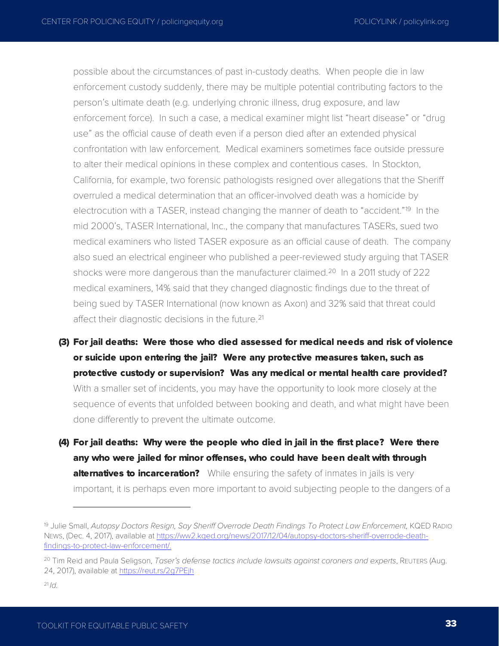possible about the circumstances of past in-custody deaths. When people die in law enforcement custody suddenly, there may be multiple potential contributing factors to the person's ultimate death (e.g. underlying chronic illness, drug exposure, and law enforcement force). In such a case, a medical examiner might list "heart disease" or "drug use" as the official cause of death even if a person died after an extended physical confrontation with law enforcement. Medical examiners sometimes face outside pressure to alter their medical opinions in these complex and contentious cases. In Stockton, California, for example, two forensic pathologists resigned over allegations that the Sheriff overruled a medical determination that an officer-involved death was a homicide by electrocution with a TASER, instead changing the manner of death to "accident."<sup>19</sup> In the mid 2000's, TASER International, Inc., the company that manufactures TASERs, sued two medical examiners who listed TASER exposure as an official cause of death. The company also sued an electrical engineer who published a peer-reviewed study arguing that TASER shocks were more dangerous than the manufacturer claimed.<sup>[20](#page-34-1)</sup> In a 2011 study of 222 medical examiners, 14% said that they changed diagnostic findings due to the threat of being sued by TASER International (now known as Axon) and 32% said that threat could affect their diagnostic decisions in the future.<sup>[21](#page-34-2)</sup>

- (3) For jail deaths: Were those who died assessed for medical needs and risk of violence or suicide upon entering the jail? Were any protective measures taken, such as protective custody or supervision? Was any medical or mental health care provided? With a smaller set of incidents, you may have the opportunity to look more closely at the sequence of events that unfolded between booking and death, and what might have been done differently to prevent the ultimate outcome.
- (4) For jail deaths: Why were the people who died in jail in the first place? Were there any who were jailed for minor offenses, who could have been dealt with through alternatives to incarceration? While ensuring the safety of inmates in jails is very important, it is perhaps even more important to avoid subjecting people to the dangers of a

<span id="page-34-0"></span><sup>&</sup>lt;sup>19</sup> Julie Small, Autopsy Doctors Resign, Say Sheriff Overrode Death Findings To Protect Law Enforcement, KQED RADIO NEws, (Dec. 4, 2017), available at [https://ww2.kqed.org/news/2017/12/04/autopsy-doctors-sheriff-overrode-death](https://ww2.kqed.org/news/2017/12/04/autopsy-doctors-sheriff-overrode-death-findings-to-protect-law-enforcement/)[findings-to-protect-law-enforcement/.](https://ww2.kqed.org/news/2017/12/04/autopsy-doctors-sheriff-overrode-death-findings-to-protect-law-enforcement/)

<span id="page-34-1"></span><sup>&</sup>lt;sup>20</sup> Tim Reid and Paula Seligson, Taser's defense tactics include lawsuits against coroners and experts, REUTERS (Aug. 24, 2017), available at<https://reut.rs/2g7PEjh>

<span id="page-34-2"></span> $^{21}$  Id.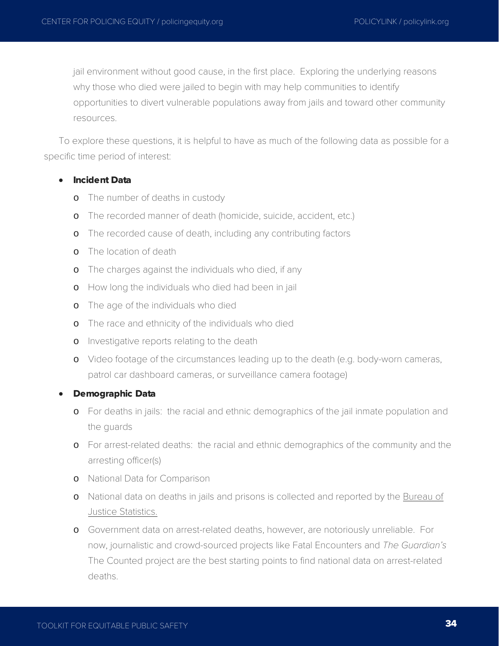jail environment without good cause, in the first place. Exploring the underlying reasons why those who died were jailed to begin with may help communities to identify opportunities to divert vulnerable populations away from jails and toward other community resources.

To explore these questions, it is helpful to have as much of the following data as possible for a specific time period of interest:

#### **Incident Data**

- o The number of deaths in custody
- o The recorded manner of death (homicide, suicide, accident, etc.)
- o The recorded cause of death, including any contributing factors
- o The location of death
- o The charges against the individuals who died, if any
- o How long the individuals who died had been in jail
- o The age of the individuals who died
- o The race and ethnicity of the individuals who died
- o Investigative reports relating to the death
- o Video footage of the circumstances leading up to the death (e.g. body-worn cameras, patrol car dashboard cameras, or surveillance camera footage)

#### • Demographic Data

- o For deaths in jails: the racial and ethnic demographics of the jail inmate population and the guards
- o For arrest-related deaths: the racial and ethnic demographics of the community and the arresting officer(s)
- o National Data for Comparison
- o National data on deaths in jails and prisons is collected and reported by the [Bureau of](https://www.bjs.gov/index.cfm?ty=dcdetail&iid=243)  [Justice Statistics.](https://www.bjs.gov/index.cfm?ty=dcdetail&iid=243)
- o Government data on arrest-related deaths, however, are notoriously unreliable. For now, journalistic and crowd-sourced projects like [Fatal Encounters](http://www.fatalencounters.org/) and The Guardian's [The Counted](https://www.theguardian.com/us-news/series/counted-us-police-killings) project are the best starting points to find national data on arrest-related deaths.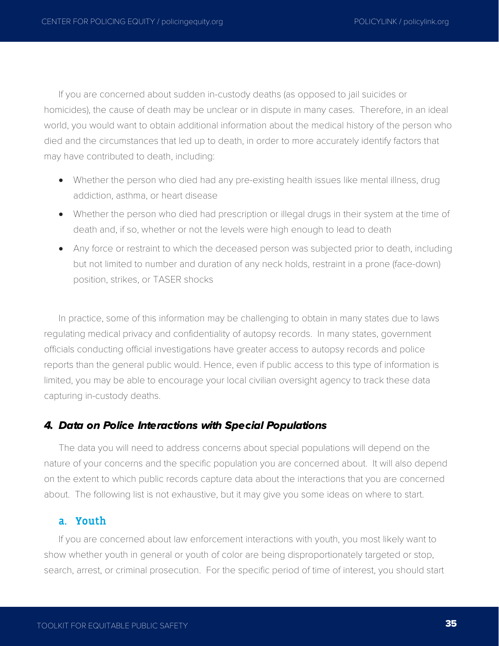If you are concerned about sudden in-custody deaths (as opposed to jail suicides or homicides), the cause of death may be unclear or in dispute in many cases. Therefore, in an ideal world, you would want to obtain additional information about the medical history of the person who died and the circumstances that led up to death, in order to more accurately identify factors that may have contributed to death, including:

- Whether the person who died had any pre-existing health issues like mental illness, drug addiction, asthma, or heart disease
- Whether the person who died had prescription or illegal drugs in their system at the time of death and, if so, whether or not the levels were high enough to lead to death
- Any force or restraint to which the deceased person was subjected prior to death, including but not limited to number and duration of any neck holds, restraint in a prone (face-down) position, strikes, or TASER shocks

In practice, some of this information may be challenging to obtain in many states due to laws regulating medical privacy and confidentiality of autopsy records. In many states, government officials conducting official investigations have greater access to autopsy records and police reports than the general public would. Hence, even if public access to this type of information is limited, you may be able to encourage your local civilian oversight agency to track these data capturing in-custody deaths.

## 4. Data on Police Interactions with Special Populations

The data you will need to address concerns about special populations will depend on the nature of your concerns and the specific population you are concerned about. It will also depend on the extent to which public records capture data about the interactions that you are concerned about. The following list is not exhaustive, but it may give you some ideas on where to start.

## a. Youth

If you are concerned about law enforcement interactions with youth, you most likely want to show whether youth in general or youth of color are being disproportionately targeted or stop, search, arrest, or criminal prosecution. For the specific period of time of interest, you should start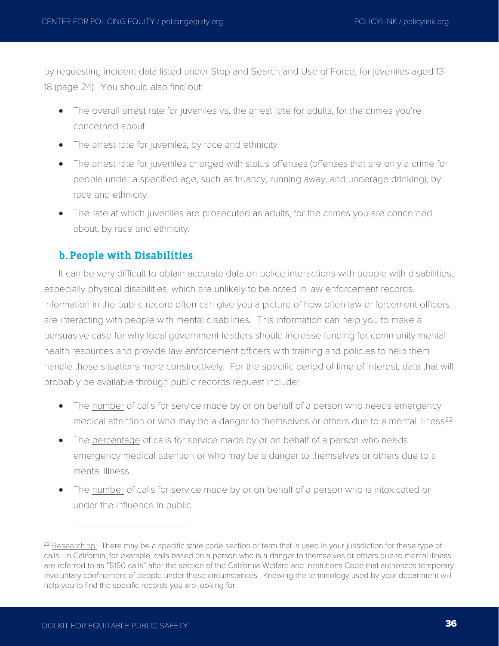by requesting incident data listed under Stop and Search and Use of Force, for juveniles aged 13- 18 (page 24). You should also find out:

- The overall arrest rate for juveniles vs. the arrest rate for adults, for the crimes you're concerned about
- The arrest rate for juveniles, by race and ethnicity
- The arrest rate for juveniles charged with status offenses (offenses that are only a crime for people under a specified age, such as truancy, running away, and underage drinking), by race and ethnicity
- The rate at which juveniles are prosecuted as adults, for the crimes you are concerned about, by race and ethnicity.

## b. People with Disabilities

It can be very difficult to obtain accurate data on police interactions with people with disabilities, especially physical disabilities, which are unlikely to be noted in law enforcement records. Information in the public record often can give you a picture of how often law enforcement officers are interacting with people with mental disabilities. This information can help you to make a persuasive case for why local government leaders should increase funding for community mental health resources and provide law enforcement officers with training and policies to help them handle those situations more constructively. For the specific period of time of interest, data that will probably be available through public records request include:

- The number of calls for service made by or on behalf of a person who needs emergency medical attention or who may be a danger to themselves or others due to a mental illness<sup>[22](#page-37-0)</sup>
- The percentage of calls for service made by or on behalf of a person who needs emergency medical attention or who may be a danger to themselves or others due to a mental illness
- The number of calls for service made by or on behalf of a person who is intoxicated or under the influence in public

<span id="page-37-0"></span><sup>&</sup>lt;sup>22</sup> Research tip: There may be a specific state code section or term that is used in your jurisdiction for these type of calls. In California, for example, calls based on a person who is a danger to themselves or others due to mental illness are referred to as "5150 calls" after the section of the California Welfare and Institutions Code that authorizes temporary involuntary confinement of people under those circumstances. Knowing the terminology used by your department will help you to find the specific records you are looking for.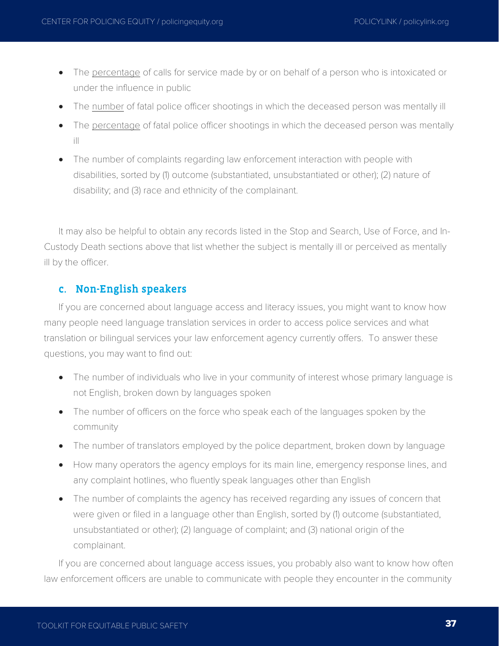- The percentage of calls for service made by or on behalf of a person who is intoxicated or under the influence in public
- The number of fatal police officer shootings in which the deceased person was mentally ill
- The percentage of fatal police officer shootings in which the deceased person was mentally ill
- The number of complaints regarding law enforcement interaction with people with disabilities, sorted by (1) outcome (substantiated, unsubstantiated or other); (2) nature of disability; and (3) race and ethnicity of the complainant.

It may also be helpful to obtain any records listed in the Stop and Search, Use of Force, and In-Custody Death sections above that list whether the subject is mentally ill or perceived as mentally ill by the officer.

## c. Non-English speakers

If you are concerned about language access and literacy issues, you might want to know how many people need language translation services in order to access police services and what translation or bilingual services your law enforcement agency currently offers. To answer these questions, you may want to find out:

- The number of individuals who live in your community of interest whose primary language is not English, broken down by languages spoken
- The number of officers on the force who speak each of the languages spoken by the community
- The number of translators employed by the police department, broken down by language
- How many operators the agency employs for its main line, emergency response lines, and any complaint hotlines, who fluently speak languages other than English
- The number of complaints the agency has received regarding any issues of concern that were given or filed in a language other than English, sorted by (1) outcome (substantiated, unsubstantiated or other); (2) language of complaint; and (3) national origin of the complainant.

If you are concerned about language access issues, you probably also want to know how often law enforcement officers are unable to communicate with people they encounter in the community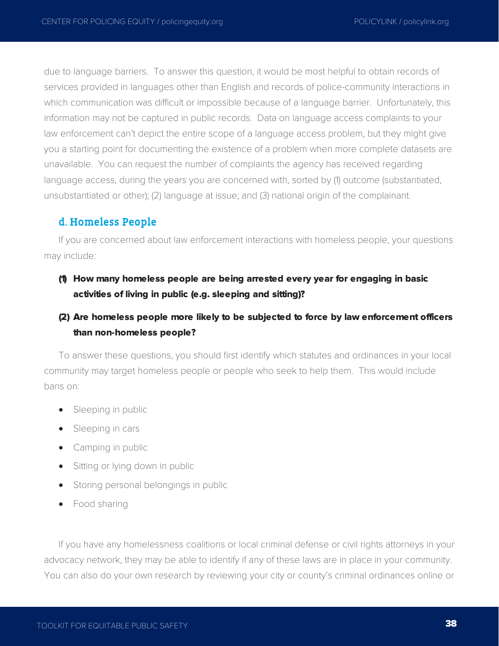due to language barriers. To answer this question, it would be most helpful to obtain records of services provided in languages other than English and records of police-community interactions in which communication was difficult or impossible because of a language barrier. Unfortunately, this information may not be captured in public records. Data on language access complaints to your law enforcement can't depict the entire scope of a language access problem, but they might give you a starting point for documenting the existence of a problem when more complete datasets are unavailable. You can request the number of complaints the agency has received regarding language access, during the years you are concerned with, sorted by (1) outcome (substantiated, unsubstantiated or other); (2) language at issue; and (3) national origin of the complainant.

## d. Homeless People

If you are concerned about law enforcement interactions with homeless people, your questions may include:

(1) How many homeless people are being arrested every year for engaging in basic activities of living in public (e.g. sleeping and sitting)?

## (2) Are homeless people more likely to be subjected to force by law enforcement officers than non-homeless people?

To answer these questions, you should first identify which statutes and ordinances in your local community may target homeless people or people who seek to help them. This would include bans on:

- Sleeping in public
- Sleeping in cars
- Camping in public
- **Sitting or lying down in public**
- Storing personal belongings in public
- Food sharing

If you have any homelessness coalitions or local criminal defense or civil rights attorneys in your advocacy network, they may be able to identify if any of these laws are in place in your community. You can also do your own research by reviewing your city or county's criminal ordinances online or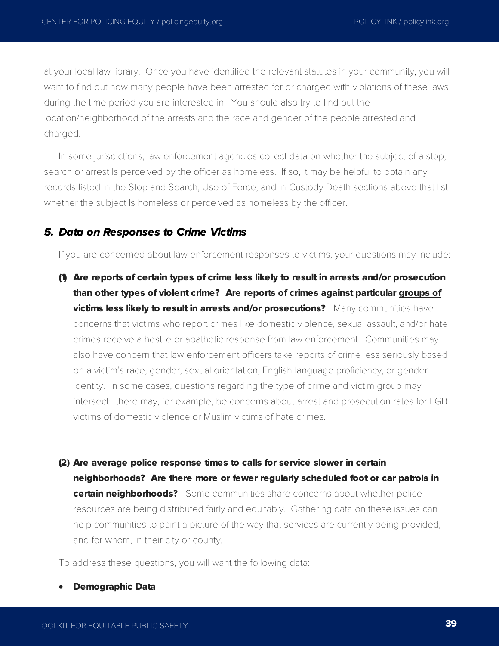at your local law library. Once you have identified the relevant statutes in your community, you will want to find out how many people have been arrested for or charged with violations of these laws during the time period you are interested in. You should also try to find out the location/neighborhood of the arrests and the race and gender of the people arrested and charged.

In some jurisdictions, law enforcement agencies collect data on whether the subject of a stop, search or arrest Is perceived by the officer as homeless. If so, it may be helpful to obtain any records listed In the Stop and Search, Use of Force, and In-Custody Death sections above that list whether the subject Is homeless or perceived as homeless by the officer.

#### 5. Data on Responses to Crime Victims

If you are concerned about law enforcement responses to victims, your questions may include:

- (1) Are reports of certain types of crime less likely to result in arrests and/or prosecution than other types of violent crime? Are reports of crimes against particular groups of victims less likely to result in arrests and/or prosecutions? Many communities have concerns that victims who report crimes like domestic violence, sexual assault, and/or hate crimes receive a hostile or apathetic response from law enforcement. Communities may also have concern that law enforcement officers take reports of crime less seriously based on a victim's race, gender, sexual orientation, English language proficiency, or gender identity. In some cases, questions regarding the type of crime and victim group may intersect: there may, for example, be concerns about arrest and prosecution rates for LGBT victims of domestic violence or Muslim victims of hate crimes.
- (2) Are average police response times to calls for service slower in certain neighborhoods? Are there more or fewer regularly scheduled foot or car patrols in certain neighborhoods? Some communities share concerns about whether police resources are being distributed fairly and equitably. Gathering data on these issues can help communities to paint a picture of the way that services are currently being provided, and for whom, in their city or county.

To address these questions, you will want the following data:

• Demographic Data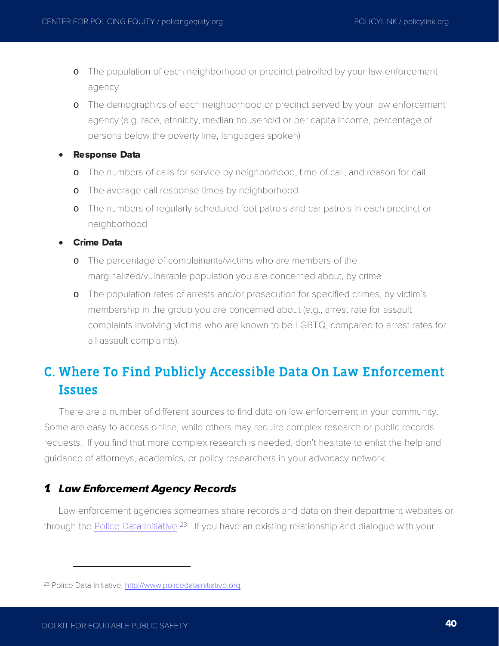- o The population of each neighborhood or precinct patrolled by your law enforcement agency
- o The demographics of each neighborhood or precinct served by your law enforcement agency (e.g. race, ethnicity, median household or per capita income, percentage of persons below the poverty line, languages spoken)

#### • Response Data

- o The numbers of calls for service by neighborhood, time of call, and reason for call
- o The average call response times by neighborhood
- o The numbers of regularly scheduled foot patrols and car patrols in each precinct or neighborhood

#### • Crime Data

- o The percentage of complainants/victims who are members of the marginalized/vulnerable population you are concerned about, by crime
- o The population rates of arrests and/or prosecution for specified crimes, by victim's membership in the group you are concerned about (e.g., arrest rate for assault complaints involving victims who are known to be LGBTQ, compared to arrest rates for all assault complaints).

# C. Where To Find Publicly Accessible Data On Law Enforcement Issues

There are a number of different sources to find data on law enforcement in your community. Some are easy to access online, while others may require complex research or public records requests. If you find that more complex research is needed, don't hesitate to enlist the help and guidance of attorneys, academics, or policy researchers in your advocacy network.

## 1. Law Enforcement Agency Records

Law enforcement agencies sometimes share records and data on their department websites or through the [Police Data Initiative.](http://www.policedatainitiative.org/)<sup>23</sup> If you have an existing relationship and dialogue with your

<span id="page-41-0"></span><sup>23</sup> Police Data Initiative, [http://www.policedatainitiative.org.](http://www.policedatainitiative.org/)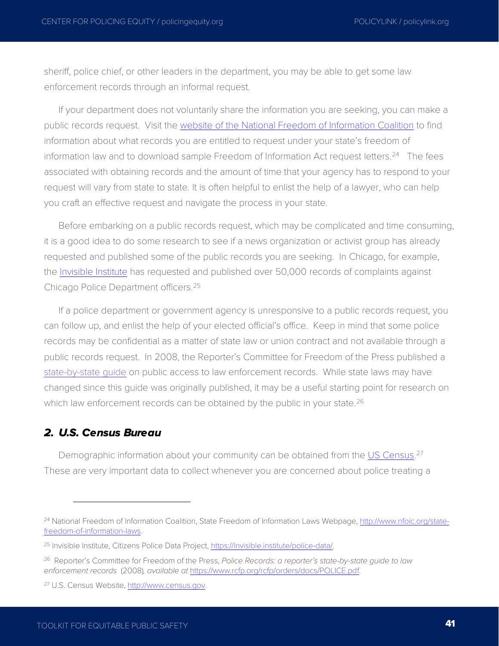sheriff, police chief, or other leaders in the department, you may be able to get some law enforcement records through an informal request.

If your department does not voluntarily share the information you are seeking, you can make a public records request. Visit the [website of the National Freedom of Information Coalition](http://www.nfoic.org/state-freedom-of-information-laws) to find information about what records you are entitled to request under your state's freedom of information law and to download sample Freedom of Information Act request letters.<sup>[24](#page-42-0)</sup> The fees associated with obtaining records and the amount of time that your agency has to respond to your request will vary from state to state. It is often helpful to enlist the help of a lawyer, who can help you craft an effective request and navigate the process in your state.

Before embarking on a public records request, which may be complicated and time consuming, it is a good idea to do some research to see if a news organization or activist group has already requested and published some of the public records you are seeking. In Chicago, for example, the [Invisible Institute](https://invisible.institute/police-data/) has requested and published over 50,000 records of complaints against Chicago Police Department officers.[25](#page-42-1)

If a police department or government agency is unresponsive to a public records request, you can follow up, and enlist the help of your elected official's office. Keep in mind that some police records may be confidential as a matter of state law or union contract and not available through a public records request. In 2008, the Reporter's Committee for Freedom of the Press published a [state-by-state guide](https://www.rcfp.org/rcfp/orders/docs/POLICE.pdf) on public access to law enforcement records. While state laws may have changed since this guide was originally published, it may be a useful starting point for research on which law enforcement records can be obtained by the public in your state.<sup>[26](#page-42-2)</sup>

### 2. U.S. Census Bureau

 $\overline{a}$ 

Demographic information about your community can be obtained from the [US Census.](http://www.census.gov/)<sup>27</sup> These are very important data to collect whenever you are concerned about police treating a

<span id="page-42-0"></span><sup>&</sup>lt;sup>24</sup> National Freedom of Information Coalition, State Freedom of Information Laws Webpage, [http://www.nfoic.org/state](http://www.nfoic.org/state-freedom-of-information-laws)[freedom-of-information-laws.](http://www.nfoic.org/state-freedom-of-information-laws)

<span id="page-42-1"></span><sup>&</sup>lt;sup>25</sup> Invisible Institute, Citizens Police Data Project, [https://invisible.institute/police-data/.](https://invisible.institute/police-data/)

<span id="page-42-2"></span><sup>&</sup>lt;sup>26</sup> Reporter's Committee for Freedom of the Press, Police Records: a reporter's state-by-state guide to law enforcement records (2008), available at [https://www.rcfp.org/rcfp/orders/docs/POLICE.pdf.](https://www.rcfp.org/rcfp/orders/docs/POLICE.pdf)

<span id="page-42-3"></span><sup>27</sup> U.S. Census Website, [http://](http://www.policedatainitiative.org/)[www.census.gov.](http://www.census.gov/)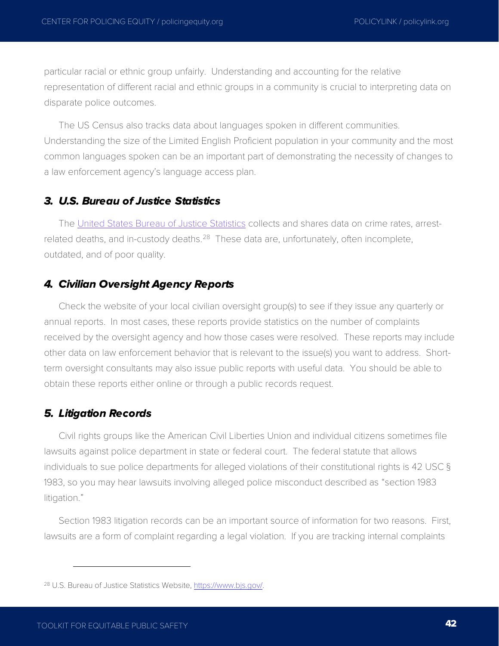particular racial or ethnic group unfairly. Understanding and accounting for the relative representation of different racial and ethnic groups in a community is crucial to interpreting data on disparate police outcomes.

The US Census also tracks data about languages spoken in different communities. Understanding the size of the Limited English Proficient population in your community and the most common languages spoken can be an important part of demonstrating the necessity of changes to a law enforcement agency's language access plan.

## 3. U.S. Bureau of Justice Statistics

The [United States Bureau of Justice Statistics](https://www.bjs.gov/) collects and shares data on crime rates, arrest-related deaths, and in-custody deaths.<sup>[28](#page-43-0)</sup> These data are, unfortunately, often incomplete, outdated, and of poor quality.

## 4. Civilian Oversight Agency Reports

Check the website of your local civilian oversight group(s) to see if they issue any quarterly or annual reports. In most cases, these reports provide statistics on the number of complaints received by the oversight agency and how those cases were resolved. These reports may include other data on law enforcement behavior that is relevant to the issue(s) you want to address. Shortterm oversight consultants may also issue public reports with useful data. You should be able to obtain these reports either online or through a public records request.

## 5. Litigation Records

Civil rights groups like the American Civil Liberties Union and individual citizens sometimes file lawsuits against police department in state or federal court. The federal statute that allows individuals to sue police departments for alleged violations of their constitutional rights is 42 USC § 1983, so you may hear lawsuits involving alleged police misconduct described as "section 1983 litigation."

Section 1983 litigation records can be an important source of information for two reasons. First, lawsuits are a form of complaint regarding a legal violation. If you are tracking internal complaints

<span id="page-43-0"></span><sup>28</sup> U.S. Bureau of Justice Statistics Website, [https://www.bjs.gov/.](https://www.bjs.gov/)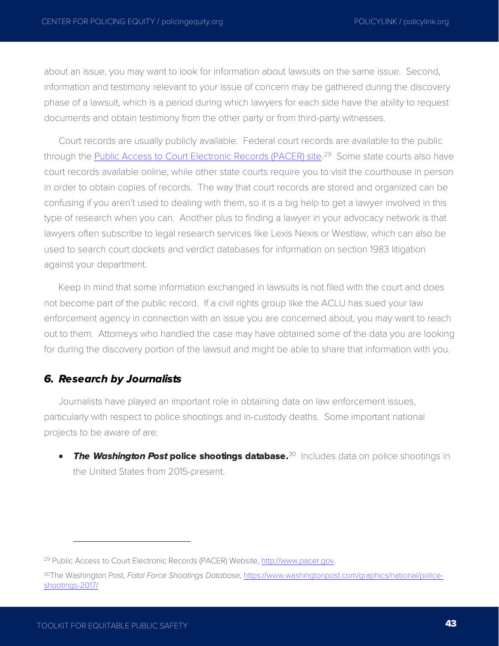about an issue, you may want to look for information about lawsuits on the same issue. Second, information and testimony relevant to your issue of concern may be gathered during the discovery phase of a lawsuit, which is a period during which lawyers for each side have the ability to request documents and obtain testimony from the other party or from third-party witnesses.

Court records are usually publicly available. Federal court records are available to the public through the [Public Access to Court Electronic Records \(PACER\)](http://www.pacer.gov/) site.<sup>29</sup> Some state courts also have court records available online, while other state courts require you to visit the courthouse in person in order to obtain copies of records. The way that court records are stored and organized can be confusing if you aren't used to dealing with them, so it is a big help to get a lawyer involved in this type of research when you can. Another plus to finding a lawyer in your advocacy network is that lawyers often subscribe to legal research services like Lexis Nexis or Westlaw, which can also be used to search court dockets and verdict databases for information on section 1983 litigation against your department.

Keep in mind that some information exchanged in lawsuits is not filed with the court and does not become part of the public record. If a civil rights group like the ACLU has sued your law enforcement agency in connection with an issue you are concerned about, you may want to reach out to them. Attorneys who handled the case may have obtained some of the data you are looking for during the discovery portion of the lawsuit and might be able to share that information with you.

#### 6. Research by Journalists

Journalists have played an important role in obtaining data on law enforcement issues, particularly with respect to police shootings and in-custody deaths. Some important national projects to be aware of are:

• [The Washington Post](https://www.washingtonpost.com/graphics/national/police-shootings-2016/) [police shootings database.](https://www.washingtonpost.com/graphics/national/police-shootings-2016/)<sup>[30](#page-44-1)</sup> Includes data on police shootings in the United States from 2015-present.

<span id="page-44-0"></span><sup>&</sup>lt;sup>29</sup> Public Access to Court Electronic Records (PACER) Website, [http://www.pacer.gov.](http://www.pacer.gov/)

<span id="page-44-1"></span><sup>30</sup>The Washington Post, Fatal Force Shootings Database, [https://www.washingtonpost.com/graphics/national/police](https://www.washingtonpost.com/graphics/national/police-shootings-2017/)[shootings-2017/](https://www.washingtonpost.com/graphics/national/police-shootings-2017/)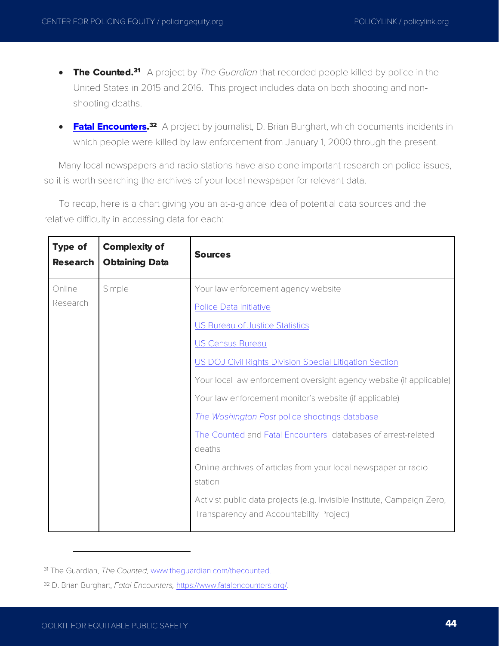- [The Counted.](https://www.theguardian.com/us-news/series/counted-us-police-killings)<sup>[31](#page-45-0)</sup> A project by The Guardian that recorded people killed by police in the United States in 2015 and 2016. This project includes data on both shooting and nonshooting deaths.
- [Fatal Encounters.](https://www.fatalencounters.org/)<sup>[32](#page-45-1)</sup> A project by journalist, D. Brian Burghart, which documents incidents in which people were killed by law enforcement from January 1, 2000 through the present.

Many local newspapers and radio stations have also done important research on police issues, so it is worth searching the archives of your local newspaper for relevant data.

To recap, here is a chart giving you an at-a-glance idea of potential data sources and the relative difficulty in accessing data for each:

| <b>Type of</b><br><b>Research</b> | <b>Complexity of</b><br><b>Obtaining Data</b> | <b>Sources</b>                                                                                                      |
|-----------------------------------|-----------------------------------------------|---------------------------------------------------------------------------------------------------------------------|
| Online                            | Simple                                        | Your law enforcement agency website                                                                                 |
| Research                          |                                               | Police Data Initiative                                                                                              |
|                                   |                                               | US Bureau of Justice Statistics                                                                                     |
|                                   |                                               | <b>US Census Bureau</b>                                                                                             |
|                                   |                                               | US DOJ Civil Rights Division Special Litigation Section                                                             |
|                                   |                                               | Your local law enforcement oversight agency website (if applicable)                                                 |
|                                   |                                               | Your law enforcement monitor's website (if applicable)                                                              |
|                                   |                                               | The Washington Post police shootings database                                                                       |
|                                   |                                               | The Counted and Fatal Encounters databases of arrest-related<br>deaths                                              |
|                                   |                                               | Online archives of articles from your local newspaper or radio<br>station                                           |
|                                   |                                               | Activist public data projects (e.g. Invisible Institute, Campaign Zero,<br>Transparency and Accountability Project) |

<span id="page-45-0"></span><sup>&</sup>lt;sup>31</sup> The Guardian, The Counted, [www.theguardian.com/thecounted.](http://www.theguardian.com/thecounted)

<span id="page-45-1"></span><sup>32</sup> D. Brian Burghart, Fatal Encounters, <https://www.fatalencounters.org/>.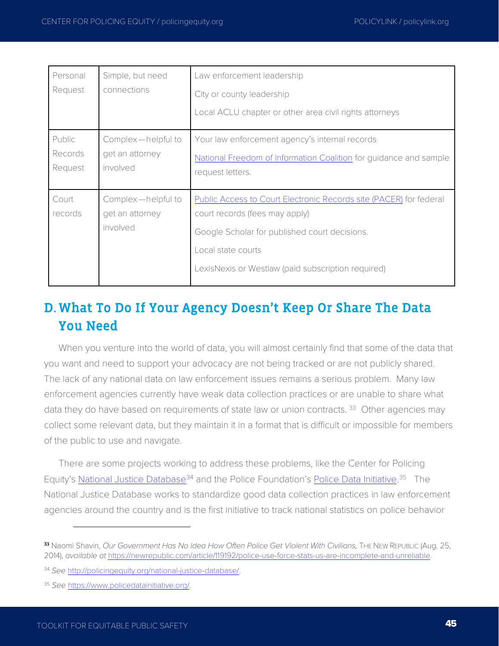| Personal<br>Request          | Simple, but need<br>connections                   | Law enforcement leadership<br>City or county leadership<br>Local ACLU chapter or other area civil rights attorneys                                                                                                                |
|------------------------------|---------------------------------------------------|-----------------------------------------------------------------------------------------------------------------------------------------------------------------------------------------------------------------------------------|
| Public<br>Records<br>Request | Complex-helpful to<br>get an attorney<br>involved | Your law enforcement agency's internal records<br>National Freedom of Information Coalition for guidance and sample<br>request letters.                                                                                           |
| Court<br>records             | Complex-helpful to<br>get an attorney<br>involved | Public Access to Court Electronic Records site (PACER) for federal<br>court records (fees may apply)<br>Google Scholar for published court decisions.<br>Local state courts<br>LexisNexis or Westlaw (paid subscription required) |

# D. What To Do If Your Agency Doesn't Keep Or Share The Data You Need

When you venture into the world of data, you will almost certainly find that some of the data that you want and need to support your advocacy are not being tracked or are not publicly shared. The lack of any national data on law enforcement issues remains a serious problem. Many law enforcement agencies currently have weak data collection practices or are unable to share what data they do have based on requirements of state law or union contracts.<sup>[33](#page-46-0)</sup> Other agencies may collect some relevant data, but they maintain it in a format that is difficult or impossible for members of the public to use and navigate.

There are some projects working to address these problems, like the Center for Policing Equity's <u>National Justice Database</u><sup>[34](#page-46-1)</sup> and the Police Foundation's <u>Police Data Initiative</u>.<sup>35</sup> The National Justice Database works to standardize good data collection practices in law enforcement agencies around the country and is the first initiative to track national statistics on police behavior

<span id="page-46-0"></span>**<sup>33</sup>** Naomi Shavin, Our Government Has No Idea How Often Police Get Violent With Civilians, THE NEW REPUBLIC (Aug. 25, 2014), available at [https://newrepublic.com/article/119192/police-use-force-stats-us-are-incomplete-and-unreliable.](https://newrepublic.com/article/119192/police-use-force-stats-us-are-incomplete-and-unreliable)

<span id="page-46-1"></span><sup>34</sup> See [http://policingequity.org/national-justice-database/.](http://policingequity.org/national-justice-database/)

<span id="page-46-2"></span><sup>35</sup> See https://www.policedatainitiative.org/.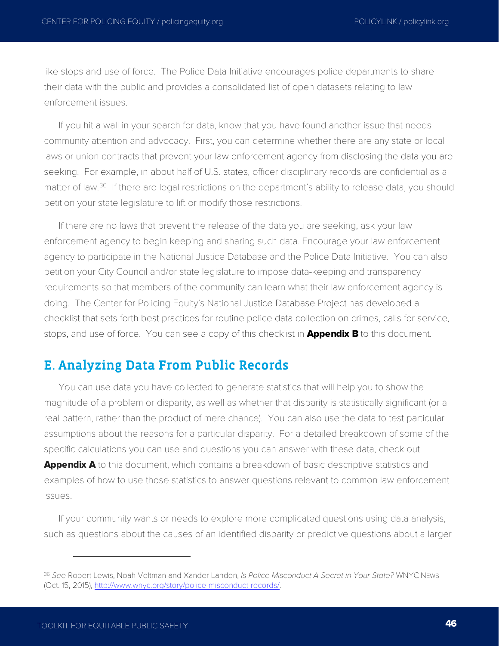like stops and use of force. The Police Data Initiative encourages police departments to share their data with the public and provides a consolidated list of open datasets relating to law enforcement issues.

If you hit a wall in your search for data, know that you have found another issue that needs community attention and advocacy. First, you can determine whether there are any state or local laws or union contracts that prevent your law enforcement agency from disclosing the data you are seeking. For example, in about half of U.S. states, officer disciplinary records are confidential as a matter of law.[36](#page-47-0) If there are legal restrictions on the department's ability to release data, you should petition your state legislature to lift or modify those restrictions.

If there are no laws that prevent the release of the data you are seeking, ask your law enforcement agency to begin keeping and sharing such data. Encourage your law enforcement agency to participate in the National Justice Database and the Police Data Initiative. You can also petition your City Council and/or state legislature to impose data-keeping and transparency requirements so that members of the community can learn what their law enforcement agency is doing. The Center for Policing Equity's National Justice Database Project has developed a checklist that sets forth best practices for routine police data collection on crimes, calls for service, stops, and use of force. You can see a copy of this checklist in **Appendix B** to this document.

# E. Analyzing Data From Public Records

You can use data you have collected to generate statistics that will help you to show the magnitude of a problem or disparity, as well as whether that disparity is statistically significant (or a real pattern, rather than the product of mere chance). You can also use the data to test particular assumptions about the reasons for a particular disparity. For a detailed breakdown of some of the specific calculations you can use and questions you can answer with these data, check out **Appendix A** to this document, which contains a breakdown of basic descriptive statistics and examples of how to use those statistics to answer questions relevant to common law enforcement issues.

If your community wants or needs to explore more complicated questions using data analysis, such as questions about the causes of an identified disparity or predictive questions about a larger

<span id="page-47-0"></span><sup>36</sup> See Robert Lewis, Noah Veltman and Xander Landen, Is Police Misconduct A Secret in Your State? WNYC News (Oct. 15, 2015), [http://www.wnyc.org/story/police-misconduct-records/.](http://www.wnyc.org/story/police-misconduct-records/)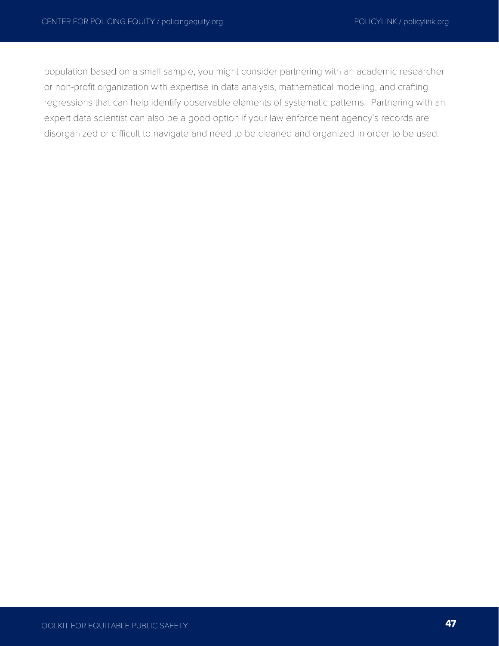population based on a small sample, you might consider partnering with an academic researcher or non-profit organization with expertise in data analysis, mathematical modeling, and crafting regressions that can help identify observable elements of systematic patterns. Partnering with an expert data scientist can also be a good option if your law enforcement agency's records are disorganized or difficult to navigate and need to be cleaned and organized in order to be used.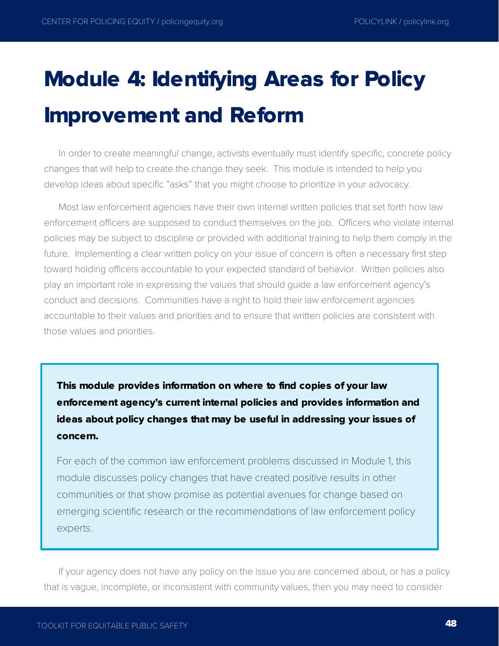# Module 4: Identifying Areas for Policy Improvement and Reform

In order to create meaningful change, activists eventually must identify specific, concrete policy changes that will help to create the change they seek. This module is intended to help you develop ideas about specific "asks" that you might choose to prioritize in your advocacy.

Most law enforcement agencies have their own internal written policies that set forth how law enforcement officers are supposed to conduct themselves on the job. Officers who violate internal policies may be subject to discipline or provided with additional training to help them comply in the future. Implementing a clear written policy on your issue of concern is often a necessary first step toward holding officers accountable to your expected standard of behavior. Written policies also play an important role in expressing the values that should guide a law enforcement agency's conduct and decisions. Communities have a right to hold their law enforcement agencies accountable to their values and priorities and to ensure that written policies are consistent with those values and priorities.

This module provides information on where to find copies of your law enforcement agency's current internal policies and provides information and ideas about policy changes that may be useful in addressing your issues of concern.

For each of the common law enforcement problems discussed in Module 1, this module discusses policy changes that have created positive results in other communities or that show promise as potential avenues for change based on emerging scientific research or the recommendations of law enforcement policy experts.

If your agency does not have any policy on the issue you are concerned about, or has a policy that is vague, incomplete, or inconsistent with community values, then you may need to consider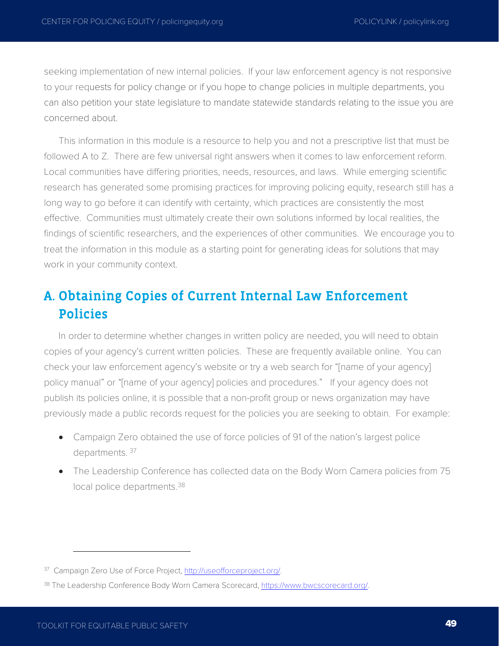seeking implementation of new internal policies. If your law enforcement agency is not responsive to your requests for policy change or if you hope to change policies in multiple departments, you can also petition your state legislature to mandate statewide standards relating to the issue you are concerned about.

This information in this module is a resource to help you and not a prescriptive list that must be followed A to Z. There are few universal right answers when it comes to law enforcement reform. Local communities have differing priorities, needs, resources, and laws. While emerging scientific research has generated some promising practices for improving policing equity, research still has a long way to go before it can identify with certainty, which practices are consistently the most effective. Communities must ultimately create their own solutions informed by local realities, the findings of scientific researchers, and the experiences of other communities. We encourage you to treat the information in this module as a starting point for generating ideas for solutions that may work in your community context.

# A. Obtaining Copies of Current Internal Law Enforcement Policies

In order to determine whether changes in written policy are needed, you will need to obtain copies of your agency's current written policies. These are frequently available online. You can check your law enforcement agency's website or try a web search for "[name of your agency] policy manual" or "[name of your agency] policies and procedures." If your agency does not publish its policies online, it is possible that a non-profit group or news organization may have previously made a public records request for the policies you are seeking to obtain. For example:

- Campaign Zero obtained the use of force policies of 91 of the nation's largest police departments. [37](#page-50-0)
- The Leadership Conference has collected data on the Body Worn Camera policies from 75 local police departments.<sup>[38](#page-50-1)</sup>

<span id="page-50-0"></span><sup>37</sup> Campaign Zero Use of Force Project, [http://useofforceproject.org/.](http://useofforceproject.org/)

<span id="page-50-1"></span><sup>38</sup> The Leadership Conference Body Worn Camera Scorecard, [https://www.bwcscorecard.org/.](https://www.bwcscorecard.org/)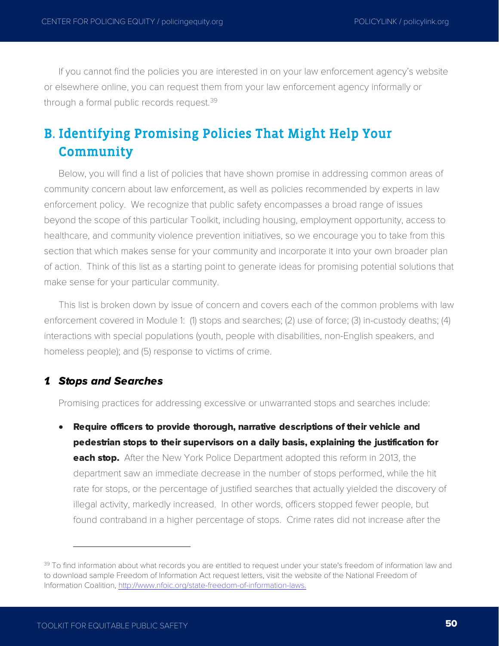If you cannot find the policies you are interested in on your law enforcement agency's website or elsewhere online, you can request them from your law enforcement agency informally or through a formal public records request.<sup>[39](#page-51-0)</sup>

# B. Identifying Promising Policies That Might Help Your **Community**

Below, you will find a list of policies that have shown promise in addressing common areas of community concern about law enforcement, as well as policies recommended by experts in law enforcement policy. We recognize that public safety encompasses a broad range of issues beyond the scope of this particular Toolkit, including housing, employment opportunity, access to healthcare, and community violence prevention initiatives, so we encourage you to take from this section that which makes sense for your community and incorporate it into your own broader plan of action. Think of this list as a starting point to generate ideas for promising potential solutions that make sense for your particular community.

This list is broken down by issue of concern and covers each of the common problems with law enforcement covered in Module 1: (1) stops and searches; (2) use of force; (3) in-custody deaths; (4) interactions with special populations (youth, people with disabilities, non-English speakers, and homeless people); and (5) response to victims of crime.

### 1. Stops and Searches

Promising practices for addressing excessive or unwarranted stops and searches include:

• Require officers to provide thorough, narrative descriptions of their vehicle and pedestrian stops to their supervisors on a daily basis, explaining the justification for **each stop.** After the New York Police Department adopted this reform in 2013, the department saw an immediate decrease in the number of stops performed, while the hit rate for stops, or the percentage of justified searches that actually yielded the discovery of illegal activity, markedly increased. In other words, officers stopped fewer people, but found contraband in a higher percentage of stops. Crime rates did not increase after the

<span id="page-51-0"></span><sup>&</sup>lt;sup>39</sup> To find information about what records you are entitled to request under your state's freedom of information law and to download sample Freedom of Information Act request letters, visit the website of the National Freedom of Information Coalition, [http://www.nfoic.org/state-freedom-of-information-laws.](http://www.nfoic.org/state-freedom-of-information-laws)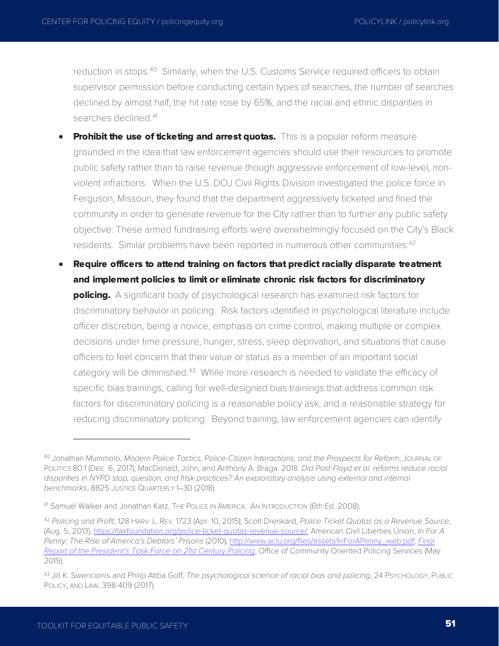reduction in stops.<sup>40</sup> Similarly, when the U.S. Customs Service required officers to obtain supervisor permission before conducting certain types of searches, the number of searches declined by almost half, the hit rate rose by 65%, and the racial and ethnic disparities in searches declined.<sup>[41](#page-52-1)</sup>

- **Prohibit the use of ticketing and arrest quotas.** This is a popular reform measure grounded in the idea that law enforcement agencies should use their resources to promote public safety rather than to raise revenue though aggressive enforcement of low-level, nonviolent infractions. When the U.S. DOJ Civil Rights Division investigated the police force in Ferguson, Missouri, they found that the department aggressively ticketed and fined the community in order to generate revenue for the City rather than to further any public safety objective. These armed fundraising efforts were overwhelmingly focused on the City's Black residents. Similar problems have been reported in numerous other communities.<sup>[42](#page-52-2)</sup>
- Require officers to attend training on factors that predict racially disparate treatment and implement policies to limit or eliminate chronic risk factors for discriminatory **policing.** A significant body of psychological research has examined risk factors for discriminatory behavior in policing. Risk factors identified in psychological literature include officer discretion, being a novice, emphasis on crime control, making multiple or complex decisions under time pressure, hunger, stress, sleep deprivation, and situations that cause officers to feel concern that their value or status as a member of an important social category will be diminished.<sup>[43](#page-52-3)</sup> While more research is needed to validate the efficacy of specific bias trainings, calling for well-designed bias trainings that address common risk factors for discriminatory policing is a reasonable policy ask, and a reasonable strategy for reducing discriminatory policing. Beyond training, law enforcement agencies can identify

<span id="page-52-0"></span><sup>40</sup> Jonathan Mummolo, Modern Police Tactics, Police-Citizen Interactions, and the Prospects for Reform, JOURNAL OF POLITICS 80:1 (Dec. 6, 2017); MacDonald, John, and Anthony A. Braga. 2018. Did Post-Floyd et al. reforms reduce racial disparities in NYPD stop, question, and frisk practices? An exploratory analysis using external and internal benchmarks, 8825 JUSTICE QUARTERLY 1–30 (2018).

<span id="page-52-1"></span><sup>41</sup> Samuel Walker and Jonathan Katz, THE POLICE IN AMERICA: AN INTRODUCTION (6th Ed. 2008).

<span id="page-52-2"></span><sup>42</sup> Policing and Profit, 128 HARV. L. REV. 1723 (Apr. 10, 2015); Scott Drenkard, Police Ticket Quotas as a Revenue Source, (Aug. 5, 2013), [https://taxfoundation.org/police-ticket-quotas-revenue-source/;](https://taxfoundation.org/police-ticket-quotas-revenue-source/) American Civil Liberties Union, In For A Penny: The Rise of America's Debtors' Prisons (2010), [http://www.aclu.org/files/assets/InForAPenny\\_web.pdf;](http://www.aclu.org/files/assets/InForAPenny_web.pdf) Final [Report of the President's Task Force on 21st Century Policing](http://elearning-courses.net/iacp/html/webinarResources/170926/FinalReport21stCenturyPolicing.pdf), Office of Community Oriented Policing Services (May 2015).

<span id="page-52-3"></span><sup>43</sup> Jill K. Swencionis and Philip Atiba Goff, The psychological science of racial bias and policing, 24 PsychoLOGY, PubLic POLICY, AND LAW, 398-409 (2017).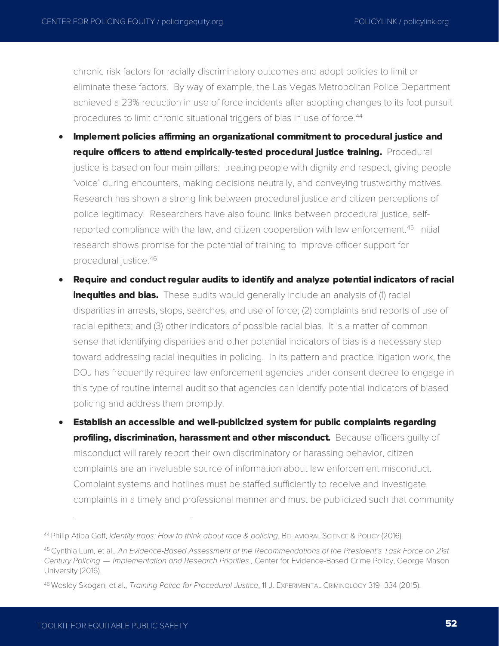chronic risk factors for racially discriminatory outcomes and adopt policies to limit or eliminate these factors. By way of example, the Las Vegas Metropolitan Police Department achieved a 23% reduction in use of force incidents after adopting changes to its foot pursuit procedures to limit chronic situational triggers of bias in use of force.<sup>[44](#page-53-0)</sup>

- Implement policies affirming an organizational commitment to procedural justice and require officers to attend empirically-tested procedural justice training. Procedural justice is based on four main pillars: treating people with dignity and respect, giving people 'voice' during encounters, making decisions neutrally, and conveying trustworthy motives. Research has shown a strong link between procedural justice and citizen perceptions of police legitimacy. Researchers have also found links between procedural justice, self-reported compliance with the law, and citizen cooperation with law enforcement.<sup>[45](#page-53-1)</sup> Initial research shows promise for the potential of training to improve officer support for procedural justice.[46](#page-53-2)
- Require and conduct regular audits to identify and analyze potential indicators of racial inequities and bias. These audits would generally include an analysis of (1) racial disparities in arrests, stops, searches, and use of force; (2) complaints and reports of use of racial epithets; and (3) other indicators of possible racial bias. It is a matter of common sense that identifying disparities and other potential indicators of bias is a necessary step toward addressing racial inequities in policing. In its pattern and practice litigation work, the DOJ has frequently required law enforcement agencies under consent decree to engage in this type of routine internal audit so that agencies can identify potential indicators of biased policing and address them promptly.
- Establish an accessible and well-publicized system for public complaints regarding profiling, discrimination, harassment and other misconduct. Because officers quilty of misconduct will rarely report their own discriminatory or harassing behavior, citizen complaints are an invaluable source of information about law enforcement misconduct. Complaint systems and hotlines must be staffed sufficiently to receive and investigate complaints in a timely and professional manner and must be publicized such that community

<span id="page-53-0"></span><sup>44</sup> Philip Atiba Goff, Identity traps: How to think about race & policing, BEHAVIORAL SCIENCE & POLICY (2016).

<span id="page-53-1"></span><sup>45</sup> Cynthia Lum, et al., An Evidence-Based Assessment of the Recommendations of the President's Task Force on 21st Century Policing — Implementation and Research Priorities., Center for Evidence-Based Crime Policy, George Mason University (2016).

<span id="page-53-2"></span><sup>46</sup> Wesley Skogan, et al., Training Police for Procedural Justice, 11 J. EXPERIMENTAL CRIMINOLOGY 319–334 (2015).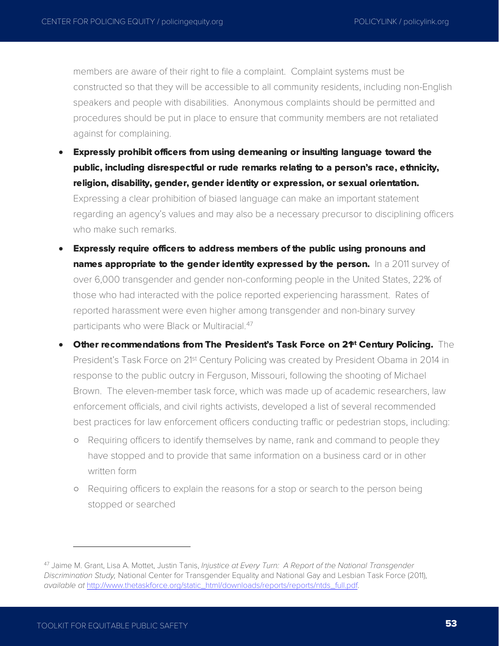members are aware of their right to file a complaint. Complaint systems must be constructed so that they will be accessible to all community residents, including non-English speakers and people with disabilities. Anonymous complaints should be permitted and procedures should be put in place to ensure that community members are not retaliated against for complaining.

- Expressly prohibit officers from using demeaning or insulting language toward the public, including disrespectful or rude remarks relating to a person's race, ethnicity, religion, disability, gender, gender identity or expression, or sexual orientation. Expressing a clear prohibition of biased language can make an important statement regarding an agency's values and may also be a necessary precursor to disciplining officers who make such remarks.
- Expressly require officers to address members of the public using pronouns and names appropriate to the gender identity expressed by the person. In a 2011 survey of over 6,000 transgender and gender non-conforming people in the United States, 22% of those who had interacted with the police reported experiencing harassment. Rates of reported harassment were even higher among transgender and non-binary survey participants who were Black or Multiracial.[47](#page-54-0)
- Other recommendations from The President's Task Force on 2 $F$ t Century Policing. The President's Task Force on 21<sup>st</sup> Century Policing was created by President Obama in 2014 in response to the public outcry in Ferguson, Missouri, following the shooting of Michael Brown. The eleven-member task force, which was made up of academic researchers, law enforcement officials, and civil rights activists, developed a list of several recommended best practices for law enforcement officers conducting traffic or pedestrian stops, including:
	- Requiring officers to identify themselves by name, rank and command to people they have stopped and to provide that same information on a business card or in other written form
	- Requiring officers to explain the reasons for a stop or search to the person being stopped or searched

<span id="page-54-0"></span><sup>47</sup> Jaime M. Grant, Lisa A. Mottet, Justin Tanis, Injustice at Every Turn: A Report of the National Transgender Discrimination Study, National Center for Transgender Equality and National Gay and Lesbian Task Force (2011), available at [http://www.thetaskforce.org/static\\_html/downloads/reports/reports/ntds\\_full.pdf.](http://www.thetaskforce.org/static_html/downloads/reports/reports/ntds_full.pdf)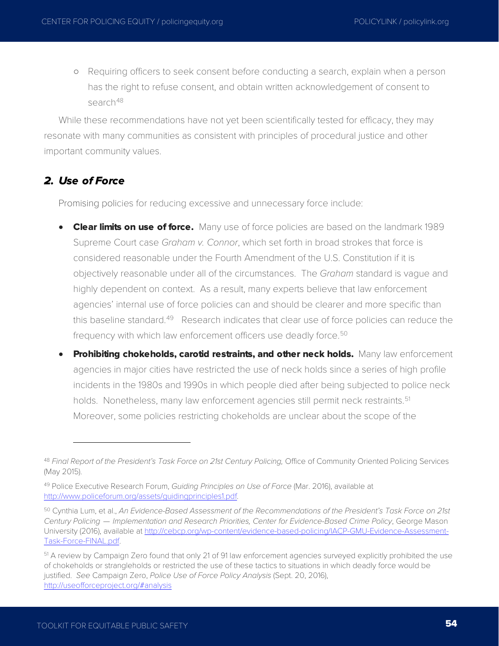○ Requiring officers to seek consent before conducting a search, explain when a person has the right to refuse consent, and obtain written acknowledgement of consent to search<sup>[48](#page-55-0)</sup>

While these recommendations have not yet been scientifically tested for efficacy, they may resonate with many communities as consistent with principles of procedural justice and other important community values.

## 2. Use of Force

 $\overline{a}$ 

Promising policies for reducing excessive and unnecessary force include:

- Clear limits on use of force. Many use of force policies are based on the landmark 1989 Supreme Court case Graham v. Connor, which set forth in broad strokes that force is considered reasonable under the Fourth Amendment of the U.S. Constitution if it is objectively reasonable under all of the circumstances. The Graham standard is vague and highly dependent on context. As a result, many experts believe that law enforcement agencies' internal use of force policies can and should be clearer and more specific than this baseline standard.<sup>[49](#page-55-1)</sup> Research indicates that clear use of force policies can reduce the frequency with which law enforcement officers use deadly force.<sup>50</sup>
- **Prohibiting chokeholds, carotid restraints, and other neck holds.** Many law enforcement agencies in major cities have restricted the use of neck holds since a series of high profile incidents in the 1980s and 1990s in which people died after being subjected to police neck holds. Nonetheless, many law enforcement agencies still permit neck restraints.<sup>51</sup> Moreover, some policies restricting chokeholds are unclear about the scope of the

<span id="page-55-0"></span><sup>48</sup> Final Report of the President's Task Force on 21st Century Policing, Office of Community Oriented Policing Services (May 2015).

<span id="page-55-1"></span><sup>49</sup> Police Executive Research Forum, Guiding Principles on Use of Force (Mar. 2016), available at [http://www.policeforum.org/assets/guidingprinciples1.pdf.](http://www.policeforum.org/assets/guidingprinciples1.pdf)

<span id="page-55-2"></span><sup>50</sup> Cynthia Lum, et al., An Evidence-Based Assessment of the Recommendations of the President's Task Force on 21st Century Policing — Implementation and Research Priorities, Center for Evidence-Based Crime Policy, George Mason University (2016), available at [http://cebcp.org/wp-content/evidence-based-policing/IACP-GMU-Evidence-Assessment-](http://cebcp.org/wp-content/evidence-based-policing/IACP-GMU-Evidence-Assessment-Task-Force-FINAL.pdf)[Task-Force-FINAL.pdf.](http://cebcp.org/wp-content/evidence-based-policing/IACP-GMU-Evidence-Assessment-Task-Force-FINAL.pdf)

<span id="page-55-3"></span><sup>&</sup>lt;sup>51</sup> A review by Campaign Zero found that only 21 of 91 law enforcement agencies surveyed explicitly prohibited the use of chokeholds or strangleholds or restricted the use of these tactics to situations in which deadly force would be justified. See Campaign Zero, Police Use of Force Policy Analysis (Sept. 20, 2016), <http://useofforceproject.org/#analysis>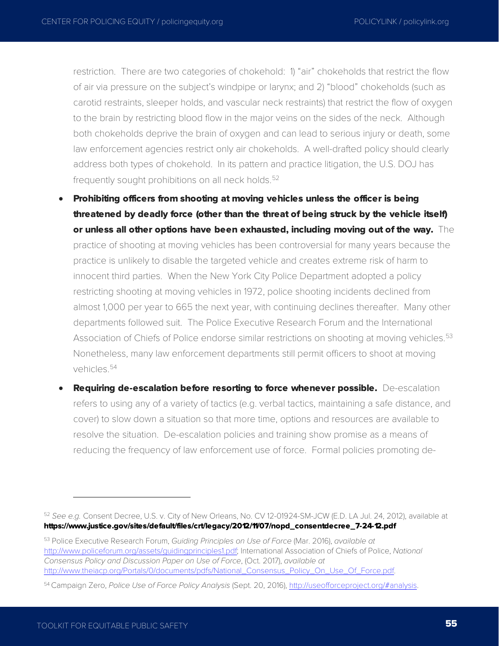restriction. There are two categories of chokehold: 1) "air" chokeholds that restrict the flow of air via pressure on the subject's windpipe or larynx; and 2) "blood" chokeholds (such as carotid restraints, sleeper holds, and vascular neck restraints) that restrict the flow of oxygen to the brain by restricting blood flow in the major veins on the sides of the neck. Although both chokeholds deprive the brain of oxygen and can lead to serious injury or death, some law enforcement agencies restrict only air chokeholds. A well-drafted policy should clearly address both types of chokehold. In its pattern and practice litigation, the U.S. DOJ has frequently sought prohibitions on all neck holds. [52](#page-56-0)

- Prohibiting officers from shooting at moving vehicles unless the officer is being threatened by deadly force (other than the threat of being struck by the vehicle itself) or unless all other options have been exhausted, including moving out of the way. The practice of shooting at moving vehicles has been controversial for many years because the practice is unlikely to disable the targeted vehicle and creates extreme risk of harm to innocent third parties. When the New York City Police Department adopted a policy restricting shooting at moving vehicles in 1972, police shooting incidents declined from almost 1,000 per year to 665 the next year, with continuing declines thereafter. Many other departments followed suit. The Police Executive Research Forum and the International Association of Chiefs of Police endorse similar restrictions on shooting at moving vehicles.<sup>[53](#page-56-1)</sup> Nonetheless, many law enforcement departments still permit officers to shoot at moving vehicles.[54](#page-56-2)
- **Requiring de-escalation before resorting to force whenever possible.** De-escalation refers to using any of a variety of tactics (e.g. verbal tactics, maintaining a safe distance, and cover) to slow down a situation so that more time, options and resources are available to resolve the situation. De-escalation policies and training show promise as a means of reducing the frequency of law enforcement use of force. Formal policies promoting de-

<span id="page-56-0"></span><sup>52</sup> See e.g. Consent Decree, U.S. v. City of New Orleans, No. CV 12-01924-SM-JCW (E.D. LA Jul. 24, 2012), available at https://www.justice.gov/sites/default/files/crt/legacy/2012/11/07/nopd\_consentdecree\_7-24-12.pdf

<span id="page-56-1"></span><sup>53</sup> Police Executive Research Forum, Guiding Principles on Use of Force (Mar. 2016), available at [http://www.policeforum.org/assets/guidingprinciples1.pdf;](http://www.policeforum.org/assets/guidingprinciples1.pdf) International Association of Chiefs of Police, National Consensus Policy and Discussion Paper on Use of Force, (Oct. 2017), available at [http://www.theiacp.org/Portals/0/documents/pdfs/National\\_Consensus\\_Policy\\_On\\_Use\\_Of\\_Force.pdf.](http://www.theiacp.org/Portals/0/documents/pdfs/National_Consensus_Policy_On_Use_Of_Force.pdf)

<span id="page-56-2"></span><sup>54</sup> Campaign Zero, Police Use of Force Policy Analysis (Sept. 20, 2016), [http://useofforceproject.org/#analysis.](http://useofforceproject.org/#analysis)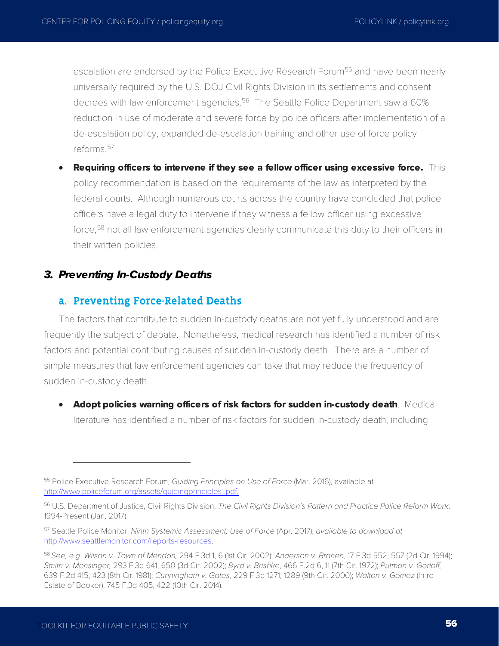escalation are endorsed by the Police Executive Research Forum<sup>[55](#page-57-0)</sup> and have been nearly universally required by the U.S. DOJ Civil Rights Division in its settlements and consent decrees with law enforcement agencies. [56](#page-57-1) The Seattle Police Department saw a 60% reduction in use of moderate and severe force by police officers after implementation of a de-escalation policy, expanded de-escalation training and other use of force policy reforms. [57](#page-57-2)

**• Requiring officers to intervene if they see a fellow officer using excessive force.** This policy recommendation is based on the requirements of the law as interpreted by the federal courts. Although numerous courts across the country have concluded that police officers have a legal duty to intervene if they witness a fellow officer using excessive force,<sup>[58](#page-57-3)</sup> not all law enforcement agencies clearly communicate this duty to their officers in their written policies.

## 3. Preventing In-Custody Deaths

## a. Preventing Force-Related Deaths

The factors that contribute to sudden in-custody deaths are not yet fully understood and are frequently the subject of debate. Nonetheless, medical research has identified a number of risk factors and potential contributing causes of sudden in-custody death. There are a number of simple measures that law enforcement agencies can take that may reduce the frequency of sudden in-custody death.

• Adopt policies warning officers of risk factors for sudden in-custody death. Medical literature has identified a number of risk factors for sudden in-custody death, including

<span id="page-57-0"></span><sup>55</sup> Police Executive Research Forum, Guiding Principles on Use of Force (Mar. 2016), available at [http://www.policeforum.org/assets/guidingprinciples1.pdf.](http://www.policeforum.org/assets/guidingprinciples1.pdf)

<span id="page-57-1"></span><sup>56</sup> U.S. Department of Justice, Civil Rights Division, The Civil Rights Division's Pattern and Practice Police Reform Work: 1994-Present (Jan. 2017).

<span id="page-57-2"></span><sup>&</sup>lt;sup>57</sup> Seattle Police Monitor, Ninth Systemic Assessment: Use of Force (Apr. 2017), available to download at [http://www.seattlemonitor.com/reports-resources.](http://www.seattlemonitor.com/reports-resources)

<span id="page-57-3"></span><sup>58</sup> See, e.g. Wilson v. Town of Mendon, 294 F.3d 1, 6 (1st Cir. 2002); Anderson v. Branen, 17 F.3d 552, 557 (2d Cir. 1994); Smith v. Mensinger, 293 F.3d 641, 650 (3d Cir. 2002); Byrd v. Brishke, 466 F.2d 6, 11 (7th Cir. 1972); Putman v. Gerloff, 639 F.2d 415, 423 (8th Cir. 1981); Cunningham v. Gates, 229 F.3d 1271, 1289 (9th Cir. 2000); Walton v. Gomez (In re Estate of Booker), 745 F.3d 405, 422 (10th Cir. 2014).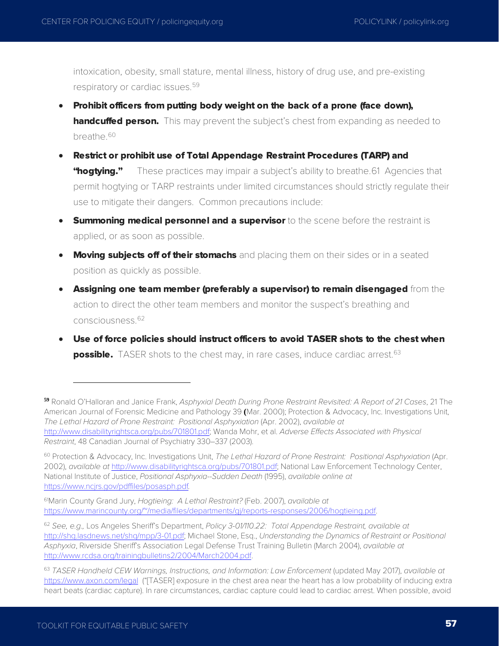intoxication, obesity, small stature, mental illness, history of drug use, and pre-existing respiratory or cardiac issues.<sup>[59](#page-58-0)</sup>

- Prohibit officers from putting body weight on the back of a prone (face down), **handcuffed person.** This may prevent the subject's chest from expanding as needed to breathe.[60](#page-58-1)
- Restrict or prohibit use of Total Appendage Restraint Procedures (TARP) and "hogtying." These practices may impair a subject's ability to breathe.[61](#page-58-2) Agencies that permit hogtying or TARP restraints under limited circumstances should strictly regulate their use to mitigate their dangers. Common precautions include:
- **Summoning medical personnel and a supervisor** to the scene before the restraint is applied, or as soon as possible.
- **Moving subjects off of their stomachs** and placing them on their sides or in a seated position as quickly as possible.
- Assigning one team member (preferably a supervisor) to remain disengaged from the action to direct the other team members and monitor the suspect's breathing and consciousness.[62](#page-58-3)
- Use of force policies should instruct officers to avoid TASER shots to the chest when **possible.** TASER shots to the chest may, in rare cases, induce cardiac arrest.<sup>[63](#page-58-4)</sup>

<span id="page-58-1"></span>60 Protection & Advocacy, Inc. Investigations Unit, The Lethal Hazard of Prone Restraint: Positional Asphyxiation (Apr. 2002), available at [http://www.disabilityrightsca.org/pubs/701801.pdf;](http://www.disabilityrightsca.org/pubs/701801.pdf) National Law Enforcement Technology Center, National Institute of Justice, Positional Asphyxia--Sudden Death (1995), available online at <https://www.ncjrs.gov/pdffiles/posasph.pdf>.

<span id="page-58-2"></span><sup>61</sup>Marin County Grand Jury, Hogtieing: A Lethal Restraint? (Feb. 2007), available at [https://www.marincounty.org/~/media/files/departments/gj/reports-responses/2006/hogtieing.pdf.](https://www.marincounty.org/%7E/media/files/departments/gj/reports-responses/2006/hogtieing.pdf)

<span id="page-58-3"></span>62 See, e.g., Los Angeles Sheriff's Department, Policy 3-01/110.22: Total Appendage Restraint, available at [http://shq.lasdnews.net/shq/mpp/3-01.pdf;](http://shq.lasdnews.net/shq/mpp/3-01.pdf) Michael Stone, Esq., Understanding the Dynamics of Restraint or Positional Asphyxia, Riverside Sheriff's Association Legal Defense Trust Training Bulletin (March 2004), available at [http://www.rcdsa.org/trainingbulletins2/2004/March2004.pdf.](http://www.rcdsa.org/trainingbulletins2/2004/March2004.pdf)

<span id="page-58-4"></span>63 TASER Handheld CEW Warnings, Instructions, and Information: Law Enforcement (updated May 2017), available at <https://www.axon.com/legal> ("[TASER] exposure in the chest area near the heart has a low probability of inducing extra heart beats (cardiac capture). In rare circumstances, cardiac capture could lead to cardiac arrest. When possible, avoid

<span id="page-58-0"></span>**<sup>59</sup>** Ronald O'Halloran and Janice Frank, Asphyxial Death During Prone Restraint Revisited: A Report of 21 Cases, 21 The American Journal of Forensic Medicine and Pathology 39 **[\(](https://journals.lww.com/amjforensicmedicine/toc/2000/03000)**Mar. 2000); Protection & Advocacy, Inc. Investigations Unit, The Lethal Hazard of Prone Restraint: Positional Asphyxiation (Apr. 2002), available at [http://www.disabilityrightsca.org/pubs/701801.pdf;](http://www.disabilityrightsca.org/pubs/701801.pdf) Wanda Mohr, et al. Adverse Effects Associated with Physical Restraint, 48 Canadian Journal of Psychiatry 330–337 (2003).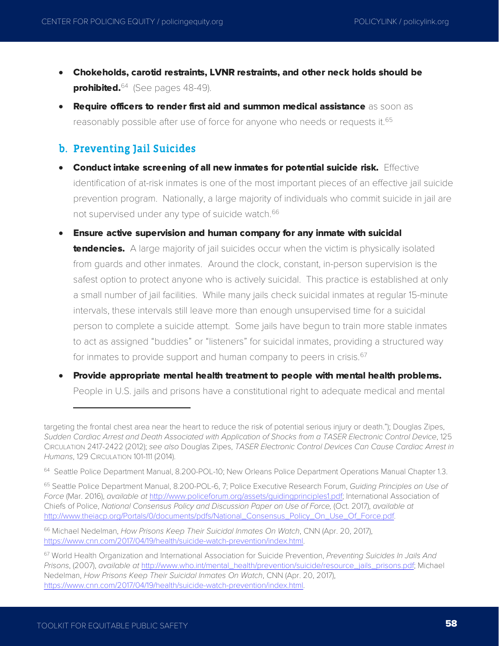- Chokeholds, carotid restraints, LVNR restraints, and other neck holds should be prohibited.<sup>[64](#page-59-0)</sup> (See pages 48-49).
- Require officers to render first aid and summon medical assistance as soon as reasonably possible after use of force for anyone who needs or requests it.<sup>[65](#page-59-1)</sup>

## b. Preventing Jail Suicides

- **Conduct intake screening of all new inmates for potential suicide risk.** Effective identification of at-risk inmates is one of the most important pieces of an effective jail suicide prevention program. Nationally, a large majority of individuals who commit suicide in jail are not supervised under any type of suicide watch.<sup>[66](#page-59-2)</sup>
- Ensure active supervision and human company for any inmate with suicidal tendencies. A large majority of jail suicides occur when the victim is physically isolated from guards and other inmates. Around the clock, constant, in-person supervision is the safest option to protect anyone who is actively suicidal. This practice is established at only a small number of jail facilities. While many jails check suicidal inmates at regular 15-minute intervals, these intervals still leave more than enough unsupervised time for a suicidal person to complete a suicide attempt. Some jails have begun to train more stable inmates to act as assigned "buddies" or "listeners" for suicidal inmates, providing a structured way for inmates to provide support and human company to peers in crisis.<sup>67</sup>
- Provide appropriate mental health treatment to people with mental health problems. People in U.S. jails and prisons have a constitutional right to adequate medical and mental

targeting the frontal chest area near the heart to reduce the risk of potential serious injury or death."); Douglas Zipes, Sudden Cardiac Arrest and Death Associated with Application of Shocks from a TASER Electronic Control Device, 125 CIRCULATION 2417-2422 (2012); see also Douglas Zipes, TASER Electronic Control Devices Can Cause Cardiac Arrest in Humans, 129 CIRCULATION 101-111 (2014).

<span id="page-59-0"></span><sup>64</sup> Seattle Police Department Manual, 8.200-POL-10; New Orleans Police Department Operations Manual Chapter 1.3.

<span id="page-59-1"></span><sup>&</sup>lt;sup>65</sup> Seattle Police Department Manual, 8.200-POL-6, 7; Police Executive Research Forum, Guiding Principles on Use of Force (Mar. 2016), available at [http://www.policeforum.org/assets/guidingprinciples1.pdf;](http://www.policeforum.org/assets/guidingprinciples1.pdf) International Association of Chiefs of Police, National Consensus Policy and Discussion Paper on Use of Force, (Oct. 2017), available at [http://www.theiacp.org/Portals/0/documents/pdfs/National\\_Consensus\\_Policy\\_On\\_Use\\_Of\\_Force.pdf.](http://www.theiacp.org/Portals/0/documents/pdfs/National_Consensus_Policy_On_Use_Of_Force.pdf)

<span id="page-59-2"></span><sup>66</sup> Michael Nedelman, How Prisons Keep Their Suicidal Inmates On Watch, CNN (Apr. 20, 2017), [https://www.cnn.com/2017/04/19/health/suicide-watch-prevention/index.html.](https://www.cnn.com/2017/04/19/health/suicide-watch-prevention/index.html)

<span id="page-59-3"></span><sup>67</sup> World Health Organization and International Association for Suicide Prevention, Preventing Suicides In Jails And Prisons, (2007), available at [http://www.who.int/mental\\_health/prevention/suicide/resource\\_jails\\_prisons.pdf;](http://www.who.int/mental_health/prevention/suicide/resource_jails_prisons.pdf) Michael Nedelman, How Prisons Keep Their Suicidal Inmates On Watch, CNN (Apr. 20, 2017), [https://www.cnn.com/2017/04/19/health/suicide-watch-prevention/index.html.](https://www.cnn.com/2017/04/19/health/suicide-watch-prevention/index.html)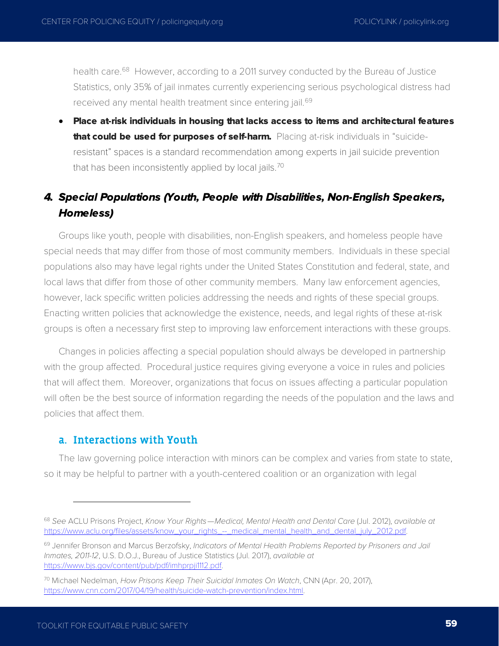health care.<sup>[68](#page-60-0)</sup> However, according to a 2011 survey conducted by the Bureau of Justice Statistics, only 35% of jail inmates currently experiencing serious psychological distress had received any mental health treatment since entering jail. [69](#page-60-1)

• Place at-risk individuals in housing that lacks access to items and architectural features that could be used for purposes of self-harm. Placing at-risk individuals in "suicideresistant" spaces is a standard recommendation among experts in jail suicide prevention that has been inconsistently applied by local jails.<sup>[70](#page-60-2)</sup>

# 4. Special Populations (Youth, People with Disabilities, Non-English Speakers, Homeless)

Groups like youth, people with disabilities, non-English speakers, and homeless people have special needs that may differ from those of most community members. Individuals in these special populations also may have legal rights under the United States Constitution and federal, state, and local laws that differ from those of other community members. Many law enforcement agencies, however, lack specific written policies addressing the needs and rights of these special groups. Enacting written policies that acknowledge the existence, needs, and legal rights of these at-risk groups is often a necessary first step to improving law enforcement interactions with these groups.

Changes in policies affecting a special population should always be developed in partnership with the group affected. Procedural justice requires giving everyone a voice in rules and policies that will affect them. Moreover, organizations that focus on issues affecting a particular population will often be the best source of information regarding the needs of the population and the laws and policies that affect them.

## a. Interactions with Youth

The law governing police interaction with minors can be complex and varies from state to state, so it may be helpful to partner with a youth-centered coalition or an organization with legal

<span id="page-60-0"></span><sup>68</sup> See ACLU Prisons Project, Know Your Rights—Medical, Mental Health and Dental Care (Jul. 2012), available at https://www.aclu.org/files/assets/know\_your\_rights\_-\_medical\_mental\_health\_and\_dental\_july\_2012.pdf.

<span id="page-60-1"></span><sup>69</sup> Jennifer Bronson and Marcus Berzofsky, Indicators of Mental Health Problems Reported by Prisoners and Jail Inmates, 2011-12, U.S. D.O.J., Bureau of Justice Statistics (Jul. 2017), available at [https://www.bjs.gov/content/pub/pdf/imhprpji1112.pdf.](https://www.bjs.gov/content/pub/pdf/imhprpji1112.pdf)

<span id="page-60-2"></span><sup>70</sup> Michael Nedelman, How Prisons Keep Their Suicidal Inmates On Watch, CNN (Apr. 20, 2017), [https://www.cnn.com/2017/04/19/health/suicide-watch-prevention/index.html.](https://www.cnn.com/2017/04/19/health/suicide-watch-prevention/index.html)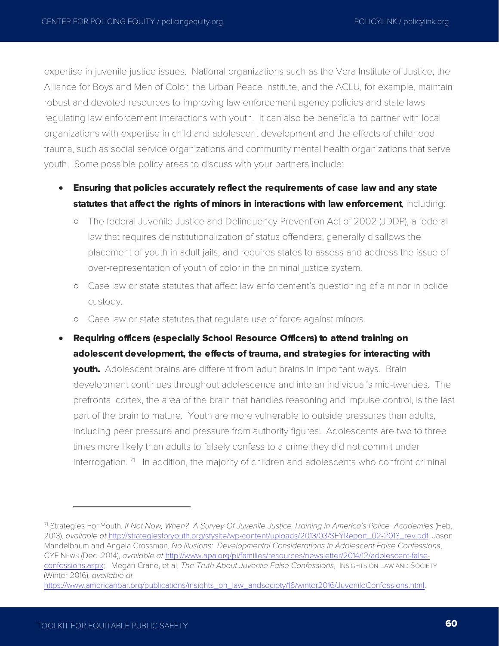expertise in juvenile justice issues. National organizations such as the Vera Institute of Justice, the Alliance for Boys and Men of Color, the Urban Peace Institute, and the ACLU, for example, maintain robust and devoted resources to improving law enforcement agency policies and state laws regulating law enforcement interactions with youth. It can also be beneficial to partner with local organizations with expertise in child and adolescent development and the effects of childhood trauma, such as social service organizations and community mental health organizations that serve youth. Some possible policy areas to discuss with your partners include:

- Ensuring that policies accurately reflect the requirements of case law and any state statutes that affect the rights of minors in interactions with law enforcement, including:
	- o The federal Juvenile Justice and Delinquency Prevention Act of 2002 (JDDP), a federal law that requires deinstitutionalization of status offenders, generally disallows the placement of youth in adult jails, and requires states to assess and address the issue of over-representation of youth of color in the criminal justice system.
	- Case law or state statutes that affect law enforcement's questioning of a minor in police custody.
	- Case law or state statutes that regulate use of force against minors.
- Requiring officers (especially School Resource Officers) to attend training on adolescent development, the effects of trauma, and strategies for interacting with **youth.** Adolescent brains are different from adult brains in important ways. Brain development continues throughout adolescence and into an individual's mid-twenties. The prefrontal cortex, the area of the brain that handles reasoning and impulse control, is the last part of the brain to mature. Youth are more vulnerable to outside pressures than adults, including peer pressure and pressure from authority figures. Adolescents are two to three times more likely than adults to falsely confess to a crime they did not commit under interrogation.<sup>71</sup> In addition, the majority of children and adolescents who confront criminal

[https://www.americanbar.org/publications/insights\\_on\\_law\\_andsociety/16/winter2016/JuvenileConfessions.html.](https://www.americanbar.org/publications/insights_on_law_andsociety/16/winter2016/JuvenileConfessions.html)

<span id="page-61-0"></span><sup>71</sup> Strategies For Youth, If Not Now, When? A Survey Of Juvenile Justice Training in America's Police Academies (Feb. 2013), available at [http://strategiesforyouth.org/sfysite/wp-content/uploads/2013/03/SFYReport\\_02-2013\\_rev.pdf;](http://strategiesforyouth.org/sfysite/wp-content/uploads/2013/03/SFYReport_02-2013_rev.pdf) Jason Mandelbaum and Angela Crossman, No Illusions: Developmental Considerations in Adolescent False Confessions, CYF NEWS (Dec. 2014), available at [http://www.apa.org/pi/families/resources/newsletter/2014/12/adolescent-false](http://www.apa.org/pi/families/resources/newsletter/2014/12/adolescent-false-confessions.aspx)[confessions.aspx;](http://www.apa.org/pi/families/resources/newsletter/2014/12/adolescent-false-confessions.aspx) Megan Crane, et al, The Truth About Juvenile False Confessions, INSIGHTS ON LAW AND SOCIETY (Winter 2016), available at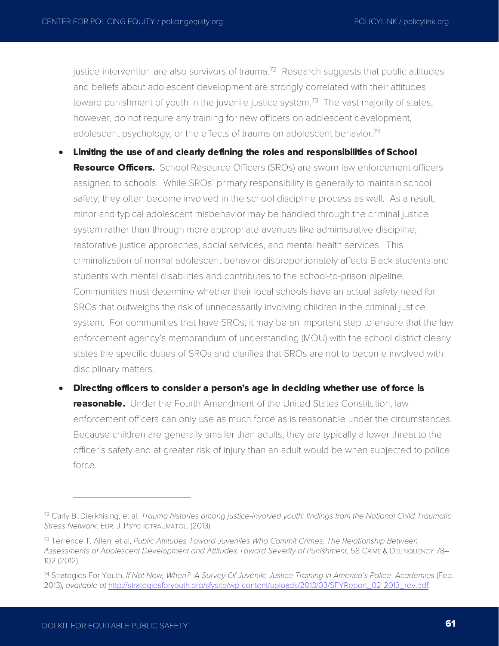justice intervention are also survivors of trauma.<sup>[72](#page-62-0)</sup> Research suggests that public attitudes and beliefs about adolescent development are strongly correlated with their attitudes toward punishment of youth in the juvenile justice system.<sup>[73](#page-62-1)</sup> The vast majority of states, however, do not require any training for new officers on adolescent development, adolescent psychology, or the effects of trauma on adolescent behavior.<sup>74</sup>

- Limiting the use of and clearly defining the roles and responsibilities of School Resource Officers. School Resource Officers (SROs) are sworn law enforcement officers assigned to schools. While SROs' primary responsibility is generally to maintain school safety, they often become involved in the school discipline process as well. As a result, minor and typical adolescent misbehavior may be handled through the criminal justice system rather than through more appropriate avenues like administrative discipline, restorative justice approaches, social services, and mental health services. This criminalization of normal adolescent behavior disproportionately affects Black students and students with mental disabilities and contributes to the school-to-prison pipeline. Communities must determine whether their local schools have an actual safety need for SROs that outweighs the risk of unnecessarily involving children in the criminal justice system. For communities that have SROs, it may be an important step to ensure that the law enforcement agency's memorandum of understanding (MOU) with the school district clearly states the specific duties of SROs and clarifies that SROs are not to become involved with disciplinary matters.
- Directing officers to consider a person's age in deciding whether use of force is reasonable. Under the Fourth Amendment of the United States Constitution, law enforcement officers can only use as much force as is reasonable under the circumstances. Because children are generally smaller than adults, they are typically a lower threat to the officer's safety and at greater risk of injury than an adult would be when subjected to police force.

<span id="page-62-0"></span><sup>&</sup>lt;sup>72</sup> Carly B. Dierkhising, et al, Trauma histories among justice-involved youth: findings from the National Child Traumatic Stress Network, EUR. J. PSYCHOTRAUMATOL. (2013).

<span id="page-62-1"></span><sup>&</sup>lt;sup>73</sup> Terrence T. Allen, et al, Public Attitudes Toward Juveniles Who Commit Crimes: The Relationship Between Assessments of Adolescent Development and Attitudes Toward Severity of Punishment, 58 CRIME & DELINQUENCY 78-102 (2012).

<span id="page-62-2"></span><sup>74</sup> Strategies For Youth, If Not Now, When? A Survey Of Juvenile Justice Training in America's Police Academies (Feb. 2013), available at [http://strategiesforyouth.org/sfysite/wp-content/uploads/2013/03/SFYReport\\_02-2013\\_rev.pdf;](http://strategiesforyouth.org/sfysite/wp-content/uploads/2013/03/SFYReport_02-2013_rev.pdf)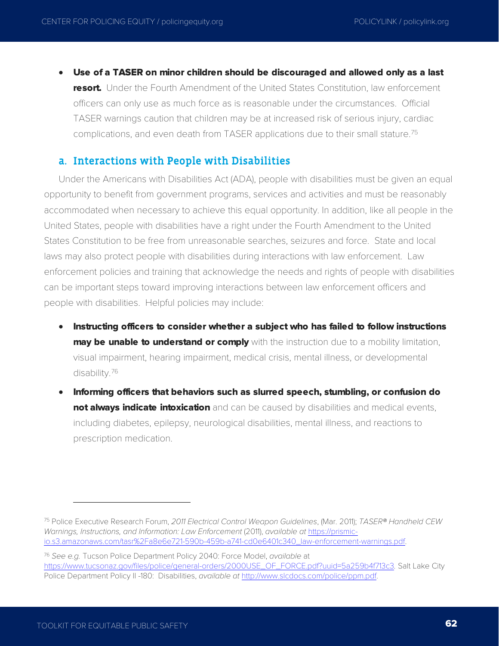• Use of a TASER on minor children should be discouraged and allowed only as a last resort. Under the Fourth Amendment of the United States Constitution, law enforcement officers can only use as much force as is reasonable under the circumstances. Official TASER warnings caution that children may be at increased risk of serious injury, cardiac complications, and even death from TASER applications due to their small stature. [75](#page-63-0)

## a. Interactions with People with Disabilities

Under the Americans with Disabilities Act (ADA), people with disabilities must be given an equal opportunity to benefit from government programs, services and activities and must be reasonably accommodated when necessary to achieve this equal opportunity. In addition, like all people in the United States, people with disabilities have a right under the Fourth Amendment to the United States Constitution to be free from unreasonable searches, seizures and force. State and local laws may also protect people with disabilities during interactions with law enforcement. Law enforcement policies and training that acknowledge the needs and rights of people with disabilities can be important steps toward improving interactions between law enforcement officers and people with disabilities. Helpful policies may include:

- Instructing officers to consider whether a subject who has failed to follow instructions may be unable to understand or comply with the instruction due to a mobility limitation, visual impairment, hearing impairment, medical crisis, mental illness, or developmental disability.[76](#page-63-1)
- Informing officers that behaviors such as slurred speech, stumbling, or confusion do not always indicate intoxication and can be caused by disabilities and medical events, including diabetes, epilepsy, neurological disabilities, mental illness, and reactions to prescription medication.

<span id="page-63-0"></span><sup>&</sup>lt;sup>75</sup> Police Executive Research Forum, 2011 Electrical Control Weapon Guidelines, (Mar. 2011); TASER® Handheld CEW Warnings, Instructions, and Information: Law Enforcement (2011), available at [https://prismic](https://prismic-io.s3.amazonaws.com/tasr%2Fa8e6e721-590b-459b-a741-cd0e6401c340_law-enforcement-warnings.pdf)[io.s3.amazonaws.com/tasr%2Fa8e6e721-590b-459b-a741-cd0e6401c340\\_law-enforcement-warnings.pdf.](https://prismic-io.s3.amazonaws.com/tasr%2Fa8e6e721-590b-459b-a741-cd0e6401c340_law-enforcement-warnings.pdf)

<span id="page-63-1"></span><sup>&</sup>lt;sup>76</sup> See e.g. Tucson Police Department Policy 2040: Force Model, available at [https://www.tucsonaz.gov/files/police/general-orders/2000USE\\_OF\\_FORCE.pdf?uuid=5a259b4f713c3](https://www.tucsonaz.gov/files/police/general-orders/2000USE_OF_FORCE.pdf?uuid=5a259b4f713c3). Salt Lake City Police Department Policy II -180: Disabilities, available at [http://www.slcdocs.com/police/ppm.pdf.](http://www.slcdocs.com/police/ppm.pdf)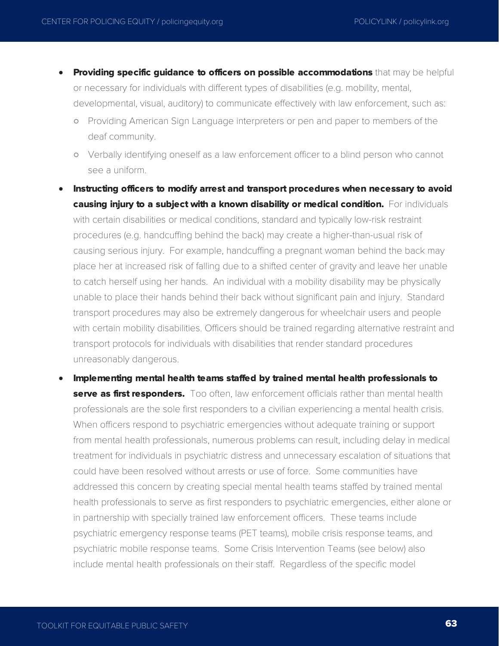- Providing specific guidance to officers on possible accommodations that may be helpful or necessary for individuals with different types of disabilities (e.g. mobility, mental, developmental, visual, auditory) to communicate effectively with law enforcement, such as:
	- Providing American Sign Language interpreters or pen and paper to members of the deaf community.
	- Verbally identifying oneself as a law enforcement officer to a blind person who cannot see a uniform.
- Instructing officers to modify arrest and transport procedures when necessary to avoid causing injury to a subject with a known disability or medical condition. For individuals with certain disabilities or medical conditions, standard and typically low-risk restraint procedures (e.g. handcuffing behind the back) may create a higher-than-usual risk of causing serious injury. For example, handcuffing a pregnant woman behind the back may place her at increased risk of falling due to a shifted center of gravity and leave her unable to catch herself using her hands. An individual with a mobility disability may be physically unable to place their hands behind their back without significant pain and injury. Standard transport procedures may also be extremely dangerous for wheelchair users and people with certain mobility disabilities. Officers should be trained regarding alternative restraint and transport protocols for individuals with disabilities that render standard procedures unreasonably dangerous.
- Implementing mental health teams staffed by trained mental health professionals to serve as first responders. Too often, law enforcement officials rather than mental health professionals are the sole first responders to a civilian experiencing a mental health crisis. When officers respond to psychiatric emergencies without adequate training or support from mental health professionals, numerous problems can result, including delay in medical treatment for individuals in psychiatric distress and unnecessary escalation of situations that could have been resolved without arrests or use of force. Some communities have addressed this concern by creating special mental health teams staffed by trained mental health professionals to serve as first responders to psychiatric emergencies, either alone or in partnership with specially trained law enforcement officers. These teams include psychiatric emergency response teams (PET teams), mobile crisis response teams, and psychiatric mobile response teams. Some Crisis Intervention Teams (see below) also include mental health professionals on their staff. Regardless of the specific model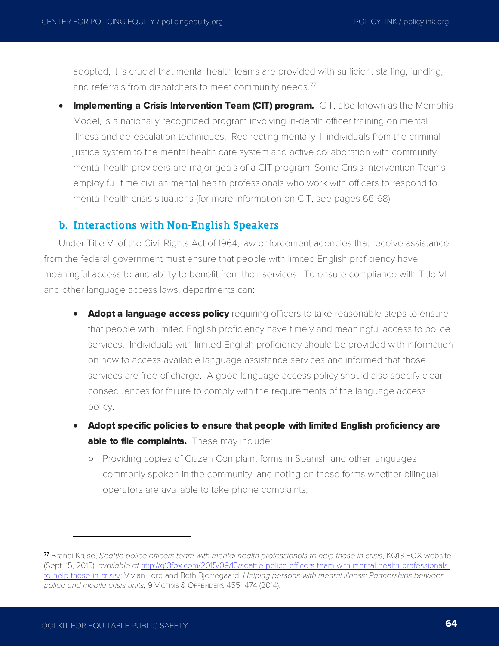adopted, it is crucial that mental health teams are provided with sufficient staffing, funding, and referrals from dispatchers to meet community needs.<sup>[77](#page-65-0)</sup>

**Implementing a Crisis Intervention Team (CIT) program.** CIT, also known as the Memphis Model, is a nationally recognized program involving in-depth officer training on mental illness and de-escalation techniques. Redirecting mentally ill individuals from the criminal justice system to the mental health care system and active collaboration with community mental health providers are major goals of a CIT program. Some Crisis Intervention Teams employ full time civilian mental health professionals who work with officers to respond to mental health crisis situations (for more information on CIT, see pages 66-68).

## b. Interactions with Non-English Speakers

Under Title VI of the Civil Rights Act of 1964, law enforcement agencies that receive assistance from the federal government must ensure that people with limited English proficiency have meaningful access to and ability to benefit from their services. To ensure compliance with Title VI and other language access laws, departments can:

- Adopt a language access policy requiring officers to take reasonable steps to ensure that people with limited English proficiency have timely and meaningful access to police services. Individuals with limited English proficiency should be provided with information on how to access available language assistance services and informed that those services are free of charge. A good language access policy should also specify clear consequences for failure to comply with the requirements of the language access policy.
- Adopt specific policies to ensure that people with limited English proficiency are able to file complaints. These may include:
	- Providing copies of Citizen Complaint forms in Spanish and other languages commonly spoken in the community, and noting on those forms whether bilingual operators are available to take phone complaints;

<span id="page-65-0"></span>**<sup>77</sup>** Brandi Kruse, Seattle police officers team with mental health professionals to help those in crisis, KQ13-FOX website (Sept. 15, 2015), available at [http://q13fox.com/2015/09/15/seattle-police-officers-team-with-mental-health-professionals](http://q13fox.com/2015/09/15/seattle-police-officers-team-with-mental-health-professionals-to-help-those-in-crisis/)[to-help-those-in-crisis/;](http://q13fox.com/2015/09/15/seattle-police-officers-team-with-mental-health-professionals-to-help-those-in-crisis/) Vivian Lord and Beth Bjerregaard. Helping persons with mental illness: Partnerships between police and mobile crisis units, 9 VICTIMS & OFFENDERS 455-474 (2014).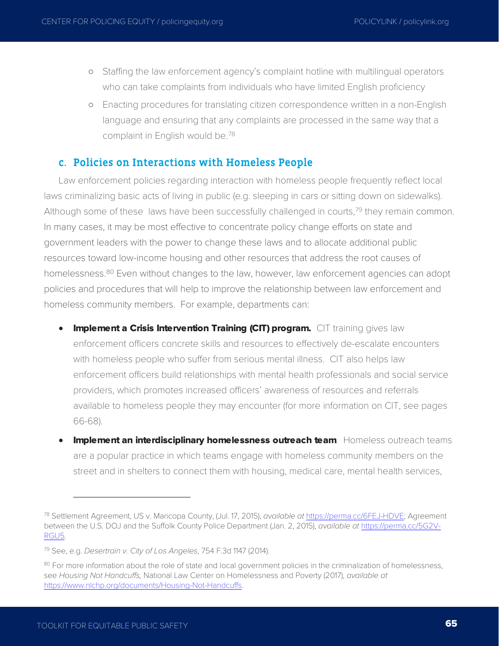- Staffing the law enforcement agency's complaint hotline with multilingual operators who can take complaints from individuals who have limited English proficiency
- Enacting procedures for translating citizen correspondence written in a non-English language and ensuring that any complaints are processed in the same way that a complaint in English would be.[78](#page-66-0)

## c. Policies on Interactions with Homeless People

Law enforcement policies regarding interaction with homeless people frequently reflect local laws criminalizing basic acts of living in public (e.g. sleeping in cars or sitting down on sidewalks). Although some of these laws have been successfully challenged in courts,<sup>[79](#page-66-1)</sup> they remain common. In many cases, it may be most effective to concentrate policy change efforts on state and government leaders with the power to change these laws and to allocate additional public resources toward low-income housing and other resources that address the root causes of homelessness.<sup>[80](#page-66-2)</sup> Even without changes to the law, however, law enforcement agencies can adopt policies and procedures that will help to improve the relationship between law enforcement and homeless community members. For example, departments can:

- Implement a Crisis Intervention Training (CIT) program. CIT training gives law enforcement officers concrete skills and resources to effectively de-escalate encounters with homeless people who suffer from serious mental illness. CIT also helps law enforcement officers build relationships with mental health professionals and social service providers, which promotes increased officers' awareness of resources and referrals available to homeless people they may encounter (for more information on CIT, see pages 66-68).
- **Implement an interdisciplinary homelessness outreach team**. Homeless outreach teams are a popular practice in which teams engage with homeless community members on the street and in shelters to connect them with housing, medical care, mental health services,

<span id="page-66-0"></span><sup>78</sup> [Settlement Agreement, US v. Maricopa County,](https://perma.cc/6FEJ-HDVE) (Jul. 17, 2015), available at [https://perma.cc/6FEJ-HDVE;](https://perma.cc/6FEJ-HDVE) Agreement between the U.S. DOJ and the Suffolk County Police Department (Jan. 2, 2015), available at [https://perma.cc/5G2V-](https://perma.cc/5G2V-RGU5)[RGU5](https://perma.cc/5G2V-RGU5).

<span id="page-66-1"></span><sup>79</sup> See, e.g. Desertrain v. City of Los Angeles, 754 F.3d 1147 (2014).

<span id="page-66-2"></span><sup>80</sup> For more information about the role of state and local government policies in the criminalization of homelessness, see Housing Not Handcuffs, National Law Center on Homelessness and Poverty (2017), available at [https://www.nlchp.org/documents/Housing-Not-Handcuffs.](https://www.nlchp.org/documents/Housing-Not-Handcuffs)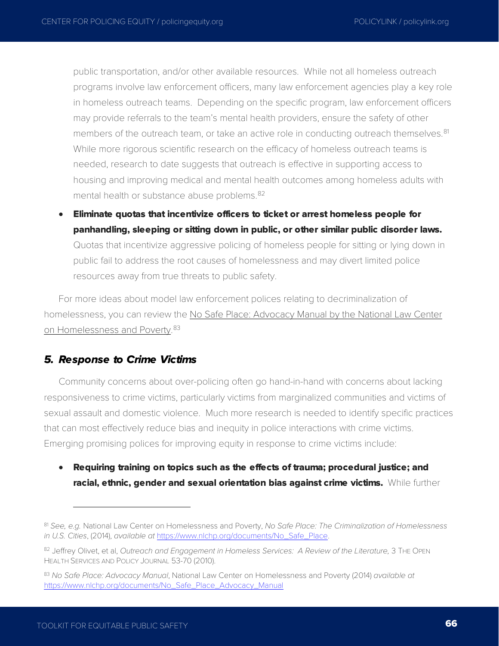public transportation, and/or other available resources. While not all homeless outreach programs involve law enforcement officers, many law enforcement agencies play a key role in homeless outreach teams. Depending on the specific program, law enforcement officers may provide referrals to the team's mental health providers, ensure the safety of other members of the outreach team, or take an active role in conducting outreach themselves.<sup>[81](#page-67-0)</sup> While more rigorous scientific research on the efficacy of homeless outreach teams is needed, research to date suggests that outreach is effective in supporting access to housing and improving medical and mental health outcomes among homeless adults with mental health or substance abuse problems. [82](#page-67-1)

• Eliminate quotas that incentivize officers to ticket or arrest homeless people for panhandling, sleeping or sitting down in public, or other similar public disorder laws. Quotas that incentivize aggressive policing of homeless people for sitting or lying down in public fail to address the root causes of homelessness and may divert limited police resources away from true threats to public safety.

For more ideas about model law enforcement polices relating to decriminalization of homelessness, you can review the [No Safe Place: Advocacy Manual by the National Law Center](https://www.nlchp.org/documents/No_Safe_Place_Advocacy_Manual#page=31)  [on Homelessness and Poverty.](https://www.nlchp.org/documents/No_Safe_Place_Advocacy_Manual#page=31)<sup>[83](#page-67-2)</sup>

## 5. Response to Crime Victims

Community concerns about over-policing often go hand-in-hand with concerns about lacking responsiveness to crime victims, particularly victims from marginalized communities and victims of sexual assault and domestic violence. Much more research is needed to identify specific practices that can most effectively reduce bias and inequity in police interactions with crime victims. Emerging promising polices for improving equity in response to crime victims include:

• Requiring training on topics such as the effects of trauma; procedural justice; and racial, ethnic, gender and sexual orientation bias against crime victims. While further

<span id="page-67-0"></span><sup>81</sup> See, e.g. National Law Center on Homelessness and Poverty, No Safe Place: The Criminalization of Homelessness in U.S. Cities, (2014), available at [https://www.nlchp.org/documents/No\\_Safe\\_Place.](https://www.nlchp.org/documents/No_Safe_Place)

<span id="page-67-1"></span><sup>82</sup> Jeffrey Olivet, et al, Outreach and Engagement in Homeless Services: A Review of the Literature, 3 THE OPEN HEALTH SERVICES AND POLICY JOURNAL 53-70 (2010).

<span id="page-67-2"></span><sup>83</sup> No Safe Place: Advocacy Manual, National Law Center on Homelessness and Poverty (2014) available at [https://www.nlchp.org/documents/No\\_Safe\\_Place\\_Advocacy\\_Manual](https://www.nlchp.org/documents/No_Safe_Place_Advocacy_Manual)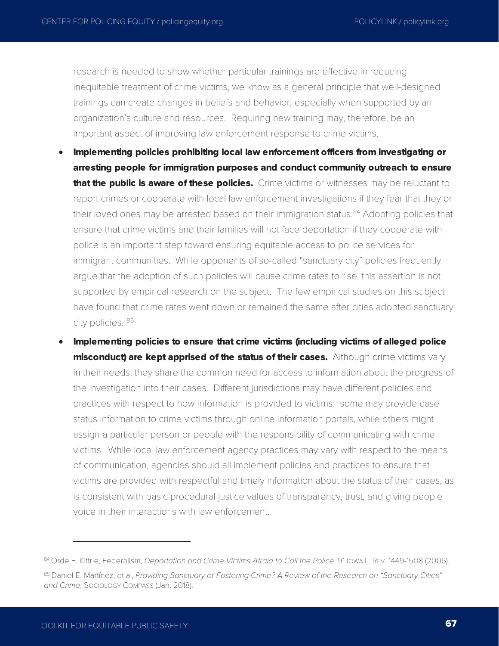research is needed to show whether particular trainings are effective in reducing inequitable treatment of crime victims, we know as a general principle that well-designed trainings can create changes in beliefs and behavior, especially when supported by an organization's culture and resources. Requiring new training may, therefore, be an important aspect of improving law enforcement response to crime victims.

- Implementing policies prohibiting local law enforcement officers from investigating or arresting people for immigration purposes and conduct community outreach to ensure **that the public is aware of these policies.** Crime victims or witnesses may be reluctant to report crimes or cooperate with local law enforcement investigations if they fear that they or their loved ones may be arrested based on their immigration status.<sup>[84](#page-68-0)</sup> Adopting policies that ensure that crime victims and their families will not face deportation if they cooperate with police is an important step toward ensuring equitable access to police services for immigrant communities. While opponents of so-called "sanctuary city" policies frequently argue that the adoption of such policies will cause crime rates to rise, this assertion is not supported by empirical research on the subject. The few empirical studies on this subject have found that crime rates went down or remained the same after cities adopted sanctuary city policies. [85](#page-68-1)
- Implementing policies to ensure that crime victims (including victims of alleged police misconduct) are kept apprised of the status of their cases. Although crime victims vary in their needs, they share the common need for access to information about the progress of the investigation into their cases. Different jurisdictions may have different policies and practices with respect to how information is provided to victims: some may provide case status information to crime victims through online information portals, while others might assign a particular person or people with the responsibility of communicating with crime victims. While local law enforcement agency practices may vary with respect to the means of communication, agencies should all implement policies and practices to ensure that victims are provided with respectful and timely information about the status of their cases, as is consistent with basic procedural justice values of transparency, trust, and giving people voice in their interactions with law enforcement.

<span id="page-68-0"></span><sup>84</sup> Orde F. Kittrie, Federalism, Deportation and Crime Victims Afraid to Call the Police, 91 Iowa L. Rev. 1449-1508 (2006).

<span id="page-68-1"></span><sup>85</sup> Daniel E. Martínez, et al, Providing Sanctuary or Fostering Crime? A Review of the Research on "Sanctuary Cities" and Crime, SOCIOLOGY COMPASS (Jan. 2018).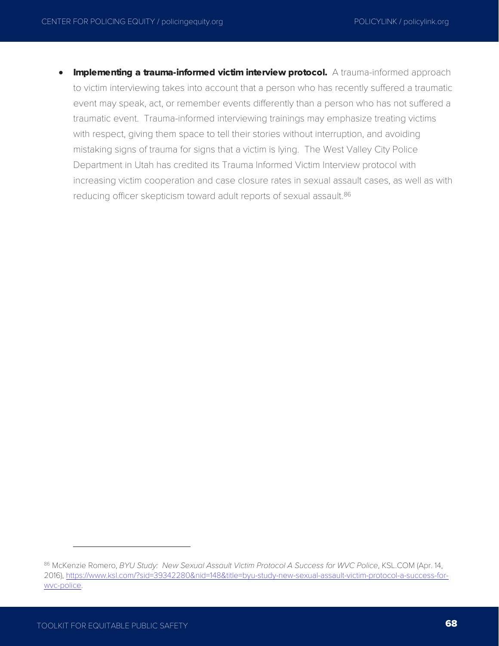**Implementing a trauma-informed victim interview protocol.** A trauma-informed approach to victim interviewing takes into account that a person who has recently suffered a traumatic event may speak, act, or remember events differently than a person who has not suffered a traumatic event. Trauma-informed interviewing trainings may emphasize treating victims with respect, giving them space to tell their stories without interruption, and avoiding mistaking signs of trauma for signs that a victim is lying. The West Valley City Police Department in Utah has credited its Trauma Informed Victim Interview protocol with increasing victim cooperation and case closure rates in sexual assault cases, as well as with reducing officer skepticism toward adult reports of sexual assault.<sup>[86](#page-69-0)</sup>

<span id="page-69-0"></span><sup>86</sup> McKenzie Romero, BYU Study: New Sexual Assault Victim Protocol A Success for WVC Police, KSL.COM (Apr. 14, 2016), [https://www.ksl.com/?sid=39342280&nid=148&title=byu-study-new-sexual-assault-victim-protocol-a-success-for](https://www.ksl.com/?sid=39342280&nid=148&title=byu-study-new-sexual-assault-victim-protocol-a-success-for-wvc-police)[wvc-police.](https://www.ksl.com/?sid=39342280&nid=148&title=byu-study-new-sexual-assault-victim-protocol-a-success-for-wvc-police)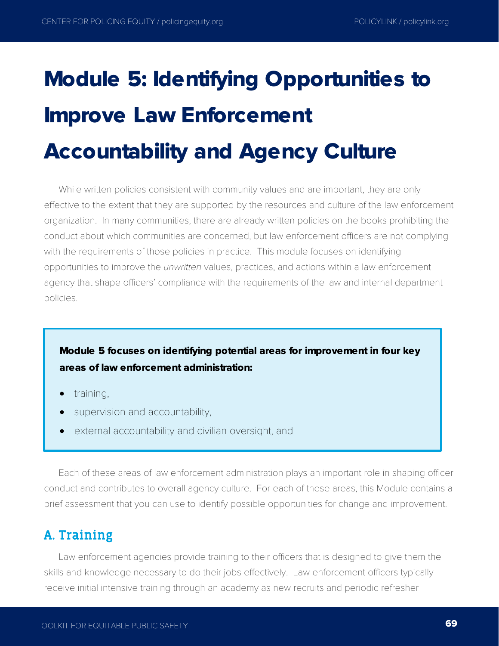# Module 5: Identifying Opportunities to Improve Law Enforcement Accountability and Agency Culture

While written policies consistent with community values and are important, they are only effective to the extent that they are supported by the resources and culture of the law enforcement organization. In many communities, there are already written policies on the books prohibiting the conduct about which communities are concerned, but law enforcement officers are not complying with the requirements of those policies in practice. This module focuses on identifying opportunities to improve the unwritten values, practices, and actions within a law enforcement agency that shape officers' compliance with the requirements of the law and internal department policies.

## Module 5 focuses on identifying potential areas for improvement in four key areas of law enforcement administration:

training,

j

- supervision and accountability,
- external accountability and civilian oversight, and

Each of these areas of law enforcement administration plays an important role in shaping officer conduct and contributes to overall agency culture. For each of these areas, this Module contains a brief assessment that you can use to identify possible opportunities for change and improvement.

# A. Training

Law enforcement agencies provide training to their officers that is designed to give them the skills and knowledge necessary to do their jobs effectively. Law enforcement officers typically receive initial intensive training through an academy as new recruits and periodic refresher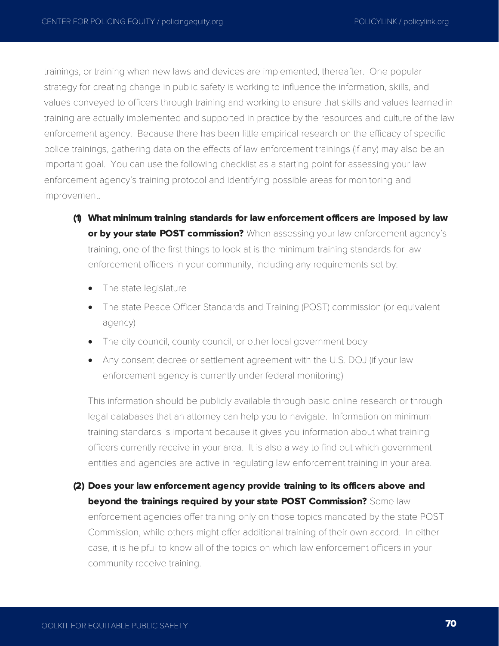trainings, or training when new laws and devices are implemented, thereafter. One popular strategy for creating change in public safety is working to influence the information, skills, and values conveyed to officers through training and working to ensure that skills and values learned in training are actually implemented and supported in practice by the resources and culture of the law enforcement agency. Because there has been little empirical research on the efficacy of specific police trainings, gathering data on the effects of law enforcement trainings (if any) may also be an important goal. You can use the following checklist as a starting point for assessing your law enforcement agency's training protocol and identifying possible areas for monitoring and improvement.

- (1) What minimum training standards for law enforcement officers are imposed by law or by your state POST commission? When assessing your law enforcement agency's training, one of the first things to look at is the minimum training standards for law enforcement officers in your community, including any requirements set by:
	- The state legislature
	- The state Peace Officer Standards and Training (POST) commission (or equivalent agency)
	- The city council, county council, or other local government body
	- Any consent decree or settlement agreement with the U.S. DOJ (if your law enforcement agency is currently under federal monitoring)

This information should be publicly available through basic online research or through legal databases that an attorney can help you to navigate. Information on minimum training standards is important because it gives you information about what training officers currently receive in your area. It is also a way to find out which government entities and agencies are active in regulating law enforcement training in your area.

(2) Does your law enforcement agency provide training to its officers above and beyond the trainings required by your state POST Commission? Some law enforcement agencies offer training only on those topics mandated by the state POST Commission, while others might offer additional training of their own accord. In either case, it is helpful to know all of the topics on which law enforcement officers in your community receive training.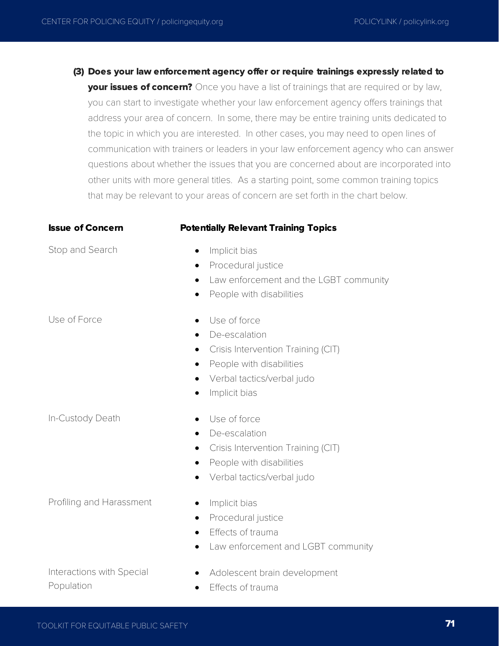(3) Does your law enforcement agency offer or require trainings expressly related to **your issues of concern?** Once you have a list of trainings that are required or by law, you can start to investigate whether your law enforcement agency offers trainings that address your area of concern. In some, there may be entire training units dedicated to the topic in which you are interested. In other cases, you may need to open lines of communication with trainers or leaders in your law enforcement agency who can answer questions about whether the issues that you are concerned about are incorporated into other units with more general titles. As a starting point, some common training topics that may be relevant to your areas of concern are set forth in the chart below.

#### Issue of Concern Potentially Relevant Training Topics

Stop and Search **•** Implicit bias

- 
- Procedural justice
- Law enforcement and the LGBT community
- People with disabilities

Use of Force **• Use of force** 

- 
- De-escalation
- Crisis Intervention Training (CIT)
- People with disabilities
- Verbal tactics/verbal judo
- Implicit bias

In-Custody Death • Use of force

- 
- De-escalation
- Crisis Intervention Training (CIT)
- People with disabilities
- Verbal tactics/verbal judo

Profiling and Harassment • Implicit bias

- 
- Procedural justice
- Effects of trauma
- Law enforcement and LGBT community

Interactions with Special Population

- Adolescent brain development
- Effects of trauma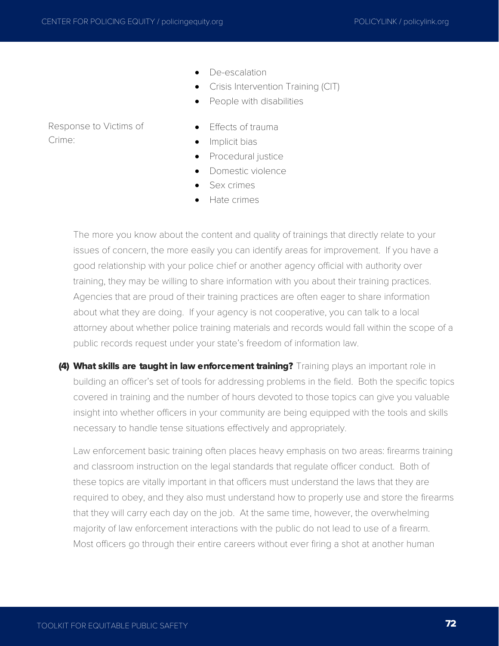- De-escalation
- Crisis Intervention Training (CIT)
- People with disabilities

Response to Victims of Crime:

- Effects of trauma
- Implicit bias
- Procedural justice
- Domestic violence
- Sex crimes
- Hate crimes

The more you know about the content and quality of trainings that directly relate to your issues of concern, the more easily you can identify areas for improvement. If you have a good relationship with your police chief or another agency official with authority over training, they may be willing to share information with you about their training practices. Agencies that are proud of their training practices are often eager to share information about what they are doing. If your agency is not cooperative, you can talk to a local attorney about whether police training materials and records would fall within the scope of a public records request under your state's freedom of information law.

(4) What skills are taught in law enforcement training? Training plays an important role in building an officer's set of tools for addressing problems in the field. Both the specific topics covered in training and the number of hours devoted to those topics can give you valuable insight into whether officers in your community are being equipped with the tools and skills necessary to handle tense situations effectively and appropriately.

Law enforcement basic training often places heavy emphasis on two areas: firearms training and classroom instruction on the legal standards that regulate officer conduct. Both of these topics are vitally important in that officers must understand the laws that they are required to obey, and they also must understand how to properly use and store the firearms that they will carry each day on the job. At the same time, however, the overwhelming majority of law enforcement interactions with the public do not lead to use of a firearm. Most officers go through their entire careers without ever firing a shot at another human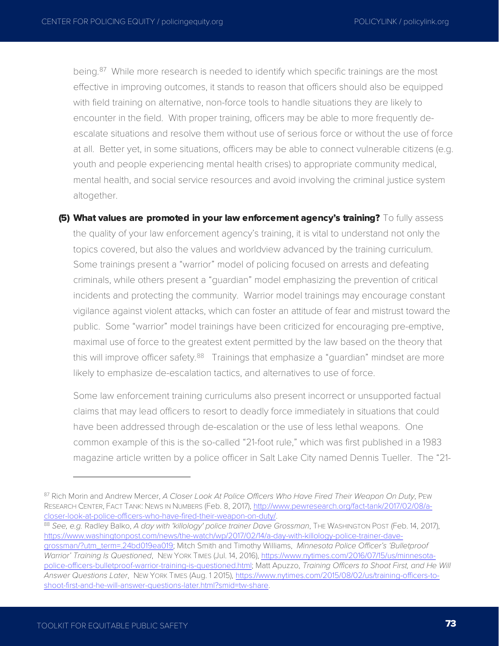being.<sup>87</sup> While more research is needed to identify which specific trainings are the most effective in improving outcomes, it stands to reason that officers should also be equipped with field training on alternative, non-force tools to handle situations they are likely to encounter in the field. With proper training, officers may be able to more frequently deescalate situations and resolve them without use of serious force or without the use of force at all. Better yet, in some situations, officers may be able to connect vulnerable citizens (e.g. youth and people experiencing mental health crises) to appropriate community medical, mental health, and social service resources and avoid involving the criminal justice system altogether.

**(5) What values are promoted in your law enforcement agency's training?** To fully assess the quality of your law enforcement agency's training, it is vital to understand not only the topics covered, but also the values and worldview advanced by the training curriculum. Some trainings present a "warrior" model of policing focused on arrests and defeating criminals, while others present a "guardian" model emphasizing the prevention of critical incidents and protecting the community. Warrior model trainings may encourage constant vigilance against violent attacks, which can foster an attitude of fear and mistrust toward the public. Some "warrior" model trainings have been criticized for encouraging pre-emptive, maximal use of force to the greatest extent permitted by the law based on the theory that this will improve officer safety.<sup>88</sup> Trainings that emphasize a "guardian" mindset are more likely to emphasize de-escalation tactics, and alternatives to use of force.

Some law enforcement training curriculums also present incorrect or unsupported factual claims that may lead officers to resort to deadly force immediately in situations that could have been addressed through de-escalation or the use of less lethal weapons. One common example of this is the so-called "21-foot rule," which was first published in a 1983 magazine article written by a police officer in Salt Lake City named Dennis Tueller. The "21-

<span id="page-74-0"></span><sup>87</sup> Rich Morin and Andrew Mercer, A Closer Look At Police Officers Who Have Fired Their Weapon On Duty, PEW RESEARCH CENTER, FACT TANK: NEWS IN NUMBERS (Feb. 8, 2017), [http://www.pewresearch.org/fact-tank/2017/02/08/a](http://www.pewresearch.org/fact-tank/2017/02/08/a-closer-look-at-police-officers-who-have-fired-their-weapon-on-duty/)[closer-look-at-police-officers-who-have-fired-their-weapon-on-duty/.](http://www.pewresearch.org/fact-tank/2017/02/08/a-closer-look-at-police-officers-who-have-fired-their-weapon-on-duty/)

<span id="page-74-1"></span><sup>88</sup> See, e.g. Radley Balko, A day with 'killology' police trainer Dave Grossman, THE WASHINGTON POST (Feb. 14, 2017), [https://www.washingtonpost.com/news/the-watch/wp/2017/02/14/a-day-with-killology-police-trainer-dave](https://www.washingtonpost.com/news/the-watch/wp/2017/02/14/a-day-with-killology-police-trainer-dave-grossman/?utm_term=.24bd019ea019)[grossman/?utm\\_term=.24bd019ea019;](https://www.washingtonpost.com/news/the-watch/wp/2017/02/14/a-day-with-killology-police-trainer-dave-grossman/?utm_term=.24bd019ea019) Mitch Smith and Timothy Williams, Minnesota Police Officer's 'Bulletproof Warrior' Training Is Questioned, NEW YORK TIMES (Jul. 14, 2016)[, https://www.nytimes.com/2016/07/15/us/minnesota](https://www.nytimes.com/2016/07/15/us/minnesota-police-officers-bulletproof-warrior-training-is-questioned.html)[police-officers-bulletproof-warrior-training-is-questioned.html;](https://www.nytimes.com/2016/07/15/us/minnesota-police-officers-bulletproof-warrior-training-is-questioned.html) Matt Apuzzo, Training Officers to Shoot First, and He Will Answer Questions Later, NEW YORK TIMES (Aug. 1 2015), [https://www.nytimes.com/2015/08/02/us/training-officers-to](https://www.nytimes.com/2015/08/02/us/training-officers-to-shoot-first-and-he-will-answer-questions-later.html?smid=tw-share)[shoot-first-and-he-will-answer-questions-later.html?smid=tw-share.](https://www.nytimes.com/2015/08/02/us/training-officers-to-shoot-first-and-he-will-answer-questions-later.html?smid=tw-share)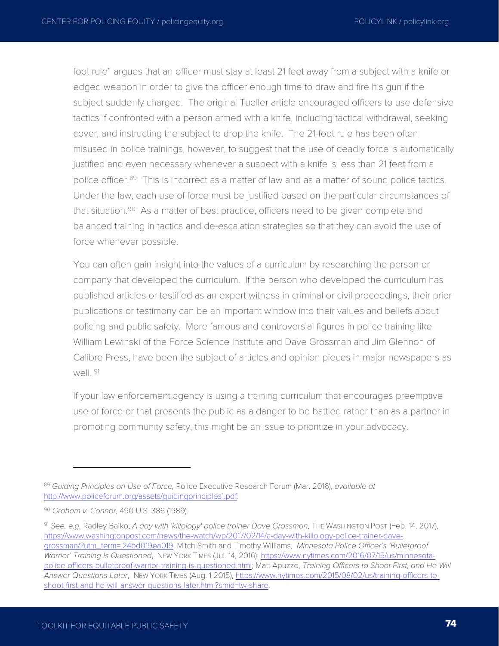foot rule" argues that an officer must stay at least 21 feet away from a subject with a knife or edged weapon in order to give the officer enough time to draw and fire his gun if the subject suddenly charged. The original Tueller article encouraged officers to use defensive tactics if confronted with a person armed with a knife, including tactical withdrawal, seeking cover, and instructing the subject to drop the knife. The 21-foot rule has been often misused in police trainings, however, to suggest that the use of deadly force is automatically justified and even necessary whenever a suspect with a knife is less than 21 feet from a police officer.<sup>[89](#page-75-0)</sup> This is incorrect as a matter of law and as a matter of sound police tactics. Under the law, each use of force must be justified based on the particular circumstances of that situation.<sup>[90](#page-75-1)</sup> As a matter of best practice, officers need to be given complete and balanced training in tactics and de-escalation strategies so that they can avoid the use of force whenever possible.

You can often gain insight into the values of a curriculum by researching the person or company that developed the curriculum. If the person who developed the curriculum has published articles or testified as an expert witness in criminal or civil proceedings, their prior publications or testimony can be an important window into their values and beliefs about policing and public safety. More famous and controversial figures in police training like William Lewinski of the Force Science Institute and Dave Grossman and Jim Glennon of Calibre Press, have been the subject of articles and opinion pieces in major newspapers as well. [91](#page-75-2)

If your law enforcement agency is using a training curriculum that encourages preemptive use of force or that presents the public as a danger to be battled rather than as a partner in promoting community safety, this might be an issue to prioritize in your advocacy.

<span id="page-75-0"></span><sup>89</sup> Guiding Principles on Use of Force, Police Executive Research Forum (Mar. 2016), available at <http://www.policeforum.org/assets/guidingprinciples1.pdf>.

<span id="page-75-1"></span><sup>90</sup> Graham v. Connor, 490 U.S. 386 (1989).

<span id="page-75-2"></span><sup>91</sup> See, e.g. Radley Balko, A day with 'killology' police trainer Dave Grossman, THE WASHINGTON POST (Feb. 14, 2017), [https://www.washingtonpost.com/news/the-watch/wp/2017/02/14/a-day-with-killology-police-trainer-dave](https://www.washingtonpost.com/news/the-watch/wp/2017/02/14/a-day-with-killology-police-trainer-dave-grossman/?utm_term=.24bd019ea019)[grossman/?utm\\_term=.24bd019ea019;](https://www.washingtonpost.com/news/the-watch/wp/2017/02/14/a-day-with-killology-police-trainer-dave-grossman/?utm_term=.24bd019ea019) Mitch Smith and Timothy Williams, Minnesota Police Officer's 'Bulletproof Warrior' Training Is Questioned, NEW YORK TIMES (Jul. 14, 2016), [https://www.nytimes.com/2016/07/15/us/minnesota](https://www.nytimes.com/2016/07/15/us/minnesota-police-officers-bulletproof-warrior-training-is-questioned.html)[police-officers-bulletproof-warrior-training-is-questioned.html;](https://www.nytimes.com/2016/07/15/us/minnesota-police-officers-bulletproof-warrior-training-is-questioned.html) Matt Apuzzo, Training Officers to Shoot First, and He Will Answer Questions Later, NEW YORK TIMES (Aug. 1 2015), [https://www.nytimes.com/2015/08/02/us/training-officers-to](https://www.nytimes.com/2015/08/02/us/training-officers-to-shoot-first-and-he-will-answer-questions-later.html?smid=tw-share)[shoot-first-and-he-will-answer-questions-later.html?smid=tw-share.](https://www.nytimes.com/2015/08/02/us/training-officers-to-shoot-first-and-he-will-answer-questions-later.html?smid=tw-share)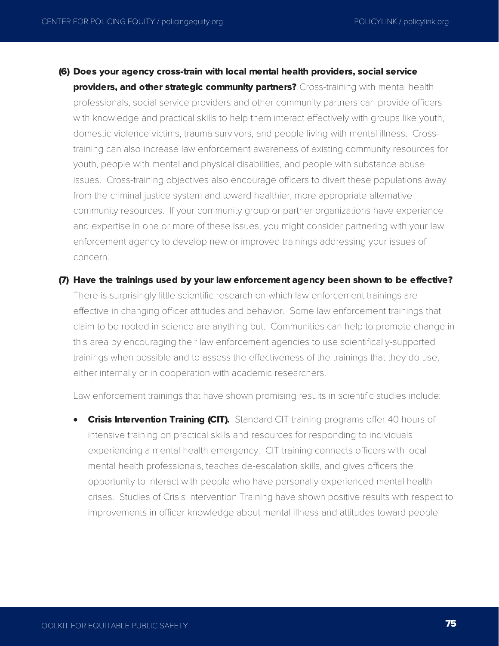#### (6) Does your agency cross-train with local mental health providers, social service

providers, and other strategic community partners? Cross-training with mental health professionals, social service providers and other community partners can provide officers with knowledge and practical skills to help them interact effectively with groups like youth, domestic violence victims, trauma survivors, and people living with mental illness. Crosstraining can also increase law enforcement awareness of existing community resources for youth, people with mental and physical disabilities, and people with substance abuse issues. Cross-training objectives also encourage officers to divert these populations away from the criminal justice system and toward healthier, more appropriate alternative community resources. If your community group or partner organizations have experience and expertise in one or more of these issues, you might consider partnering with your law enforcement agency to develop new or improved trainings addressing your issues of concern.

(7) Have the trainings used by your law enforcement agency been shown to be effective? There is surprisingly little scientific research on which law enforcement trainings are effective in changing officer attitudes and behavior. Some law enforcement trainings that claim to be rooted in science are anything but. Communities can help to promote change in this area by encouraging their law enforcement agencies to use scientifically-supported trainings when possible and to assess the effectiveness of the trainings that they do use, either internally or in cooperation with academic researchers.

Law enforcement trainings that have shown promising results in scientific studies include:

**• Crisis Intervention Training (CIT).** Standard CIT training programs offer 40 hours of intensive training on practical skills and resources for responding to individuals experiencing a mental health emergency. CIT training connects officers with local mental health professionals, teaches de-escalation skills, and gives officers the opportunity to interact with people who have personally experienced mental health crises. Studies of Crisis Intervention Training have shown positive results with respect to improvements in officer knowledge about mental illness and attitudes toward people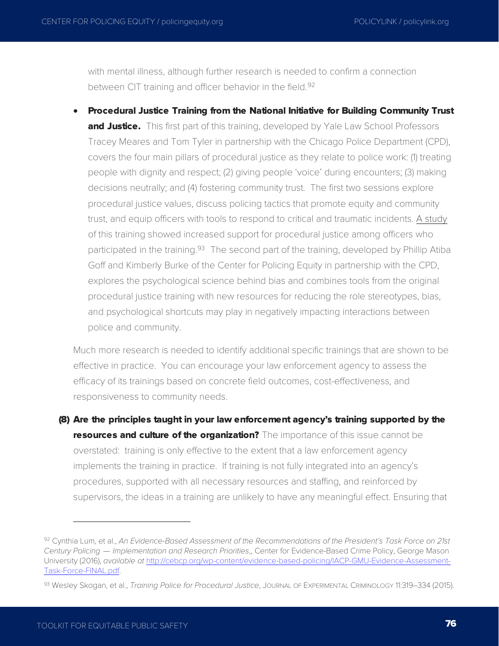with mental illness, although further research is needed to confirm a connection between CIT training and officer behavior in the field.<sup>92</sup>

• Procedural Justice Training from the National Initiative for Building Community Trust and Justice. This first part of this training, developed by Yale Law School Professors Tracey Meares and Tom Tyler in partnership with the Chicago Police Department (CPD), covers the four main pillars of procedural justice as they relate to police work: (1) treating people with dignity and respect; (2) giving people 'voice' during encounters; (3) making decisions neutrally; and (4) fostering community trust. The first two sessions explore procedural justice values, discuss policing tactics that promote equity and community trust, and equip officers with tools to respond to critical and traumatic incidents. [A study](http://www.skogan.org/files/Training_Police_for_Procedural_Justice.Working_Paper_October_2014.pdf) of this training showed increased support for procedural justice among officers who participated in the training.<sup>[93](#page-77-1)</sup> The second part of the training, developed by Phillip Atiba Goff and Kimberly Burke of the Center for Policing Equity in partnership with the CPD, explores the psychological science behind bias and combines tools from the original procedural justice training with new resources for reducing the role stereotypes, bias, and psychological shortcuts may play in negatively impacting interactions between police and community.

Much more research is needed to identify additional specific trainings that are shown to be effective in practice. You can encourage your law enforcement agency to assess the efficacy of its trainings based on concrete field outcomes, cost-effectiveness, and responsiveness to community needs.

(8) Are the principles taught in your law enforcement agency's training supported by the resources and culture of the organization? The importance of this issue cannot be overstated: training is only effective to the extent that a law enforcement agency implements the training in practice. If training is not fully integrated into an agency's procedures, supported with all necessary resources and staffing, and reinforced by supervisors, the ideas in a training are unlikely to have any meaningful effect. Ensuring that

<span id="page-77-0"></span><sup>92</sup> Cynthia Lum, et al., An Evidence-Based Assessment of the Recommendations of the President's Task Force on 21st Century Policing — Implementation and Research Priorities,, Center for Evidence-Based Crime Policy, George Mason University (2016), available at [http://cebcp.org/wp-content/evidence-based-policing/IACP-GMU-Evidence-Assessment-](http://cebcp.org/wp-content/evidence-based-policing/IACP-GMU-Evidence-Assessment-Task-Force-FINAL.pdf)[Task-Force-FINAL.pdf.](http://cebcp.org/wp-content/evidence-based-policing/IACP-GMU-Evidence-Assessment-Task-Force-FINAL.pdf)

<span id="page-77-1"></span><sup>93</sup> Wesley Skogan, et al., Training Police for Procedural Justice, JOURNAL OF EXPERIMENTAL CRIMINOLOGY 11:319–334 (2015).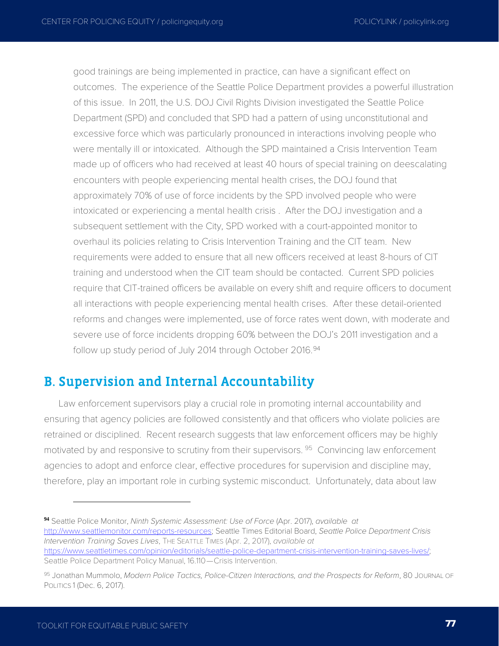good trainings are being implemented in practice, can have a significant effect on outcomes. The experience of the Seattle Police Department provides a powerful illustration of this issue. In 2011, the U.S. DOJ Civil Rights Division investigated the Seattle Police Department (SPD) and concluded that SPD had a pattern of using unconstitutional and excessive force which was particularly pronounced in interactions involving people who were mentally ill or intoxicated. Although the SPD maintained a Crisis Intervention Team made up of officers who had received at least 40 hours of special training on deescalating encounters with people experiencing mental health crises, the DOJ found that approximately 70% of use of force incidents by the SPD involved people who were intoxicated or experiencing a mental health crisis . After the DOJ investigation and a subsequent settlement with the City, SPD worked with a court-appointed monitor to overhaul its policies relating to Crisis Intervention Training and the CIT team. New requirements were added to ensure that all new officers received at least 8-hours of CIT training and understood when the CIT team should be contacted. Current SPD policies require that CIT-trained officers be available on every shift and require officers to document all interactions with people experiencing mental health crises. After these detail-oriented reforms and changes were implemented, use of force rates went down, with moderate and severe use of force incidents dropping 60% between the DOJ's 2011 investigation and a follow up study period of July 2014 through October 2016.<sup>[94](#page-78-0)</sup>

### B. Supervision and Internal Accountability

Law enforcement supervisors play a crucial role in promoting internal accountability and ensuring that agency policies are followed consistently and that officers who violate policies are retrained or disciplined. Recent research suggests that law enforcement officers may be highly motivated by and responsive to scrutiny from their supervisors. <sup>95</sup> Convincing law enforcement agencies to adopt and enforce clear, effective procedures for supervision and discipline may, therefore, play an important role in curbing systemic misconduct. Unfortunately, data about law

<span id="page-78-0"></span>**<sup>94</sup>** Seattle Police Monitor, Ninth Systemic Assessment: Use of Force (Apr. 2017), available at [http://www.seattlemonitor.com/reports-resources;](http://www.seattlemonitor.com/reports-resources) Seattle Times Editorial Board, Seattle Police Department Crisis Intervention Training Saves Lives, THE SEATTLE TIMES (Apr. 2, 2017), available at [https://www.seattletimes.com/opinion/editorials/seattle-police-department-crisis-intervention-training-saves-lives/;](https://www.seattletimes.com/opinion/editorials/seattle-police-department-crisis-intervention-training-saves-lives/) Seattle Police Department Policy Manual, 16.110—Crisis Intervention.

<span id="page-78-1"></span><sup>95</sup> Jonathan Mummolo, Modern Police Tactics, Police-Citizen Interactions, and the Prospects for Reform, 80 JOURNAL OF POLITICS 1 (Dec. 6, 2017).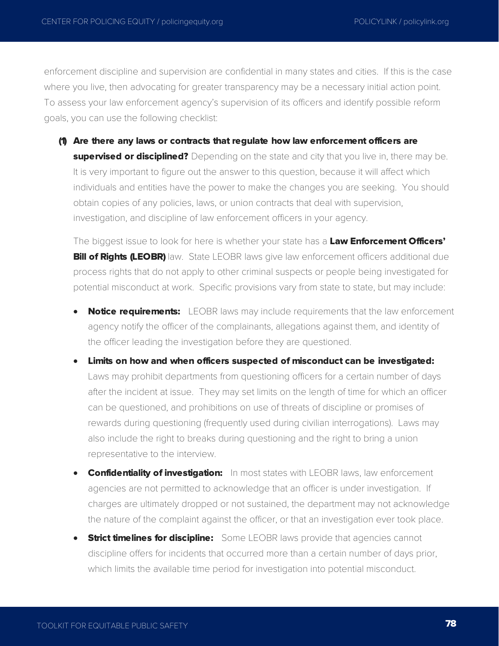enforcement discipline and supervision are confidential in many states and cities. If this is the case where you live, then advocating for greater transparency may be a necessary initial action point. To assess your law enforcement agency's supervision of its officers and identify possible reform goals, you can use the following checklist:

(1) Are there any laws or contracts that regulate how law enforcement officers are **supervised or disciplined?** Depending on the state and city that you live in, there may be. It is very important to figure out the answer to this question, because it will affect which individuals and entities have the power to make the changes you are seeking. You should obtain copies of any policies, laws, or union contracts that deal with supervision, investigation, and discipline of law enforcement officers in your agency.

The biggest issue to look for here is whether your state has a **Law Enforcement Officers'** Bill of Rights (LEOBR) law. State LEOBR laws give law enforcement officers additional due process rights that do not apply to other criminal suspects or people being investigated for potential misconduct at work. Specific provisions vary from state to state, but may include:

- Notice requirements: LEOBR laws may include requirements that the law enforcement agency notify the officer of the complainants, allegations against them, and identity of the officer leading the investigation before they are questioned.
- Limits on how and when officers suspected of misconduct can be investigated: Laws may prohibit departments from questioning officers for a certain number of days after the incident at issue. They may set limits on the length of time for which an officer can be questioned, and prohibitions on use of threats of discipline or promises of rewards during questioning (frequently used during civilian interrogations). Laws may also include the right to breaks during questioning and the right to bring a union representative to the interview.
- **Confidentiality of investigation:** In most states with LEOBR laws, law enforcement agencies are not permitted to acknowledge that an officer is under investigation. If charges are ultimately dropped or not sustained, the department may not acknowledge the nature of the complaint against the officer, or that an investigation ever took place.
- **Strict timelines for discipline:** Some LEOBR laws provide that agencies cannot discipline offers for incidents that occurred more than a certain number of days prior, which limits the available time period for investigation into potential misconduct.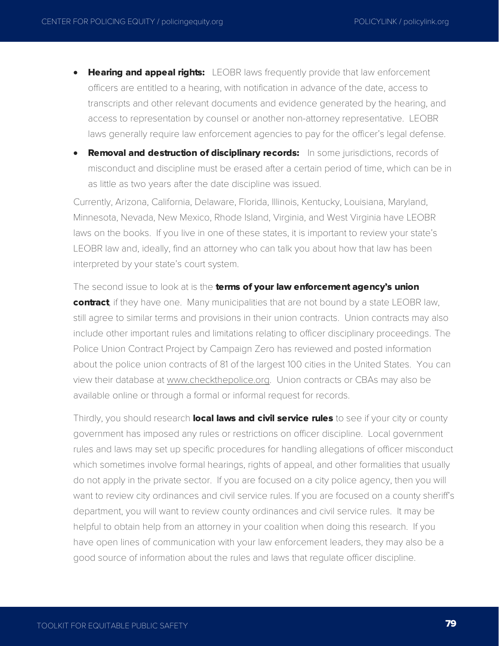- **Hearing and appeal rights:** LEOBR laws frequently provide that law enforcement officers are entitled to a hearing, with notification in advance of the date, access to transcripts and other relevant documents and evidence generated by the hearing, and access to representation by counsel or another non-attorney representative. LEOBR laws generally require law enforcement agencies to pay for the officer's legal defense.
- **Removal and destruction of disciplinary records:** In some jurisdictions, records of misconduct and discipline must be erased after a certain period of time, which can be in as little as two years after the date discipline was issued.

Currently, Arizona, California, Delaware, Florida, Illinois, Kentucky, Louisiana, Maryland, Minnesota, Nevada, New Mexico, Rhode Island, Virginia, and West Virginia have LEOBR laws on the books. If you live in one of these states, it is important to review your state's LEOBR law and, ideally, find an attorney who can talk you about how that law has been interpreted by your state's court system.

The second issue to look at is the **terms of your law enforcement agency's union** contract, if they have one. Many municipalities that are not bound by a state LEOBR law, still agree to similar terms and provisions in their union contracts. Union contracts may also include other important rules and limitations relating to officer disciplinary proceedings. The Police Union Contract Project by Campaign Zero has reviewed and posted information about the police union contracts of 81 of the largest 100 cities in the United States. You can view their database at [www.checkthepolice.org.](http://www.checkthepolice.org/) Union contracts or CBAs may also be available online or through a formal or informal request for records.

Thirdly, you should research local laws and civil service rules to see if your city or county government has imposed any rules or restrictions on officer discipline. Local government rules and laws may set up specific procedures for handling allegations of officer misconduct which sometimes involve formal hearings, rights of appeal, and other formalities that usually do not apply in the private sector. If you are focused on a city police agency, then you will want to review city ordinances and civil service rules. If you are focused on a county sheriff's department, you will want to review county ordinances and civil service rules. It may be helpful to obtain help from an attorney in your coalition when doing this research. If you have open lines of communication with your law enforcement leaders, they may also be a good source of information about the rules and laws that regulate officer discipline.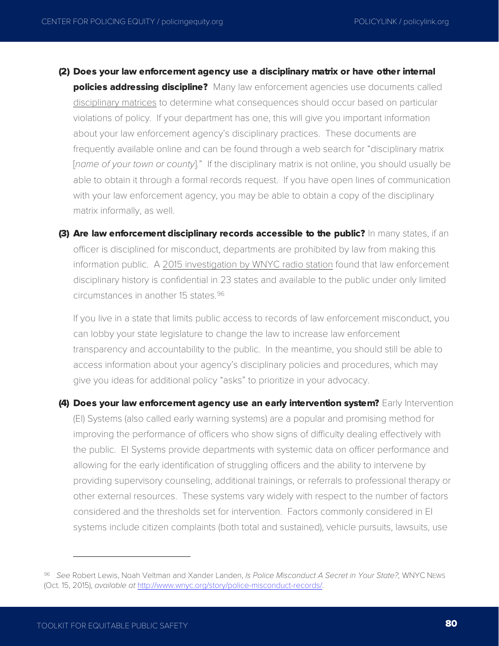- (2) Does your law enforcement agency use a disciplinary matrix or have other internal **policies addressing discipline?** Many law enforcement agencies use documents called disciplinary matrices to determine what consequences should occur based on particular violations of policy. If your department has one, this will give you important information about your law enforcement agency's disciplinary practices. These documents are frequently available online and can be found through a web search for "disciplinary matrix [name of your town or county]." If the disciplinary matrix is not online, you should usually be able to obtain it through a formal records request. If you have open lines of communication with your law enforcement agency, you may be able to obtain a copy of the disciplinary matrix informally, as well.
- (3) Are law enforcement disciplinary records accessible to the public? In many states, if an officer is disciplined for misconduct, departments are prohibited by law from making this information public. A 2015 [investigation by WNYC radio station](http://www.wnyc.org/story/police-misconduct-records/) found that law enforcement disciplinary history is confidential in 23 states and available to the public under only limited circumstances in another 15 states.[96](#page-81-0)

If you live in a state that limits public access to records of law enforcement misconduct, you can lobby your state legislature to change the law to increase law enforcement transparency and accountability to the public. In the meantime, you should still be able to access information about your agency's disciplinary policies and procedures, which may give you ideas for additional policy "asks" to prioritize in your advocacy.

(4) Does your law enforcement agency use an early intervention system? Early Intervention (EI) Systems (also called early warning systems) are a popular and promising method for improving the performance of officers who show signs of difficulty dealing effectively with the public. EI Systems provide departments with systemic data on officer performance and allowing for the early identification of struggling officers and the ability to intervene by providing supervisory counseling, additional trainings, or referrals to professional therapy or other external resources. These systems vary widely with respect to the number of factors considered and the thresholds set for intervention. Factors commonly considered in EI systems include citizen complaints (both total and sustained), vehicle pursuits, lawsuits, use

<span id="page-81-0"></span><sup>96</sup> See Robert Lewis, Noah Veltman and Xander Landen, Is Police Misconduct A Secret in Your State?, WNYC News (Oct. 15, 2015), available at [http://www.wnyc.org/story/police-misconduct-records/.](http://www.wnyc.org/story/police-misconduct-records/)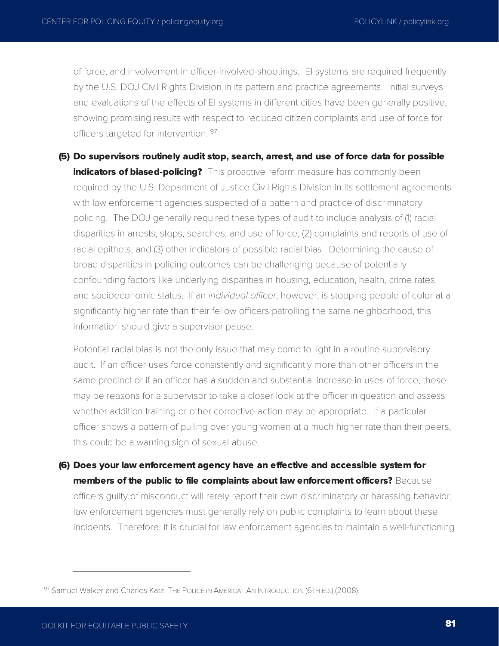of force, and involvement in officer-involved-shootings. EI systems are required frequently by the U.S. DOJ Civil Rights Division in its pattern and practice agreements. Initial surveys and evaluations of the effects of EI systems in different cities have been generally positive, showing promising results with respect to reduced citizen complaints and use of force for officers targeted for intervention. [97](#page-82-0)

(5) Do supervisors routinely audit stop, search, arrest, and use of force data for possible indicators of biased-policing? This proactive reform measure has commonly been required by the U.S. Department of Justice Civil Rights Division in its settlement agreements with law enforcement agencies suspected of a pattern and practice of discriminatory policing. The DOJ generally required these types of audit to include analysis of (1) racial disparities in arrests, stops, searches, and use of force; (2) complaints and reports of use of racial epithets; and (3) other indicators of possible racial bias. Determining the cause of broad disparities in policing outcomes can be challenging because of potentially confounding factors like underlying disparities in housing, education, health, crime rates, and socioeconomic status. If an individual officer, however, is stopping people of color at a significantly higher rate than their fellow officers patrolling the same neighborhood, this information should give a supervisor pause.

Potential racial bias is not the only issue that may come to light in a routine supervisory audit. If an officer uses force consistently and significantly more than other officers in the same precinct or if an officer has a sudden and substantial increase in uses of force, these may be reasons for a supervisor to take a closer look at the officer in question and assess whether addition training or other corrective action may be appropriate. If a particular officer shows a pattern of pulling over young women at a much higher rate than their peers, this could be a warning sign of sexual abuse.

(6) Does your law enforcement agency have an effective and accessible system for members of the public to file complaints about law enforcement officers? Because officers guilty of misconduct will rarely report their own discriminatory or harassing behavior, law enforcement agencies must generally rely on public complaints to learn about these incidents. Therefore, it is crucial for law enforcement agencies to maintain a well-functioning

<span id="page-82-0"></span><sup>97</sup> Samuel Walker and Charles Katz, THE POLICE IN AMERICA: AN INTRODUCTION (6TH ED.) (2008).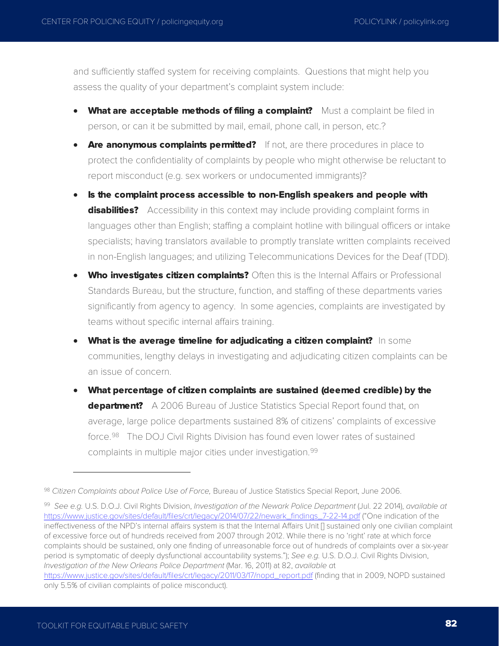and sufficiently staffed system for receiving complaints. Questions that might help you assess the quality of your department's complaint system include:

- What are acceptable methods of filing a complaint? Must a complaint be filed in person, or can it be submitted by mail, email, phone call, in person, etc.?
- **Are anonymous complaints permitted?** If not, are there procedures in place to protect the confidentiality of complaints by people who might otherwise be reluctant to report misconduct (e.g. sex workers or undocumented immigrants)?
- Is the complaint process accessible to non-English speakers and people with **disabilities?** Accessibility in this context may include providing complaint forms in languages other than English; staffing a complaint hotline with bilingual officers or intake specialists; having translators available to promptly translate written complaints received in non-English languages; and utilizing Telecommunications Devices for the Deaf (TDD).
- Who investigates citizen complaints? Often this is the Internal Affairs or Professional Standards Bureau, but the structure, function, and staffing of these departments varies significantly from agency to agency. In some agencies, complaints are investigated by teams without specific internal affairs training.
- **What is the average timeline for adjudicating a citizen complaint?** In some communities, lengthy delays in investigating and adjudicating citizen complaints can be an issue of concern.
- What percentage of citizen complaints are sustained (deemed credible) by the department? A 2006 Bureau of Justice Statistics Special Report found that, on average, large police departments sustained 8% of citizens' complaints of excessive force.<sup>[98](#page-83-0)</sup> The DOJ Civil Rights Division has found even lower rates of sustained complaints in multiple major cities under investigation.[99](#page-83-1)

<span id="page-83-0"></span><sup>98</sup> Citizen Complaints about Police Use of Force, Bureau of Justice Statistics Special Report, June 2006.

<span id="page-83-1"></span><sup>99</sup> See e.g. U.S. D.O.J. Civil Rights Division, Investigation of the Newark Police Department (Jul. 22 2014), available at [https://www.justice.gov/sites/default/files/crt/legacy/2014/07/22/newark\\_findings\\_7-22-14.pdf](https://www.justice.gov/sites/default/files/crt/legacy/2014/07/22/newark_findings_7-22-14.pdf) ("One indication of the ineffectiveness of the NPD's internal affairs system is that the Internal Affairs Unit [] sustained only one civilian complaint of excessive force out of hundreds received from 2007 through 2012. While there is no 'right' rate at which force complaints should be sustained, only one finding of unreasonable force out of hundreds of complaints over a six-year period is symptomatic of deeply dysfunctional accountability systems."); See e.g. U.S. D.O.J. Civil Rights Division, Investigation of the New Orleans Police Department (Mar. 16, 2011) at 82, available at [https://www.justice.gov/sites/default/files/crt/legacy/2011/03/17/nopd\\_report.pdf](https://www.justice.gov/sites/default/files/crt/legacy/2011/03/17/nopd_report.pdf) (finding that in 2009, NOPD sustained

only 5.5% of civilian complaints of police misconduct).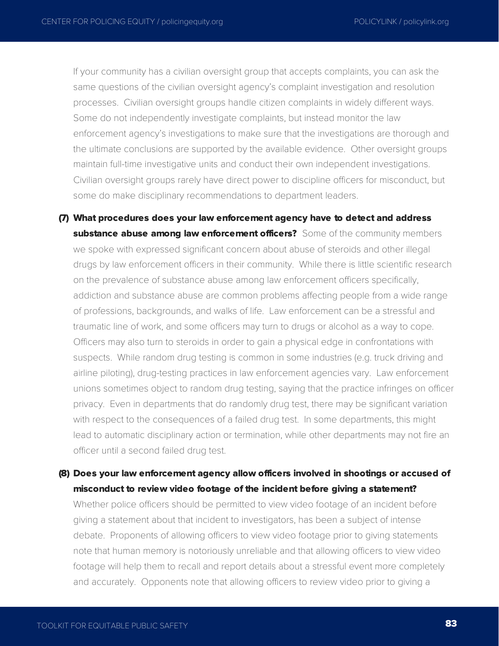If your community has a civilian oversight group that accepts complaints, you can ask the same questions of the civilian oversight agency's complaint investigation and resolution processes. Civilian oversight groups handle citizen complaints in widely different ways. Some do not independently investigate complaints, but instead monitor the law enforcement agency's investigations to make sure that the investigations are thorough and the ultimate conclusions are supported by the available evidence. Other oversight groups maintain full-time investigative units and conduct their own independent investigations. Civilian oversight groups rarely have direct power to discipline officers for misconduct, but some do make disciplinary recommendations to department leaders.

(7) What procedures does your law enforcement agency have to detect and address substance abuse among law enforcement officers? Some of the community members we spoke with expressed significant concern about abuse of steroids and other illegal drugs by law enforcement officers in their community. While there is little scientific research on the prevalence of substance abuse among law enforcement officers specifically, addiction and substance abuse are common problems affecting people from a wide range of professions, backgrounds, and walks of life. Law enforcement can be a stressful and traumatic line of work, and some officers may turn to drugs or alcohol as a way to cope. Officers may also turn to steroids in order to gain a physical edge in confrontations with suspects. While random drug testing is common in some industries (e.g. truck driving and airline piloting), drug-testing practices in law enforcement agencies vary. Law enforcement unions sometimes object to random drug testing, saying that the practice infringes on officer privacy. Even in departments that do randomly drug test, there may be significant variation with respect to the consequences of a failed drug test. In some departments, this might lead to automatic disciplinary action or termination, while other departments may not fire an officer until a second failed drug test.

#### (8) Does your law enforcement agency allow officers involved in shootings or accused of misconduct to review video footage of the incident before giving a statement?

Whether police officers should be permitted to view video footage of an incident before giving a statement about that incident to investigators, has been a subject of intense debate. Proponents of allowing officers to view video footage prior to giving statements note that human memory is notoriously unreliable and that allowing officers to view video footage will help them to recall and report details about a stressful event more completely and accurately. Opponents note that allowing officers to review video prior to giving a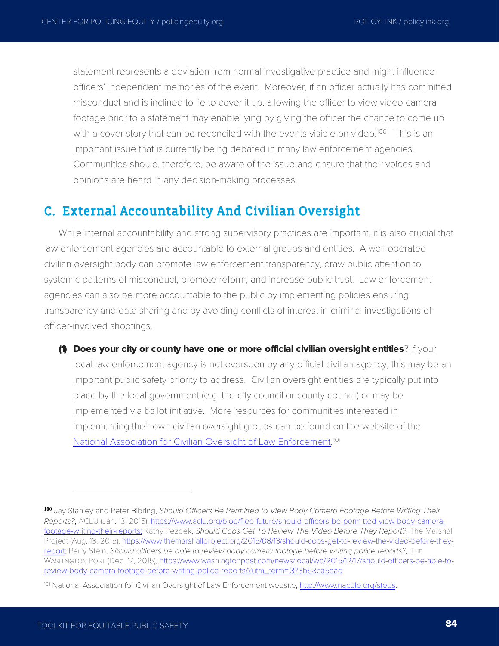statement represents a deviation from normal investigative practice and might influence officers' independent memories of the event. Moreover, if an officer actually has committed misconduct and is inclined to lie to cover it up, allowing the officer to view video camera footage prior to a statement may enable lying by giving the officer the chance to come up with a cover story that can be reconciled with the events visible on video.<sup>100</sup> This is an important issue that is currently being debated in many law enforcement agencies. Communities should, therefore, be aware of the issue and ensure that their voices and opinions are heard in any decision-making processes.

#### C. External Accountability And Civilian Oversight

While internal accountability and strong supervisory practices are important, it is also crucial that law enforcement agencies are accountable to external groups and entities. A well-operated civilian oversight body can promote law enforcement transparency, draw public attention to systemic patterns of misconduct, promote reform, and increase public trust. Law enforcement agencies can also be more accountable to the public by implementing policies ensuring transparency and data sharing and by avoiding conflicts of interest in criminal investigations of officer-involved shootings.

(1) Does your city or county have one or more official civilian oversight entities? If your local law enforcement agency is not overseen by any official civilian agency, this may be an important public safety priority to address. Civilian oversight entities are typically put into place by the local government (e.g. the city council or county council) or may be implemented via ballot initiative. More resources for communities interested in implementing their own civilian oversight groups can be found on the website of the [National Association for Civilian Oversight of Law Enforcement.](http://www.nacole.org/steps)<sup>[101](#page-85-1)</sup>

<span id="page-85-0"></span>**<sup>100</sup>** Jay Stanley and Peter Bibring, Should Officers Be Permitted to View Body Camera Footage Before Writing Their Reports?, ACLU (Jan. 13, 2015), [https://www.aclu.org/blog/free-future/should-officers-be-permitted-view-body-camera](https://www.aclu.org/blog/free-future/should-officers-be-permitted-view-body-camera-footage-writing-their-reports)[footage-writing-their-reports;](https://www.aclu.org/blog/free-future/should-officers-be-permitted-view-body-camera-footage-writing-their-reports) Kathy Pezdek, Should Cops Get To Review The Video Before They Report?, The Marshall Project (Aug. 13, 2015), [https://www.themarshallproject.org/2015/08/13/should-cops-get-to-review-the-video-before-they](https://www.themarshallproject.org/2015/08/13/should-cops-get-to-review-the-video-before-they-report)[report;](https://www.themarshallproject.org/2015/08/13/should-cops-get-to-review-the-video-before-they-report) Perry Stein, Should officers be able to review body camera footage before writing police reports?, THE WASHINGTON POST (Dec. 17, 2015), [https://www.washingtonpost.com/news/local/wp/2015/12/17/should-officers-be-able-to](https://www.washingtonpost.com/news/local/wp/2015/12/17/should-officers-be-able-to-review-body-camera-footage-before-writing-police-reports/?utm_term=.373b58ca5aad)[review-body-camera-footage-before-writing-police-reports/?utm\\_term=.373b58ca5aad.](https://www.washingtonpost.com/news/local/wp/2015/12/17/should-officers-be-able-to-review-body-camera-footage-before-writing-police-reports/?utm_term=.373b58ca5aad) 

<span id="page-85-1"></span><sup>&</sup>lt;sup>101</sup> National Association for Civilian Oversight of Law Enforcement website, http://www.nacole.org/steps.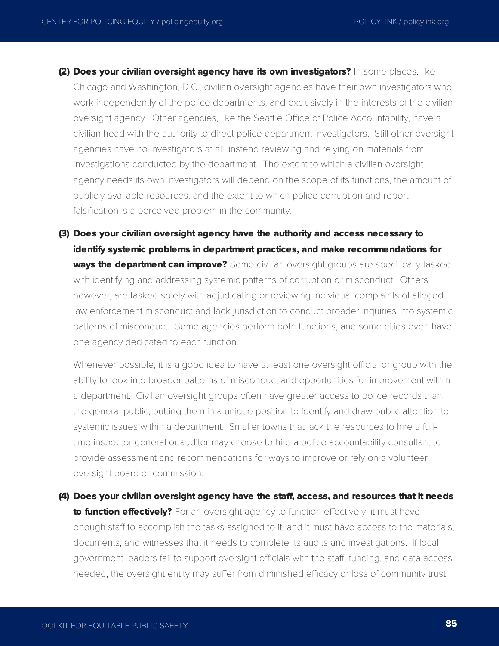- (2) Does your civilian oversight agency have its own investigators? In some places, like Chicago and Washington, D.C., civilian oversight agencies have their own investigators who work independently of the police departments, and exclusively in the interests of the civilian oversight agency. Other agencies, like the Seattle Office of Police Accountability, have a civilian head with the authority to direct police department investigators. Still other oversight agencies have no investigators at all, instead reviewing and relying on materials from investigations conducted by the department. The extent to which a civilian oversight agency needs its own investigators will depend on the scope of its functions, the amount of publicly available resources, and the extent to which police corruption and report falsification is a perceived problem in the community.
- (3) Does your civilian oversight agency have the authority and access necessary to identify systemic problems in department practices, and make recommendations for ways the department can improve? Some civilian oversight groups are specifically tasked with identifying and addressing systemic patterns of corruption or misconduct. Others, however, are tasked solely with adjudicating or reviewing individual complaints of alleged law enforcement misconduct and lack jurisdiction to conduct broader inquiries into systemic patterns of misconduct. Some agencies perform both functions, and some cities even have one agency dedicated to each function.

Whenever possible, it is a good idea to have at least one oversight official or group with the ability to look into broader patterns of misconduct and opportunities for improvement within a department. Civilian oversight groups often have greater access to police records than the general public, putting them in a unique position to identify and draw public attention to systemic issues within a department. Smaller towns that lack the resources to hire a fulltime inspector general or auditor may choose to hire a police accountability consultant to provide assessment and recommendations for ways to improve or rely on a volunteer oversight board or commission.

(4) Does your civilian oversight agency have the staff, access, and resources that it needs to function effectively? For an oversight agency to function effectively, it must have enough staff to accomplish the tasks assigned to it, and it must have access to the materials, documents, and witnesses that it needs to complete its audits and investigations. If local government leaders fail to support oversight officials with the staff, funding, and data access needed, the oversight entity may suffer from diminished efficacy or loss of community trust.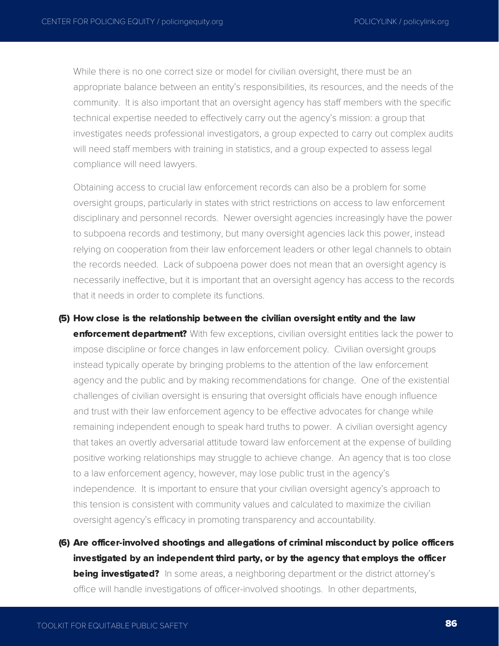While there is no one correct size or model for civilian oversight, there must be an appropriate balance between an entity's responsibilities, its resources, and the needs of the community. It is also important that an oversight agency has staff members with the specific technical expertise needed to effectively carry out the agency's mission: a group that investigates needs professional investigators, a group expected to carry out complex audits will need staff members with training in statistics, and a group expected to assess legal compliance will need lawyers.

Obtaining access to crucial law enforcement records can also be a problem for some oversight groups, particularly in states with strict restrictions on access to law enforcement disciplinary and personnel records. Newer oversight agencies increasingly have the power to subpoena records and testimony, but many oversight agencies lack this power, instead relying on cooperation from their law enforcement leaders or other legal channels to obtain the records needed. Lack of subpoena power does not mean that an oversight agency is necessarily ineffective, but it is important that an oversight agency has access to the records that it needs in order to complete its functions.

#### (5) How close is the relationship between the civilian oversight entity and the law

**enforcement department?** With few exceptions, civilian oversight entities lack the power to impose discipline or force changes in law enforcement policy. Civilian oversight groups instead typically operate by bringing problems to the attention of the law enforcement agency and the public and by making recommendations for change. One of the existential challenges of civilian oversight is ensuring that oversight officials have enough influence and trust with their law enforcement agency to be effective advocates for change while remaining independent enough to speak hard truths to power. A civilian oversight agency that takes an overtly adversarial attitude toward law enforcement at the expense of building positive working relationships may struggle to achieve change. An agency that is too close to a law enforcement agency, however, may lose public trust in the agency's independence. It is important to ensure that your civilian oversight agency's approach to this tension is consistent with community values and calculated to maximize the civilian oversight agency's efficacy in promoting transparency and accountability.

(6) Are officer-involved shootings and allegations of criminal misconduct by police officers investigated by an independent third party, or by the agency that employs the officer **being investigated?** In some areas, a neighboring department or the district attorney's office will handle investigations of officer-involved shootings. In other departments,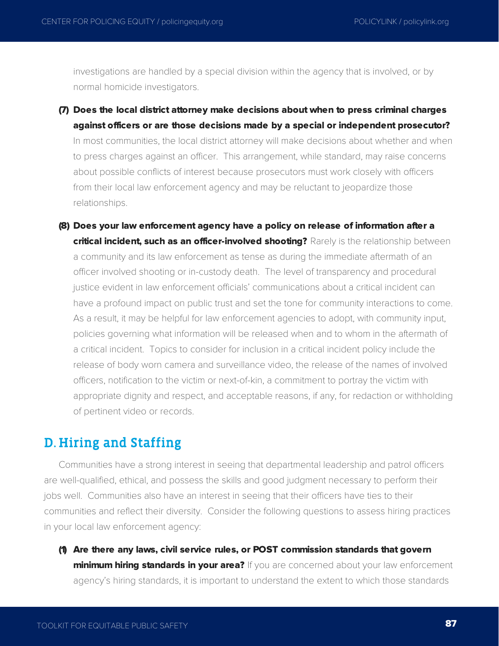investigations are handled by a special division within the agency that is involved, or by normal homicide investigators.

- (7) Does the local district attorney make decisions about when to press criminal charges against officers or are those decisions made by a special or independent prosecutor? In most communities, the local district attorney will make decisions about whether and when to press charges against an officer. This arrangement, while standard, may raise concerns about possible conflicts of interest because prosecutors must work closely with officers from their local law enforcement agency and may be reluctant to jeopardize those relationships.
- (8) Does your law enforcement agency have a policy on release of information after a critical incident, such as an officer-involved shooting? Rarely is the relationship between a community and its law enforcement as tense as during the immediate aftermath of an officer involved shooting or in-custody death. The level of transparency and procedural justice evident in law enforcement officials' communications about a critical incident can have a profound impact on public trust and set the tone for community interactions to come. As a result, it may be helpful for law enforcement agencies to adopt, with community input, policies governing what information will be released when and to whom in the aftermath of a critical incident. Topics to consider for inclusion in a critical incident policy include the release of body worn camera and surveillance video, the release of the names of involved officers, notification to the victim or next-of-kin, a commitment to portray the victim with appropriate dignity and respect, and acceptable reasons, if any, for redaction or withholding of pertinent video or records.

#### D. Hiring and Staffing

Communities have a strong interest in seeing that departmental leadership and patrol officers are well-qualified, ethical, and possess the skills and good judgment necessary to perform their jobs well. Communities also have an interest in seeing that their officers have ties to their communities and reflect their diversity. Consider the following questions to assess hiring practices in your local law enforcement agency:

(1) Are there any laws, civil service rules, or POST commission standards that govern minimum hiring standards in your area? If you are concerned about your law enforcement agency's hiring standards, it is important to understand the extent to which those standards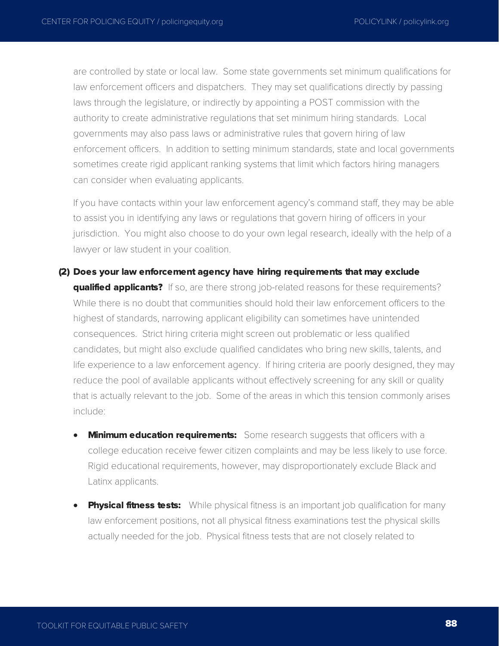are controlled by state or local law. Some state governments set minimum qualifications for law enforcement officers and dispatchers. They may set qualifications directly by passing laws through the legislature, or indirectly by appointing a POST commission with the authority to create administrative regulations that set minimum hiring standards. Local governments may also pass laws or administrative rules that govern hiring of law enforcement officers. In addition to setting minimum standards, state and local governments sometimes create rigid applicant ranking systems that limit which factors hiring managers can consider when evaluating applicants.

If you have contacts within your law enforcement agency's command staff, they may be able to assist you in identifying any laws or regulations that govern hiring of officers in your jurisdiction. You might also choose to do your own legal research, ideally with the help of a lawyer or law student in your coalition.

- (2) Does your law enforcement agency have hiring requirements that may exclude **qualified applicants?** If so, are there strong job-related reasons for these requirements? While there is no doubt that communities should hold their law enforcement officers to the highest of standards, narrowing applicant eligibility can sometimes have unintended consequences. Strict hiring criteria might screen out problematic or less qualified candidates, but might also exclude qualified candidates who bring new skills, talents, and life experience to a law enforcement agency. If hiring criteria are poorly designed, they may reduce the pool of available applicants without effectively screening for any skill or quality that is actually relevant to the job. Some of the areas in which this tension commonly arises include:
	- Minimum education requirements: Some research suggests that officers with a college education receive fewer citizen complaints and may be less likely to use force. Rigid educational requirements, however, may disproportionately exclude Black and Latinx applicants.
	- Physical fitness tests: While physical fitness is an important job qualification for many law enforcement positions, not all physical fitness examinations test the physical skills actually needed for the job. Physical fitness tests that are not closely related to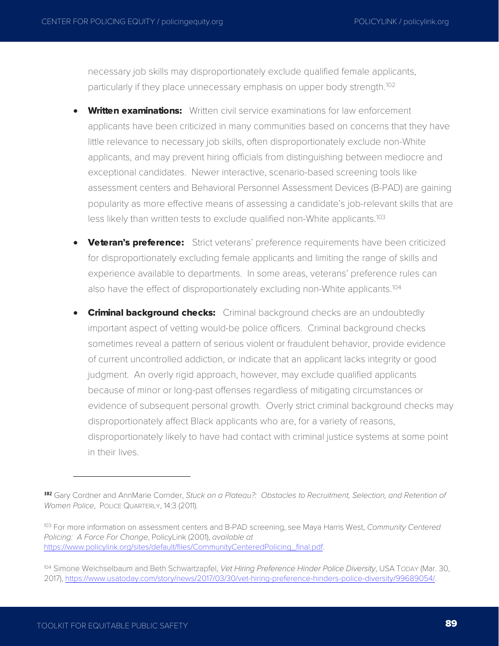necessary job skills may disproportionately exclude qualified female applicants, particularly if they place unnecessary emphasis on upper body strength.<sup>[102](#page-90-0)</sup>

- **Written examinations:** Written civil service examinations for law enforcement applicants have been criticized in many communities based on concerns that they have little relevance to necessary job skills, often disproportionately exclude non-White applicants, and may prevent hiring officials from distinguishing between mediocre and exceptional candidates. Newer interactive, scenario-based screening tools like assessment centers and Behavioral Personnel Assessment Devices (B-PAD) are gaining popularity as more effective means of assessing a candidate's job-relevant skills that are less likely than written tests to exclude qualified non-White applicants.<sup>[103](#page-90-1)</sup>
- **Veteran's preference:** Strict veterans' preference requirements have been criticized for disproportionately excluding female applicants and limiting the range of skills and experience available to departments. In some areas, veterans' preference rules can also have the effect of disproportionately excluding non-White applicants.<sup>[104](#page-90-2)</sup>
- **Criminal background checks:** Criminal background checks are an undoubtedly important aspect of vetting would-be police officers. Criminal background checks sometimes reveal a pattern of serious violent or fraudulent behavior, provide evidence of current uncontrolled addiction, or indicate that an applicant lacks integrity or good judgment. An overly rigid approach, however, may exclude qualified applicants because of minor or long-past offenses regardless of mitigating circumstances or evidence of subsequent personal growth. Overly strict criminal background checks may disproportionately affect Black applicants who are, for a variety of reasons, disproportionately likely to have had contact with criminal justice systems at some point in their lives.

<span id="page-90-0"></span>**<sup>102</sup>** Gary Cordner and AnnMarie Cornder, Stuck on a Plateau?: Obstacles to Recruitment, Selection, and Retention of Women Police, POLICE QUARTERLY, 14:3 (2011).

<span id="page-90-1"></span><sup>103</sup> For more information on assessment centers and B-PAD screening, see Maya Harris West, Community Centered Policing: A Force For Change, PolicyLink (2001), available at [https://www.policylink.org/sites/default/files/CommunityCenteredPolicing\\_final.pdf.](https://www.policylink.org/sites/default/files/CommunityCenteredPolicing_final.pdf)

<span id="page-90-2"></span><sup>104</sup> Simone Weichselbaum and Beth Schwartzapfel, Vet Hiring Preference Hinder Police Diversity, USA Topay (Mar. 30, 2017), [https://www.usatoday.com/story/news/2017/03/30/vet-hiring-preference-hinders-police-diversity/99689054/.](https://www.usatoday.com/story/news/2017/03/30/vet-hiring-preference-hinders-police-diversity/99689054/)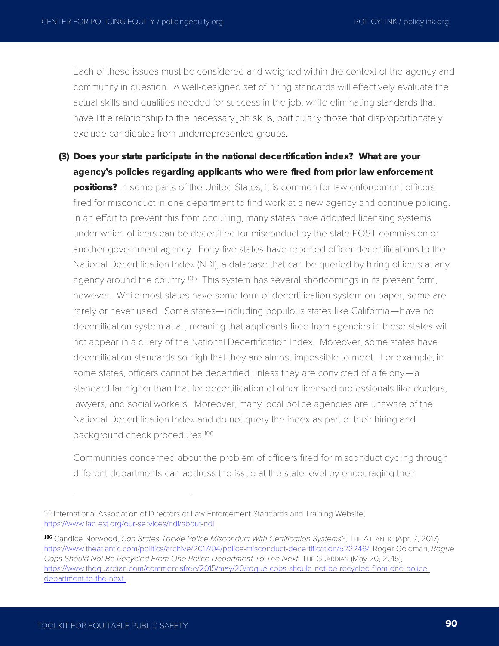Each of these issues must be considered and weighed within the context of the agency and community in question. A well-designed set of hiring standards will effectively evaluate the actual skills and qualities needed for success in the job, while eliminating standards that have little relationship to the necessary job skills, particularly those that disproportionately exclude candidates from underrepresented groups.

(3) Does your state participate in the national decertification index? What are your agency's policies regarding applicants who were fired from prior law enforcement positions? In some parts of the United States, it is common for law enforcement officers fired for misconduct in one department to find work at a new agency and continue policing. In an effort to prevent this from occurring, many states have adopted licensing systems under which officers can be decertified for misconduct by the state POST commission or another government agency. Forty-five states have reported officer decertifications to the National Decertification Index (NDI), a database that can be queried by hiring officers at any agency around the country.<sup>105</sup> This system has several shortcomings in its present form, however. While most states have some form of decertification system on paper, some are rarely or never used. Some states—including populous states like California—have no decertification system at all, meaning that applicants fired from agencies in these states will not appear in a query of the National Decertification Index. Moreover, some states have decertification standards so high that they are almost impossible to meet. For example, in some states, officers cannot be decertified unless they are convicted of a felony—a standard far higher than that for decertification of other licensed professionals like doctors, lawyers, and social workers. Moreover, many local police agencies are unaware of the National Decertification Index and do not query the index as part of their hiring and background check procedures.[106](#page-91-1)

Communities concerned about the problem of officers fired for misconduct cycling through different departments can address the issue at the state level by encouraging their

<span id="page-91-0"></span><sup>&</sup>lt;sup>105</sup> International Association of Directors of Law Enforcement Standards and Training Website, <https://www.iadlest.org/our-services/ndi/about-ndi>

<span id="page-91-1"></span>**<sup>106</sup>** Candice Norwood, Can States Tackle Police Misconduct With Certification Systems?, THE ATLANTIC (Apr. 7, 2017), [https://www.theatlantic.com/politics/archive/2017/04/police-misconduct-decertification/522246/;](https://www.theatlantic.com/politics/archive/2017/04/police-misconduct-decertification/522246/) Roger Goldman, Rogue Cops Should Not Be Recycled From One Police Department To The Next, THE GUARDIAN (May 20, 2015), [https://www.theguardian.com/commentisfree/2015/may/20/rogue-cops-should-not-be-recycled-from-one-police](https://www.theguardian.com/commentisfree/2015/may/20/rogue-cops-should-not-be-recycled-from-one-police-department-to-the-next)[department-to-the-next.](https://www.theguardian.com/commentisfree/2015/may/20/rogue-cops-should-not-be-recycled-from-one-police-department-to-the-next)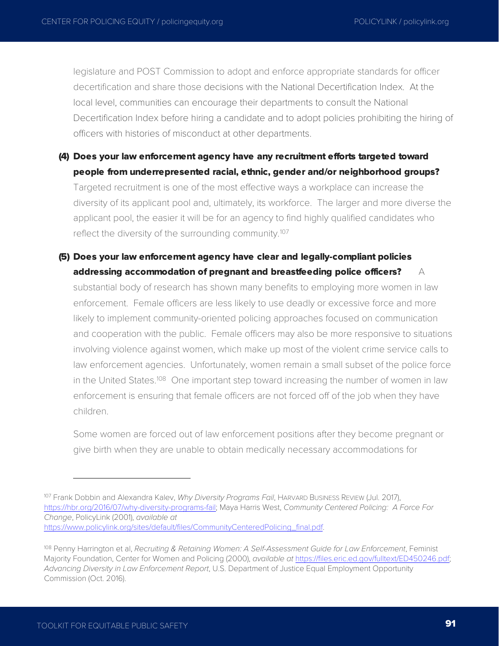legislature and POST Commission to adopt and enforce appropriate standards for officer decertification and share those decisions with the National Decertification Index. At the local level, communities can encourage their departments to consult the National Decertification Index before hiring a candidate and to adopt policies prohibiting the hiring of officers with histories of misconduct at other departments.

(4) Does your law enforcement agency have any recruitment efforts targeted toward people from underrepresented racial, ethnic, gender and/or neighborhood groups? Targeted recruitment is one of the most effective ways a workplace can increase the diversity of its applicant pool and, ultimately, its workforce. The larger and more diverse the applicant pool, the easier it will be for an agency to find highly qualified candidates who reflect the diversity of the surrounding community.<sup>[107](#page-92-0)</sup>

(5) Does your law enforcement agency have clear and legally-compliant policies addressing accommodation of pregnant and breastfeeding police officers? substantial body of research has shown many benefits to employing more women in law enforcement. Female officers are less likely to use deadly or excessive force and more likely to implement community-oriented policing approaches focused on communication and cooperation with the public. Female officers may also be more responsive to situations involving violence against women, which make up most of the violent crime service calls to law enforcement agencies. Unfortunately, women remain a small subset of the police force in the United States.<sup>108</sup> One important step toward increasing the number of women in law enforcement is ensuring that female officers are not forced off of the job when they have children.

Some women are forced out of law enforcement positions after they become pregnant or give birth when they are unable to obtain medically necessary accommodations for

<span id="page-92-0"></span><sup>107</sup> Frank Dobbin and Alexandra Kaley, Why Diversity Programs Fail, HARVARD BUSINESS REVIEW (Jul. 2017), [https://hbr.org/2016/07/why-diversity-programs-fail;](https://hbr.org/2016/07/why-diversity-programs-fail) Maya Harris West, Community Centered Policing: A Force For Change, PolicyLink (2001), available at [https://www.policylink.org/sites/default/files/CommunityCenteredPolicing\\_final.pdf.](https://www.policylink.org/sites/default/files/CommunityCenteredPolicing_final.pdf)

<span id="page-92-1"></span><sup>108</sup> Penny Harrington et al, Recruiting & Retaining Women: A Self-Assessment Guide for Law Enforcement, Feminist Majority Foundation, Center for Women and Policing (2000), available at https://files.eric.ed.gov/fulltext/ED450246.pdf; Advancing Diversity in Law Enforcement Report, U.S. Department of Justice Equal Employment Opportunity Commission (Oct. 2016).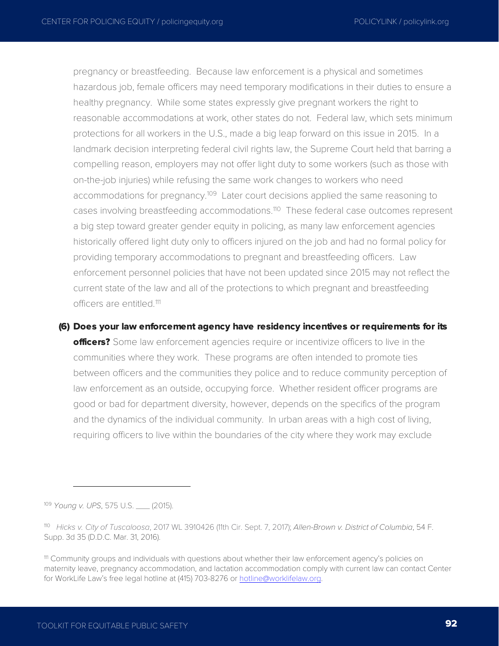pregnancy or breastfeeding. Because law enforcement is a physical and sometimes hazardous job, female officers may need temporary modifications in their duties to ensure a healthy pregnancy. While some states expressly give pregnant workers the right to reasonable accommodations at work, other states do not. Federal law, which sets minimum protections for all workers in the U.S., made a big leap forward on this issue in 2015. In a landmark decision interpreting federal civil rights law, the Supreme Court held that barring a compelling reason, employers may not offer light duty to some workers (such as those with on-the-job injuries) while refusing the same work changes to workers who need accommodations for pregnancy.<sup>109</sup> Later court decisions applied the same reasoning to cases involving breastfeeding accommodations.<sup>110</sup> These federal case outcomes represent a big step toward greater gender equity in policing, as many law enforcement agencies historically offered light duty only to officers injured on the job and had no formal policy for providing temporary accommodations to pregnant and breastfeeding officers. Law enforcement personnel policies that have not been updated since 2015 may not reflect the current state of the law and all of the protections to which pregnant and breastfeeding officers are entitled.<sup>[111](#page-93-2)</sup>

(6) Does your law enforcement agency have residency incentives or requirements for its **officers?** Some law enforcement agencies require or incentivize officers to live in the communities where they work. These programs are often intended to promote ties between officers and the communities they police and to reduce community perception of law enforcement as an outside, occupying force. Whether resident officer programs are good or bad for department diversity, however, depends on the specifics of the program and the dynamics of the individual community. In urban areas with a high cost of living, requiring officers to live within the boundaries of the city where they work may exclude

<span id="page-93-0"></span><sup>109</sup> Young v. UPS, 575 U.S. \_\_\_ (2015).

<span id="page-93-1"></span><sup>110</sup> Hicks v. City of Tuscaloosa, 2017 WL 3910426 (11th Cir. Sept. 7, 2017); Allen-Brown v. District of Columbia, 54 F. Supp. 3d 35 (D.D.C. Mar. 31, 2016).

<span id="page-93-2"></span><sup>111</sup> Community groups and individuals with questions about whether their law enforcement agency's policies on maternity leave, pregnancy accommodation, and lactation accommodation comply with current law can contact Center for WorkLife Law's free legal hotline at (415) 703-8276 or [hotline@worklifelaw.org.](mailto:hotline@worklifelaw.org)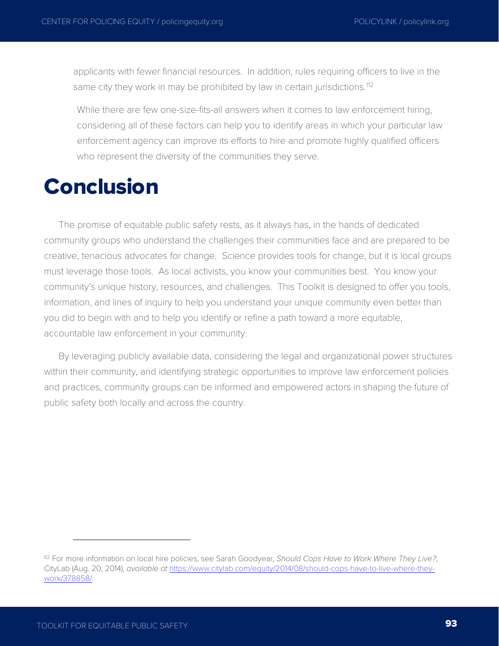applicants with fewer financial resources. In addition, rules requiring officers to live in the same city they work in may be prohibited by law in certain jurisdictions.<sup>112</sup>

While there are few one-size-fits-all answers when it comes to law enforcement hiring, considering all of these factors can help you to identify areas in which your particular law enforcement agency can improve its efforts to hire and promote highly qualified officers who represent the diversity of the communities they serve.

# Conclusion

The promise of equitable public safety rests, as it always has, in the hands of dedicated community groups who understand the challenges their communities face and are prepared to be creative, tenacious advocates for change. Science provides tools for change, but it is local groups must leverage those tools. As local activists, you know your communities best. You know your community's unique history, resources, and challenges. This Toolkit is designed to offer you tools, information, and lines of inquiry to help you understand your unique community even better than you did to begin with and to help you identify or refine a path toward a more equitable, accountable law enforcement in your community.

By leveraging publicly available data, considering the legal and organizational power structures within their community, and identifying strategic opportunities to improve law enforcement policies and practices, community groups can be informed and empowered actors in shaping the future of public safety both locally and across the country.

<span id="page-94-0"></span><sup>112</sup> For more information on local hire policies, see Sarah Goodyear, Should Cops Have to Work Where They Live?, CityLab (Aug. 20, 2014), available at [https://www.citylab.com/equity/2014/08/should-cops-have-to-live-where-they](https://www.citylab.com/equity/2014/08/should-cops-have-to-live-where-they-work/378858/)[work/378858/.](https://www.citylab.com/equity/2014/08/should-cops-have-to-live-where-they-work/378858/)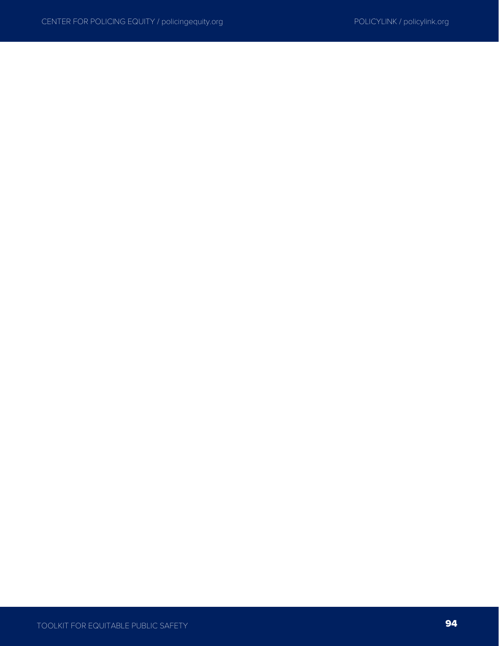TOOLKIT FOR EQUITABLE PUBLIC SAFETY AND RESIDENCE IN A SERIES OF THE SERIES OF THE SERIES OF THE SERIES OF THE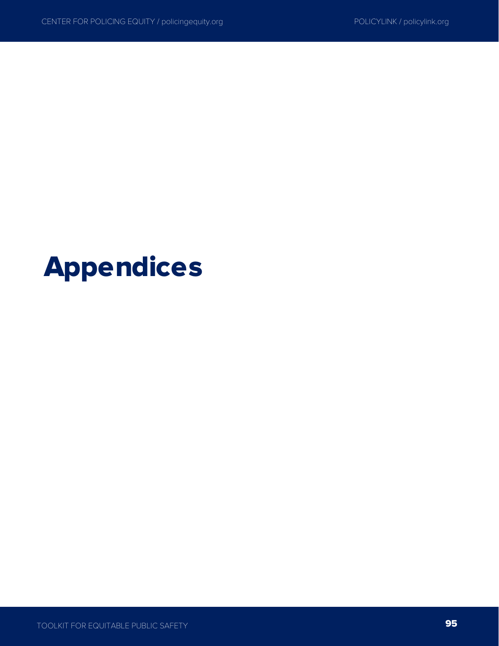# Appendices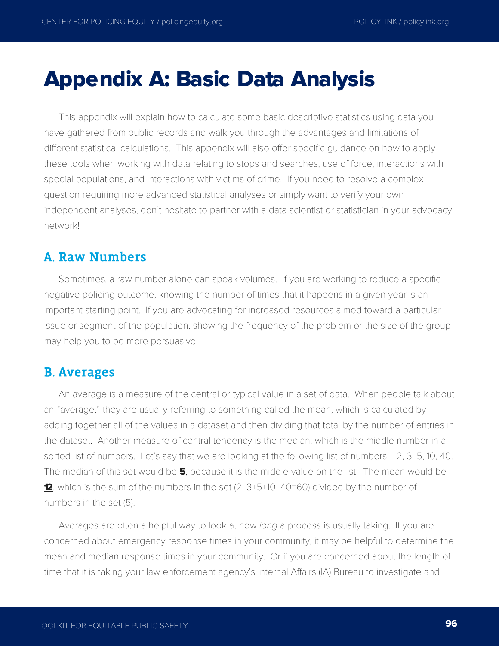## Appendix A: Basic Data Analysis

This appendix will explain how to calculate some basic descriptive statistics using data you have gathered from public records and walk you through the advantages and limitations of different statistical calculations. This appendix will also offer specific guidance on how to apply these tools when working with data relating to stops and searches, use of force, interactions with special populations, and interactions with victims of crime. If you need to resolve a complex question requiring more advanced statistical analyses or simply want to verify your own independent analyses, don't hesitate to partner with a data scientist or statistician in your advocacy network!

#### A. Raw Numbers

Sometimes, a raw number alone can speak volumes. If you are working to reduce a specific negative policing outcome, knowing the number of times that it happens in a given year is an important starting point. If you are advocating for increased resources aimed toward a particular issue or segment of the population, showing the frequency of the problem or the size of the group may help you to be more persuasive.

#### B. Averages

An average is a measure of the central or typical value in a set of data. When people talk about an "average," they are usually referring to something called the mean, which is calculated by adding together all of the values in a dataset and then dividing that total by the number of entries in the dataset. Another measure of central tendency is the median, which is the middle number in a sorted list of numbers. Let's say that we are looking at the following list of numbers: 2, 3, 5, 10, 40. The median of this set would be 5, because it is the middle value on the list. The mean would be **12**, which is the sum of the numbers in the set  $(2+3+5+10+40=60)$  divided by the number of numbers in the set (5).

Averages are often a helpful way to look at how *long* a process is usually taking. If you are concerned about emergency response times in your community, it may be helpful to determine the mean and median response times in your community. Or if you are concerned about the length of time that it is taking your law enforcement agency's Internal Affairs (IA) Bureau to investigate and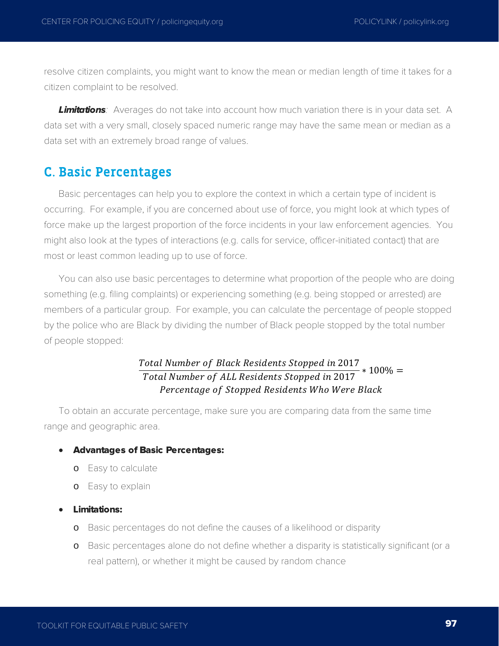resolve citizen complaints, you might want to know the mean or median length of time it takes for a citizen complaint to be resolved.

**Limitations**: Averages do not take into account how much variation there is in your data set. A data set with a very small, closely spaced numeric range may have the same mean or median as a data set with an extremely broad range of values.

#### C. Basic Percentages

Basic percentages can help you to explore the context in which a certain type of incident is occurring. For example, if you are concerned about use of force, you might look at which types of force make up the largest proportion of the force incidents in your law enforcement agencies. You might also look at the types of interactions (e.g. calls for service, officer-initiated contact) that are most or least common leading up to use of force.

You can also use basic percentages to determine what proportion of the people who are doing something (e.g. filing complaints) or experiencing something (e.g. being stopped or arrested) are members of a particular group. For example, you can calculate the percentage of people stopped by the police who are Black by dividing the number of Black people stopped by the total number of people stopped:

#### Total Number of Black Residents Stopped in 2017  $\emph{Total Number of ALL Residents Stopped in 2017} * 100\% =$ Percentage of Stopped Residents Who Were Black

To obtain an accurate percentage, make sure you are comparing data from the same time range and geographic area.

#### • Advantages of Basic Percentages:

- o Easy to calculate
- o Easy to explain

#### • Limitations:

- o Basic percentages do not define the causes of a likelihood or disparity
- o Basic percentages alone do not define whether a disparity is statistically significant (or a real pattern), or whether it might be caused by random chance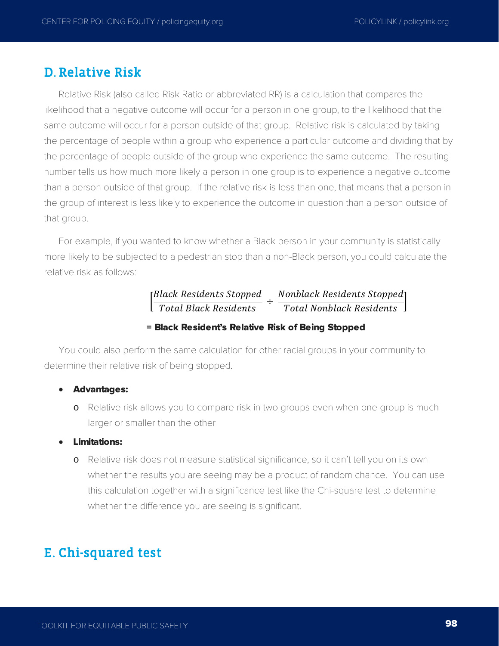#### D. Relative Risk

Relative Risk (also called Risk Ratio or abbreviated RR) is a calculation that compares the likelihood that a negative outcome will occur for a person in one group, to the likelihood that the same outcome will occur for a person outside of that group. Relative risk is calculated by taking the percentage of people within a group who experience a particular outcome and dividing that by the percentage of people outside of the group who experience the same outcome. The resulting number tells us how much more likely a person in one group is to experience a negative outcome than a person outside of that group. If the relative risk is less than one, that means that a person in the group of interest is less likely to experience the outcome in question than a person outside of that group.

For example, if you wanted to know whether a Black person in your community is statistically more likely to be subjected to a pedestrian stop than a non-Black person, you could calculate the relative risk as follows:

#### � **Black Residents Stopped** Total Black Residents ÷ Nonblack Residents Stopped **Total Nonblack Residents**

#### = Black Resident's Relative Risk of Being Stopped

You could also perform the same calculation for other racial groups in your community to determine their relative risk of being stopped.

#### • Advantages:

o Relative risk allows you to compare risk in two groups even when one group is much larger or smaller than the other

#### Limitations:

o Relative risk does not measure statistical significance, so it can't tell you on its own whether the results you are seeing may be a product of random chance. You can use this calculation together with a significance test like the Chi-square test to determine whether the difference you are seeing is significant.

#### E. Chi-squared test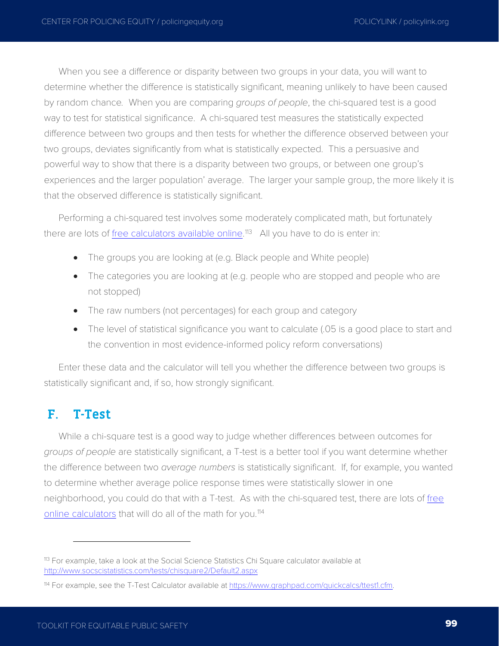When you see a difference or disparity between two groups in your data, you will want to determine whether the difference is statistically significant, meaning unlikely to have been caused by random chance. When you are comparing groups of people, the chi-squared test is a good way to test for statistical significance. A chi-squared test measures the statistically expected difference between two groups and then tests for whether the difference observed between your two groups, deviates significantly from what is statistically expected. This a persuasive and powerful way to show that there is a disparity between two groups, or between one group's experiences and the larger population' average. The larger your sample group, the more likely it is that the observed difference is statistically significant.

Performing a chi-squared test involves some moderately complicated math, but fortunately there are lots of <u>free calculators available online</u>.<sup>[113](#page-100-0)</sup> All you have to do is enter in:

- The groups you are looking at (e.g. Black people and White people)
- The categories you are looking at (e.g. people who are stopped and people who are not stopped)
- The raw numbers (not percentages) for each group and category
- The level of statistical significance you want to calculate (.05 is a good place to start and the convention in most evidence-informed policy reform conversations)

Enter these data and the calculator will tell you whether the difference between two groups is statistically significant and, if so, how strongly significant.

### F. T-Test

 $\overline{a}$ 

While a chi-square test is a good way to judge whether differences between outcomes for groups of people are statistically significant, a T-test is a better tool if you want determine whether the difference between two *average numbers* is statistically significant. If, for example, you wanted to determine whether average police response times were statistically slower in one neighborhood, you could do that with a T-test. As with the chi-squared test, there are lots of [free](https://www.graphpad.com/quickcalcs/ttest1.cfm)  [online calculators](https://www.graphpad.com/quickcalcs/ttest1.cfm) that will do all of the math for you.<sup>114</sup>

<span id="page-100-0"></span><sup>113</sup> For example, take a look at the Social Science Statistics Chi Square calculator available at <http://www.socscistatistics.com/tests/chisquare2/Default2.aspx>

<span id="page-100-1"></span><sup>114</sup> For example, see the T-Test Calculator available at https://www.graphpad.com/quickcalcs/ttest1.cfm.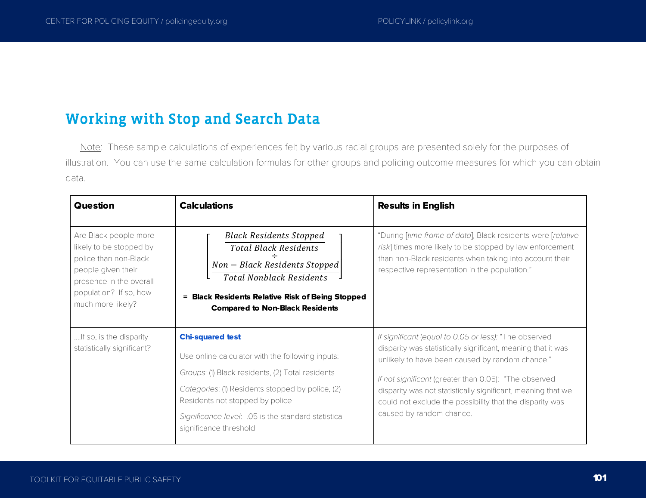### Working with Stop and Search Data

Note: These sample calculations of experiences felt by various racial groups are presented solely for the purposes of illustration. You can use the same calculation formulas for other groups and policing outcome measures for which you can obtain data.

| Question                                                                                                                                                                  | <b>Calculations</b>                                                                                                                                                                                                                                                                                     | <b>Results in English</b>                                                                                                                                                                                                                                                                                                                                                                 |
|---------------------------------------------------------------------------------------------------------------------------------------------------------------------------|---------------------------------------------------------------------------------------------------------------------------------------------------------------------------------------------------------------------------------------------------------------------------------------------------------|-------------------------------------------------------------------------------------------------------------------------------------------------------------------------------------------------------------------------------------------------------------------------------------------------------------------------------------------------------------------------------------------|
| Are Black people more<br>likely to be stopped by<br>police than non-Black<br>people given their<br>presence in the overall<br>population? If so, how<br>much more likely? | <b>Black Residents Stopped</b><br><b>Total Black Residents</b><br>Non – Black Residents Stopped<br><b>Total Nonblack Residents</b><br>= Black Residents Relative Risk of Being Stopped<br><b>Compared to Non-Black Residents</b>                                                                        | "During [time frame of data], Black residents were [relative<br>risk] times more likely to be stopped by law enforcement<br>than non-Black residents when taking into account their<br>respective representation in the population."                                                                                                                                                      |
| If so, is the disparity<br>statistically significant?                                                                                                                     | <b>Chi-squared test</b><br>Use online calculator with the following inputs:<br>Groups: (1) Black residents, (2) Total residents<br>Categories: (1) Residents stopped by police, (2)<br>Residents not stopped by police<br>Significance level: .05 is the standard statistical<br>significance threshold | If significant (equal to 0.05 or less): "The observed<br>disparity was statistically significant, meaning that it was<br>unlikely to have been caused by random chance."<br>If not significant (greater than 0.05): "The observed<br>disparity was not statistically significant, meaning that we<br>could not exclude the possibility that the disparity was<br>caused by random chance. |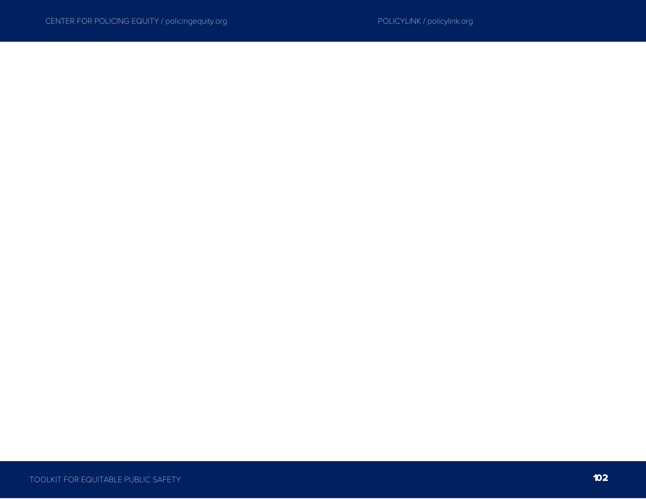TOOLKIT FOR EQUITABLE PUBLIC SAFETY **102**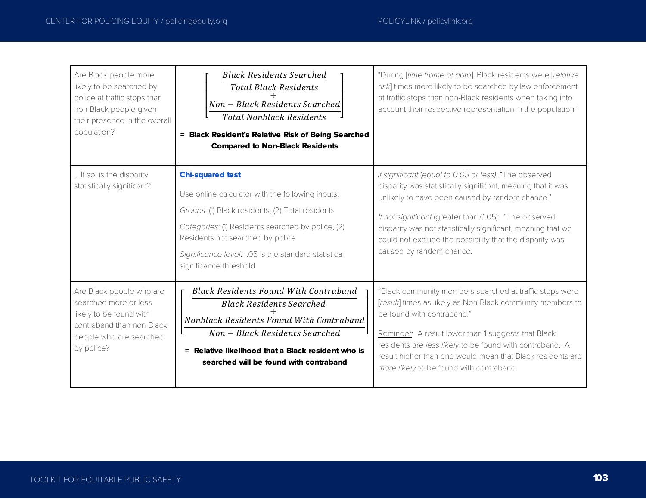| Are Black people more<br>likely to be searched by<br>police at traffic stops than<br>non-Black people given<br>their presence in the overall<br>population? | <b>Black Residents Searched</b><br><b>Total Black Residents</b><br>$ Non-Black Residents$ Searched<br><b>Total Nonblack Residents</b><br>= Black Resident's Relative Risk of Being Searched<br><b>Compared to Non-Black Residents</b>                                                                     | "During [time frame of data], Black residents were [relative<br>risk] times more likely to be searched by law enforcement<br>at traffic stops than non-Black residents when taking into<br>account their respective representation in the population."                                                                                                                                    |
|-------------------------------------------------------------------------------------------------------------------------------------------------------------|-----------------------------------------------------------------------------------------------------------------------------------------------------------------------------------------------------------------------------------------------------------------------------------------------------------|-------------------------------------------------------------------------------------------------------------------------------------------------------------------------------------------------------------------------------------------------------------------------------------------------------------------------------------------------------------------------------------------|
| If so, is the disparity<br>statistically significant?                                                                                                       | <b>Chi-squared test</b><br>Use online calculator with the following inputs:<br>Groups: (1) Black residents, (2) Total residents<br>Categories: (1) Residents searched by police, (2)<br>Residents not searched by police<br>Significance level: .05 is the standard statistical<br>significance threshold | If significant (equal to 0.05 or less): "The observed<br>disparity was statistically significant, meaning that it was<br>unlikely to have been caused by random chance."<br>If not significant (greater than 0.05): "The observed<br>disparity was not statistically significant, meaning that we<br>could not exclude the possibility that the disparity was<br>caused by random chance. |
| Are Black people who are<br>searched more or less<br>likely to be found with<br>contraband than non-Black<br>people who are searched<br>by police?          | <b>Black Residents Found With Contraband</b><br><b>Black Residents Searched</b><br>Nonblack Residents Found With Contraband<br>Non - Black Residents Searched<br>= Relative likelihood that a Black resident who is<br>searched will be found with contraband                                             | "Black community members searched at traffic stops were<br>[result] times as likely as Non-Black community members to<br>be found with contraband."<br>Reminder: A result lower than 1 suggests that Black<br>residents are less likely to be found with contraband. A<br>result higher than one would mean that Black residents are<br>more likely to be found with contraband.          |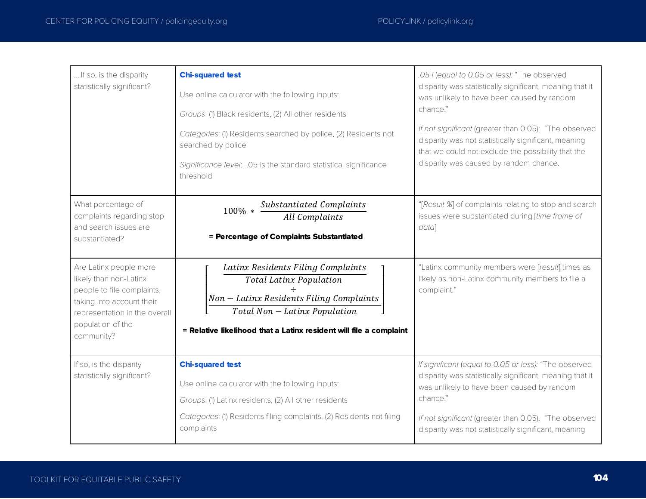| If so, is the disparity<br>statistically significant?                                                                                                                           | <b>Chi-squared test</b><br>Use online calculator with the following inputs:<br>Groups: (1) Black residents, (2) All other residents<br>Categories: (1) Residents searched by police, (2) Residents not<br>searched by police<br>Significance level: .05 is the standard statistical significance<br>threshold | .05 i (equal to 0.05 or less): "The observed<br>disparity was statistically significant, meaning that it<br>was unlikely to have been caused by random<br>chance."<br>If not significant (greater than 0.05): "The observed<br>disparity was not statistically significant, meaning<br>that we could not exclude the possibility that the<br>disparity was caused by random chance. |
|---------------------------------------------------------------------------------------------------------------------------------------------------------------------------------|---------------------------------------------------------------------------------------------------------------------------------------------------------------------------------------------------------------------------------------------------------------------------------------------------------------|-------------------------------------------------------------------------------------------------------------------------------------------------------------------------------------------------------------------------------------------------------------------------------------------------------------------------------------------------------------------------------------|
| What percentage of<br>complaints regarding stop<br>and search issues are<br>substantiated?                                                                                      | Substantiated Complaints<br>100% *<br><b>All Complaints</b><br>= Percentage of Complaints Substantiated                                                                                                                                                                                                       | "[Result %] of complaints relating to stop and search<br>issues were substantiated during [time frame of<br>data]                                                                                                                                                                                                                                                                   |
| Are Latinx people more<br>likely than non-Latinx<br>people to file complaints,<br>taking into account their<br>representation in the overall<br>population of the<br>community? | Latinx Residents Filing Complaints<br><b>Total Latinx Population</b><br>Non - Latinx Residents Filing Complaints<br>Total Non - Latinx Population<br>= Relative likelihood that a Latinx resident will file a complaint                                                                                       | "Latinx community members were [result] times as<br>likely as non-Latinx community members to file a<br>complaint."                                                                                                                                                                                                                                                                 |
| If so, is the disparity<br>statistically significant?                                                                                                                           | <b>Chi-squared test</b><br>Use online calculator with the following inputs:<br>Groups: (1) Latinx residents, (2) All other residents<br>Categories: (1) Residents filing complaints, (2) Residents not filing<br>complaints                                                                                   | If significant (equal to 0.05 or less): "The observed<br>disparity was statistically significant, meaning that it<br>was unlikely to have been caused by random<br>chance."<br>If not significant (greater than 0.05): "The observed<br>disparity was not statistically significant, meaning                                                                                        |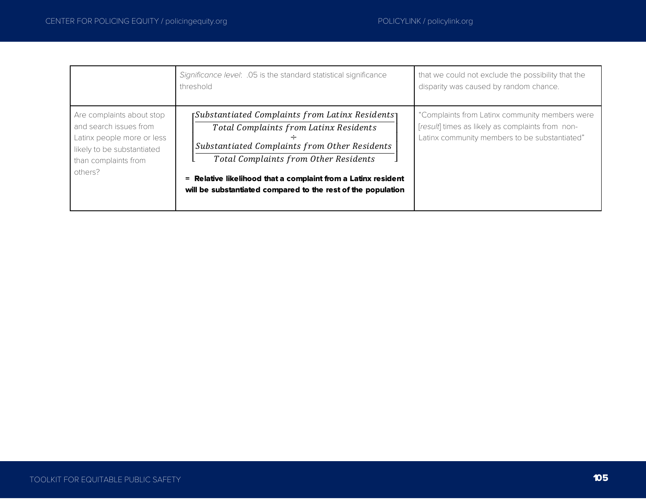|                                                                                                                                                    | Significance level: .05 is the standard statistical significance<br>threshold                                                                                                                                                                                                                                         | that we could not exclude the possibility that the<br>disparity was caused by random chance.                                                        |
|----------------------------------------------------------------------------------------------------------------------------------------------------|-----------------------------------------------------------------------------------------------------------------------------------------------------------------------------------------------------------------------------------------------------------------------------------------------------------------------|-----------------------------------------------------------------------------------------------------------------------------------------------------|
| Are complaints about stop<br>and search issues from<br>Latinx people more or less<br>likely to be substantiated<br>than complaints from<br>others? | [Substantiated Complaints from Latinx Residents]<br>Total Complaints from Latinx Residents<br>Substantiated Complaints from Other Residents<br>Total Complaints from Other Residents<br>= Relative likelihood that a complaint from a Latinx resident<br>will be substantiated compared to the rest of the population | "Complaints from Latinx community members were<br>[result] times as likely as complaints from non-<br>Latinx community members to be substantiated" |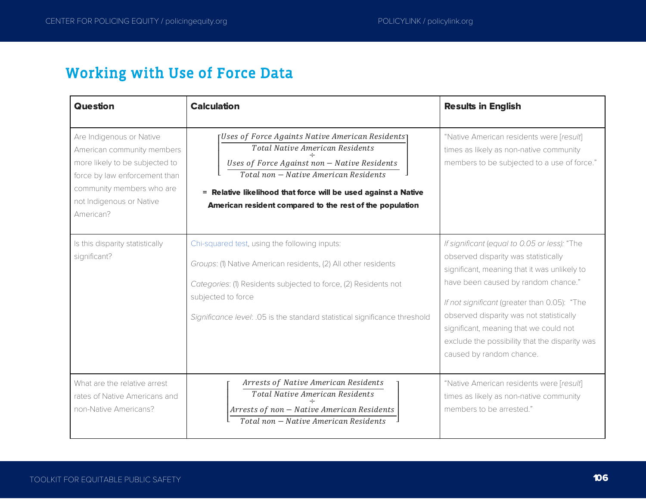### Working with Use of Force Data

| Question                                                                                                                                                                                        | <b>Calculation</b>                                                                                                                                                                                                                                                                                          | <b>Results in English</b>                                                                                                                                                                                                                                                                                                                                                                       |
|-------------------------------------------------------------------------------------------------------------------------------------------------------------------------------------------------|-------------------------------------------------------------------------------------------------------------------------------------------------------------------------------------------------------------------------------------------------------------------------------------------------------------|-------------------------------------------------------------------------------------------------------------------------------------------------------------------------------------------------------------------------------------------------------------------------------------------------------------------------------------------------------------------------------------------------|
| Are Indigenous or Native<br>American community members<br>more likely to be subjected to<br>force by law enforcement than<br>community members who are<br>not Indigenous or Native<br>American? | [Uses of Force Againts Native American Residents]<br>Total Native American Residents<br>Uses of Force Against non - Native Residents<br>Total non - Native American Residents<br>= Relative likelihood that force will be used against a Native<br>American resident compared to the rest of the population | "Native American residents were [result]<br>times as likely as non-native community<br>members to be subjected to a use of force."                                                                                                                                                                                                                                                              |
| Is this disparity statistically<br>significant?                                                                                                                                                 | Chi-squared test, using the following inputs:<br>Groups: (1) Native American residents, (2) All other residents<br>Categories: (1) Residents subjected to force, (2) Residents not<br>subjected to force<br>Significance level: .05 is the standard statistical significance threshold                      | If significant (equal to 0.05 or less): "The<br>observed disparity was statistically<br>significant, meaning that it was unlikely to<br>have been caused by random chance."<br>If not significant (greater than 0.05): "The<br>observed disparity was not statistically<br>significant, meaning that we could not<br>exclude the possibility that the disparity was<br>caused by random chance. |
| What are the relative arrest<br>rates of Native Americans and<br>non-Native Americans?                                                                                                          | Arrests of Native American Residents<br>Total Native American Residents<br>Arrests of non - Native American Residents<br>Total non – Native American Residents                                                                                                                                              | "Native American residents were [result]<br>times as likely as non-native community<br>members to be arrested."                                                                                                                                                                                                                                                                                 |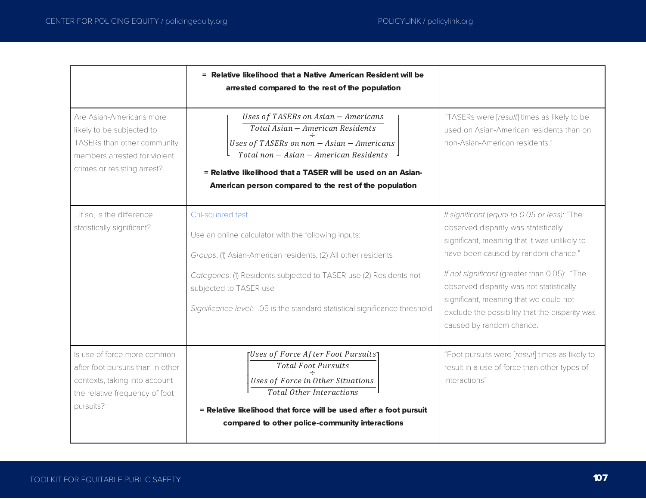|                                                                                                                                                     | = Relative likelihood that a Native American Resident will be<br>arrested compared to the rest of the population                                                                                                                                                                                                        |                                                                                                                                                                                                                                                                                                                                                                                                 |
|-----------------------------------------------------------------------------------------------------------------------------------------------------|-------------------------------------------------------------------------------------------------------------------------------------------------------------------------------------------------------------------------------------------------------------------------------------------------------------------------|-------------------------------------------------------------------------------------------------------------------------------------------------------------------------------------------------------------------------------------------------------------------------------------------------------------------------------------------------------------------------------------------------|
| Are Asian-Americans more<br>likely to be subjected to<br>TASERs than other community<br>members arrested for violent<br>crimes or resisting arrest? | Uses of TASERs on Asian - Americans<br>Total Asian - American Residents<br>Uses of TASERs on non $-$ Asian $-$ Americans<br>$Total non- Asian-American Residents$<br>= Relative likelihood that a TASER will be used on an Asian-<br>American person compared to the rest of the population                             | "TASERs were [result] times as likely to be<br>used on Asian-American residents than on<br>non-Asian-American residents."                                                                                                                                                                                                                                                                       |
| If so, is the difference<br>statistically significant?                                                                                              | Chi-squared test.<br>Use an online calculator with the following inputs:<br>Groups: (1) Asian-American residents, (2) All other residents<br>Categories: (1) Residents subjected to TASER use (2) Residents not<br>subjected to TASER use<br>Significance level: .05 is the standard statistical significance threshold | If significant (equal to 0.05 or less): "The<br>observed disparity was statistically<br>significant, meaning that it was unlikely to<br>have been caused by random chance."<br>If not significant (greater than 0.05): "The<br>observed disparity was not statistically<br>significant, meaning that we could not<br>exclude the possibility that the disparity was<br>caused by random chance. |
| Is use of force more common<br>after foot pursuits than in other<br>contexts, taking into account<br>the relative frequency of foot<br>pursuits?    | <b>Uses of Force After Foot Pursuits</b><br><b>Total Foot Pursuits</b><br>Uses of Force in Other Situations<br><b>Total Other Interactions</b><br>= Relative likelihood that force will be used after a foot pursuit<br>compared to other police-community interactions                                                 | "Foot pursuits were [result] times as likely to<br>result in a use of force than other types of<br>interactions"                                                                                                                                                                                                                                                                                |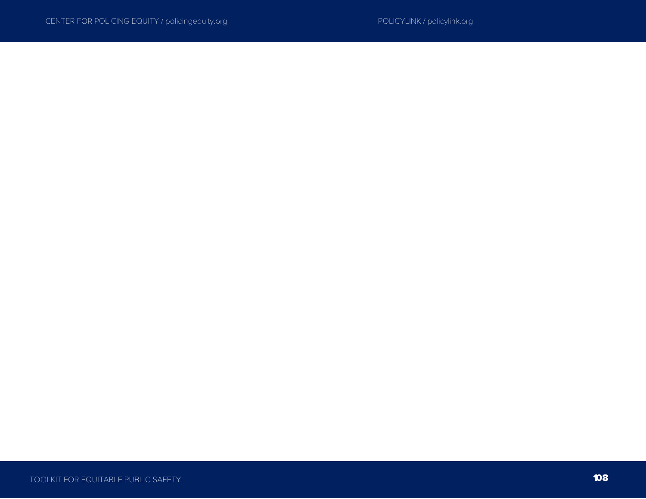TOOLKIT FOR EQUITABLE PUBLIC SAFETY **108**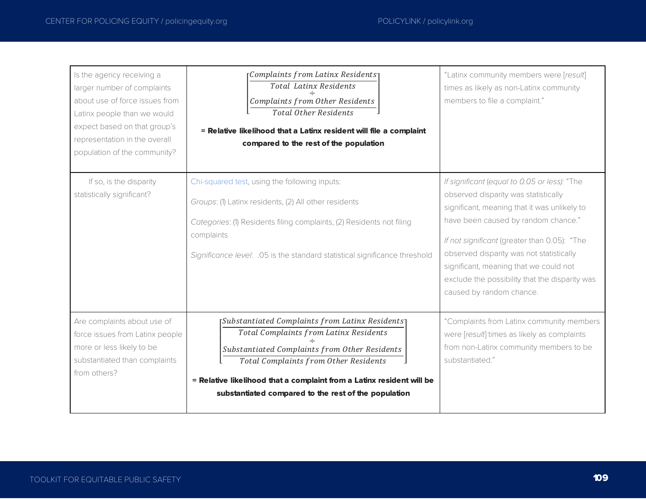| Is the agency receiving a<br>larger number of complaints<br>about use of force issues from<br>Latinx people than we would<br>expect based on that group's<br>representation in the overall<br>population of the community? | [Complaints from Latinx Residents]<br>Total Latinx Residents<br>Complaints from Other Residents<br><b>Total Other Residents</b><br>= Relative likelihood that a Latinx resident will file a complaint<br>compared to the rest of the population                                                                      | "Latinx community members were [result]<br>times as likely as non-Latinx community<br>members to file a complaint."                                                                                                                                                                                                                                                                             |
|----------------------------------------------------------------------------------------------------------------------------------------------------------------------------------------------------------------------------|----------------------------------------------------------------------------------------------------------------------------------------------------------------------------------------------------------------------------------------------------------------------------------------------------------------------|-------------------------------------------------------------------------------------------------------------------------------------------------------------------------------------------------------------------------------------------------------------------------------------------------------------------------------------------------------------------------------------------------|
| If so, is the disparity<br>statistically significant?                                                                                                                                                                      | Chi-squared test, using the following inputs:<br>Groups: (1) Latinx residents, (2) All other residents<br>Categories: (1) Residents filing complaints, (2) Residents not filing<br>complaints<br>Significance level: .05 is the standard statistical significance threshold                                          | If significant (equal to 0.05 or less): "The<br>observed disparity was statistically<br>significant, meaning that it was unlikely to<br>have been caused by random chance."<br>If not significant (greater than 0.05): "The<br>observed disparity was not statistically<br>significant, meaning that we could not<br>exclude the possibility that the disparity was<br>caused by random chance. |
| Are complaints about use of<br>force issues from Latinx people<br>more or less likely to be<br>substantiated than complaints<br>from others?                                                                               | רSubstantiated Complaints from Latinx Residents<br>Total Complaints from Latinx Residents<br>Substantiated Complaints from Other Residents<br>Total Complaints from Other Residents<br>= Relative likelihood that a complaint from a Latinx resident will be<br>substantiated compared to the rest of the population | "Complaints from Latinx community members<br>were [result] times as likely as complaints<br>from non-Latinx community members to be<br>substantiated."                                                                                                                                                                                                                                          |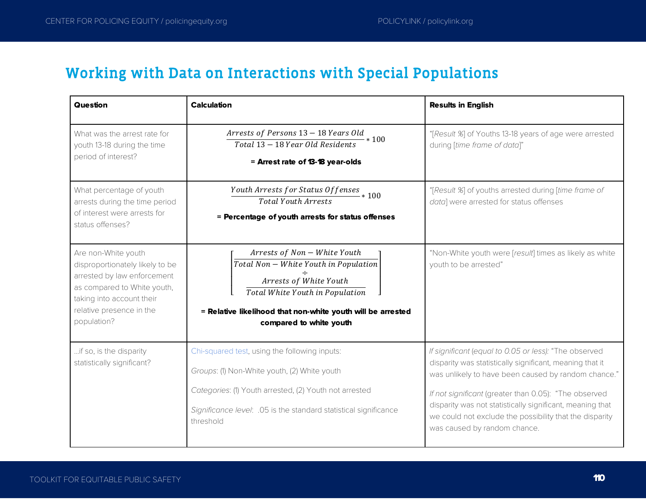## Working with Data on Interactions with Special Populations

| Question                                                                                                                                                                                     | <b>Calculation</b>                                                                                                                                                                                                                       | <b>Results in English</b>                                                                                                                                                                                                                                                                                                                                                                 |
|----------------------------------------------------------------------------------------------------------------------------------------------------------------------------------------------|------------------------------------------------------------------------------------------------------------------------------------------------------------------------------------------------------------------------------------------|-------------------------------------------------------------------------------------------------------------------------------------------------------------------------------------------------------------------------------------------------------------------------------------------------------------------------------------------------------------------------------------------|
| What was the arrest rate for<br>youth 13-18 during the time<br>period of interest?                                                                                                           | Arrests of Persons $13 - 18$ Years Old $*100$<br>Total 13 - 18 Year Old Residents<br>= Arrest rate of 13-18 year-olds                                                                                                                    | "[Result %] of Youths 13-18 years of age were arrested<br>during [time frame of data]"                                                                                                                                                                                                                                                                                                    |
| What percentage of youth<br>arrests during the time period<br>of interest were arrests for<br>status offenses?                                                                               | Youth Arrests <u>for Status Offenses</u> * 100<br><b>Total Youth Arrests</b><br>= Percentage of youth arrests for status offenses                                                                                                        | "[Result %] of youths arrested during [time frame of<br>data] were arrested for status offenses                                                                                                                                                                                                                                                                                           |
| Are non-White youth<br>disproportionately likely to be<br>arrested by law enforcement<br>as compared to White youth,<br>taking into account their<br>relative presence in the<br>population? | Arrests of Non - White Youth<br>Total Non - White Youth in Population<br>Arrests of White Youth<br>Total White Youth in Population<br>= Relative likelihood that non-white youth will be arrested<br>compared to white youth             | "Non-White youth were [result] times as likely as white<br>youth to be arrested"                                                                                                                                                                                                                                                                                                          |
| if so, is the disparity<br>statistically significant?                                                                                                                                        | Chi-squared test, using the following inputs:<br>Groups: (1) Non-White youth, (2) White youth<br>Categories: (1) Youth arrested, (2) Youth not arrested<br>Significance level: .05 is the standard statistical significance<br>threshold | If significant (equal to 0.05 or less): "The observed<br>disparity was statistically significant, meaning that it<br>was unlikely to have been caused by random chance."<br>If not significant (greater than 0.05): "The observed<br>disparity was not statistically significant, meaning that<br>we could not exclude the possibility that the disparity<br>was caused by random chance. |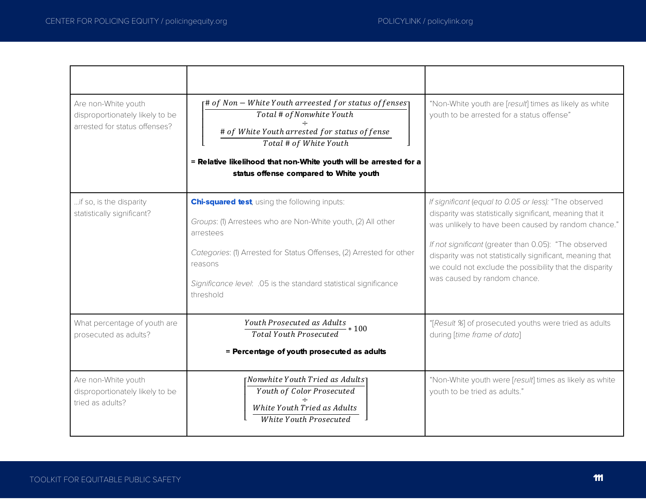| Are non-White youth<br>disproportionately likely to be<br>arrested for status offenses? | $f$ # of Non – White Youth arreested for status of fenses<br>Total # of Nonwhite Youth<br># of White Youth arrested for status of fense<br>Total # of White Youth<br>= Relative likelihood that non-White youth will be arrested for a<br>status offense compared to White youth                      | "Non-White youth are [result] times as likely as white<br>youth to be arrested for a status offense"                                                                                                                                                                                                                                                                                      |
|-----------------------------------------------------------------------------------------|-------------------------------------------------------------------------------------------------------------------------------------------------------------------------------------------------------------------------------------------------------------------------------------------------------|-------------------------------------------------------------------------------------------------------------------------------------------------------------------------------------------------------------------------------------------------------------------------------------------------------------------------------------------------------------------------------------------|
| if so, is the disparity<br>statistically significant?                                   | <b>Chi-squared test, using the following inputs:</b><br>Groups: (1) Arrestees who are Non-White youth, (2) All other<br>arrestees<br>Categories: (1) Arrested for Status Offenses, (2) Arrested for other<br>reasons<br>Significance level: .05 is the standard statistical significance<br>threshold | If significant (equal to 0.05 or less): "The observed<br>disparity was statistically significant, meaning that it<br>was unlikely to have been caused by random chance."<br>If not significant (greater than 0.05): "The observed<br>disparity was not statistically significant, meaning that<br>we could not exclude the possibility that the disparity<br>was caused by random chance. |
| What percentage of youth are<br>prosecuted as adults?                                   | Youth Prosecuted as Adults<br>$-*100$<br><b>Total Youth Prosecuted</b><br>= Percentage of youth prosecuted as adults                                                                                                                                                                                  | "[Result %] of prosecuted youths were tried as adults<br>during [time frame of data]                                                                                                                                                                                                                                                                                                      |
| Are non-White youth<br>disproportionately likely to be<br>tried as adults?              | רNonwhite Youth Tried as Adults<br>Youth of Color Prosecuted<br>White Youth Tried as Adults<br>White Youth Prosecuted                                                                                                                                                                                 | "Non-White youth were [result] times as likely as white<br>youth to be tried as adults."                                                                                                                                                                                                                                                                                                  |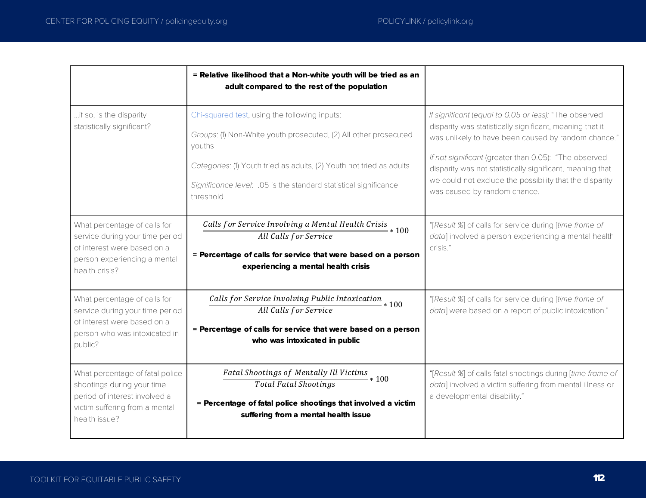|                                                                                                                                                   | = Relative likelihood that a Non-white youth will be tried as an<br>adult compared to the rest of the population                                                                                                                                                                     |                                                                                                                                                                                                                                                                                                                                                                                           |
|---------------------------------------------------------------------------------------------------------------------------------------------------|--------------------------------------------------------------------------------------------------------------------------------------------------------------------------------------------------------------------------------------------------------------------------------------|-------------------------------------------------------------------------------------------------------------------------------------------------------------------------------------------------------------------------------------------------------------------------------------------------------------------------------------------------------------------------------------------|
| if so, is the disparity<br>statistically significant?                                                                                             | Chi-squared test, using the following inputs:<br>Groups: (1) Non-White youth prosecuted, (2) All other prosecuted<br>youths<br>Categories: (1) Youth tried as adults, (2) Youth not tried as adults<br>Significance level: .05 is the standard statistical significance<br>threshold | If significant (equal to 0.05 or less): "The observed<br>disparity was statistically significant, meaning that it<br>was unlikely to have been caused by random chance."<br>If not significant (greater than 0.05): "The observed<br>disparity was not statistically significant, meaning that<br>we could not exclude the possibility that the disparity<br>was caused by random chance. |
| What percentage of calls for<br>service during your time period<br>of interest were based on a<br>person experiencing a mental<br>health crisis?  | Calls for Service Involving a Mental Health Crisis<br>$-*100$<br>All Calls for Service<br>= Percentage of calls for service that were based on a person<br>experiencing a mental health crisis                                                                                       | "[Result %] of calls for service during [time frame of<br>data] involved a person experiencing a mental health<br>crisis."                                                                                                                                                                                                                                                                |
| What percentage of calls for<br>service during your time period<br>of interest were based on a<br>person who was intoxicated in<br>public?        | Calls for Service Involving Public Intoxication<br>$*100$<br>All Calls for Service<br>= Percentage of calls for service that were based on a person<br>who was intoxicated in public                                                                                                 | "[Result %] of calls for service during [time frame of<br>data] were based on a report of public intoxication."                                                                                                                                                                                                                                                                           |
| What percentage of fatal police<br>shootings during your time<br>period of interest involved a<br>victim suffering from a mental<br>health issue? | Fatal Shootings of Mentally Ill Victims<br>$-*100$<br><b>Total Fatal Shootings</b><br>= Percentage of fatal police shootings that involved a victim<br>suffering from a mental health issue                                                                                          | "[Result %] of calls fatal shootings during [time frame of<br>data] involved a victim suffering from mental illness or<br>a developmental disability."                                                                                                                                                                                                                                    |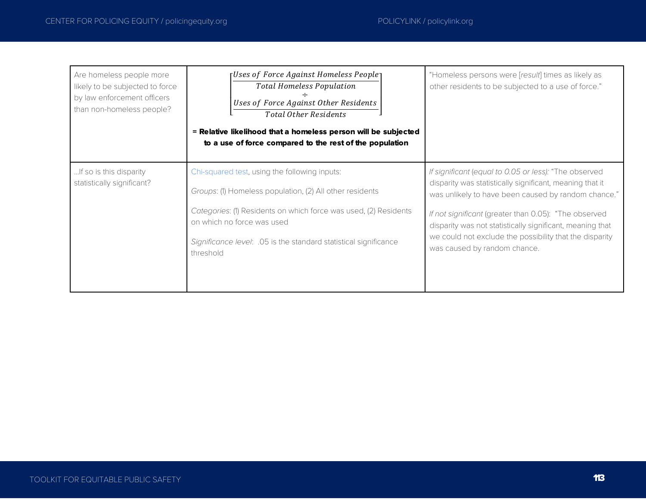| Are homeless people more<br>likely to be subjected to force<br>by law enforcement officers<br>than non-homeless people? | <b>[Uses of Force Against Homeless People]</b><br><b>Total Homeless Population</b><br>Uses of Force Against Other Residents<br><b>Total Other Residents</b><br>= Relative likelihood that a homeless person will be subjected<br>to a use of force compared to the rest of the population | "Homeless persons were [result] times as likely as<br>other residents to be subjected to a use of force."                                                                     |
|-------------------------------------------------------------------------------------------------------------------------|-------------------------------------------------------------------------------------------------------------------------------------------------------------------------------------------------------------------------------------------------------------------------------------------|-------------------------------------------------------------------------------------------------------------------------------------------------------------------------------|
| If so is this disparity<br>statistically significant?                                                                   | Chi-squared test, using the following inputs:<br>Groups: (1) Homeless population, (2) All other residents                                                                                                                                                                                 | If significant (equal to 0.05 or less): "The observed<br>disparity was statistically significant, meaning that it<br>was unlikely to have been caused by random chance."      |
|                                                                                                                         | Categories: (1) Residents on which force was used, (2) Residents<br>on which no force was used                                                                                                                                                                                            | If not significant (greater than 0.05): "The observed<br>disparity was not statistically significant, meaning that<br>we could not exclude the possibility that the disparity |
|                                                                                                                         | Significance level: .05 is the standard statistical significance<br>threshold                                                                                                                                                                                                             | was caused by random chance.                                                                                                                                                  |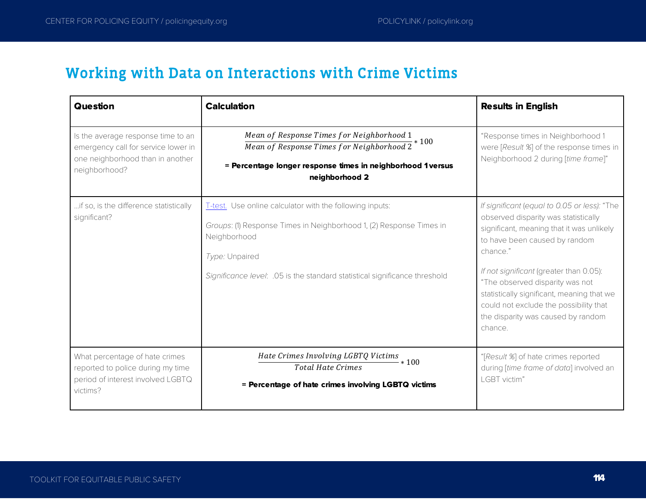### Working with Data on Interactions with Crime Victims

| Question                                                                                                                       | <b>Calculation</b>                                                                                                                                                                                                                              | <b>Results in English</b>                                                                                                                                                                                                                                                                                                                                                                             |
|--------------------------------------------------------------------------------------------------------------------------------|-------------------------------------------------------------------------------------------------------------------------------------------------------------------------------------------------------------------------------------------------|-------------------------------------------------------------------------------------------------------------------------------------------------------------------------------------------------------------------------------------------------------------------------------------------------------------------------------------------------------------------------------------------------------|
| Is the average response time to an<br>emergency call for service lower in<br>one neighborhood than in another<br>neighborhood? | Mean of Response Times for Neighborhood $1$<br>Mean of Response Times for Neighborhood $2 * 100$<br>= Percentage longer response times in neighborhood 1 versus<br>neighborhood 2                                                               | "Response times in Neighborhood 1<br>were [Result %] of the response times in<br>Neighborhood 2 during [time frame]"                                                                                                                                                                                                                                                                                  |
| if so, is the difference statistically<br>significant?                                                                         | T-test. Use online calculator with the following inputs:<br>Groups: (1) Response Times in Neighborhood 1, (2) Response Times in<br>Neighborhood<br>Type: Unpaired<br>Significance level: .05 is the standard statistical significance threshold | If significant (equal to 0.05 or less): "The<br>observed disparity was statistically<br>significant, meaning that it was unlikely<br>to have been caused by random<br>chance."<br>If not significant (greater than 0.05):<br>"The observed disparity was not<br>statistically significant, meaning that we<br>could not exclude the possibility that<br>the disparity was caused by random<br>chance. |
| What percentage of hate crimes<br>reported to police during my time<br>period of interest involved LGBTQ<br>victims?           | Hate Crimes Involving LGBTQ Victims * 100<br><b>Total Hate Crimes</b><br>= Percentage of hate crimes involving LGBTQ victims                                                                                                                    | "[Result %] of hate crimes reported<br>during [time frame of data] involved an<br>LGBT victim"                                                                                                                                                                                                                                                                                                        |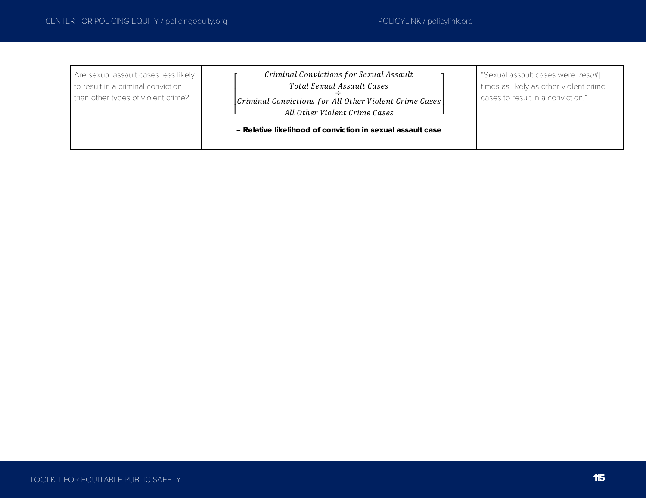| Are sexual assault cases less likely<br>to result in a criminal conviction<br>than other types of violent crime? | Criminal Convictions for Sexual Assault<br>Total Sexual Assault Cases<br>  Criminal Convictions for All Other Violent Crime Cases  <br>All Other Violent Crime Cases<br>= Relative likelihood of conviction in sexual assault case | "Sexual assault cases were [result]<br>times as likely as other violent crime<br>cases to result in a conviction." |
|------------------------------------------------------------------------------------------------------------------|------------------------------------------------------------------------------------------------------------------------------------------------------------------------------------------------------------------------------------|--------------------------------------------------------------------------------------------------------------------|
|------------------------------------------------------------------------------------------------------------------|------------------------------------------------------------------------------------------------------------------------------------------------------------------------------------------------------------------------------------|--------------------------------------------------------------------------------------------------------------------|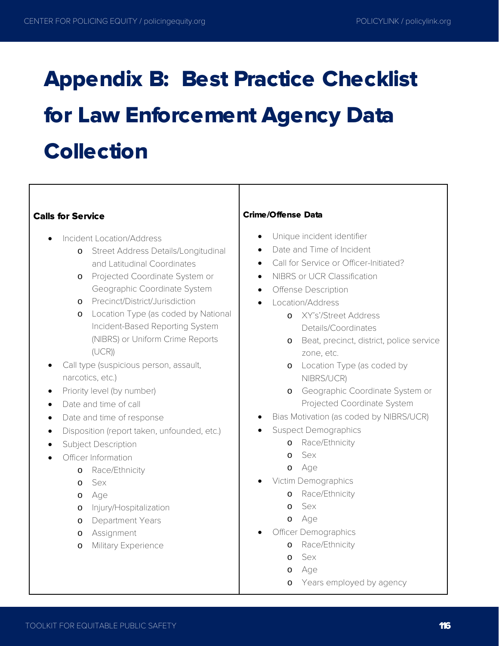# Appendix B: Best Practice Checklist for Law Enforcement Agency Data Collection

#### Calls for Service

- Incident Location/Address
	- o Street Address Details/Longitudinal and Latitudinal Coordinates
	- o Projected Coordinate System or Geographic Coordinate System
	- o Precinct/District/Jurisdiction
	- o Location Type (as coded by National Incident-Based Reporting System (NIBRS) or Uniform Crime Reports  $(UCR)$
- Call type (suspicious person, assault, narcotics, etc.)
- Priority level (by number)
- Date and time of call
- Date and time of response
- Disposition (report taken, unfounded, etc.)
- Subject Description
- Officer Information
	- o Race/Ethnicity
	- o Sex
	- o Age
	- o Injury/Hospitalization
	- o Department Years
	- o Assignment
	- o Military Experience

#### Crime/Offense Data

- Unique incident identifier
- Date and Time of Incident
- Call for Service or Officer-Initiated?
- NIBRS or UCR Classification
- Offense Description
- Location/Address
	- o XY's'/Street Address
		- Details/Coordinates
	- o Beat, precinct, district, police service zone, etc.
	- o Location Type (as coded by NIBRS/UCR)
	- o Geographic Coordinate System or Projected Coordinate System
- Bias Motivation (as coded by NIBRS/UCR)
- **Suspect Demographics** 
	- o Race/Ethnicity
	- o Sex
	- o Age
- Victim Demographics
	- o Race/Ethnicity
	- o Sex
	- o Age
- Officer Demographics
	- o Race/Ethnicity
	- o Sex
	- o Age
	- o Years employed by agency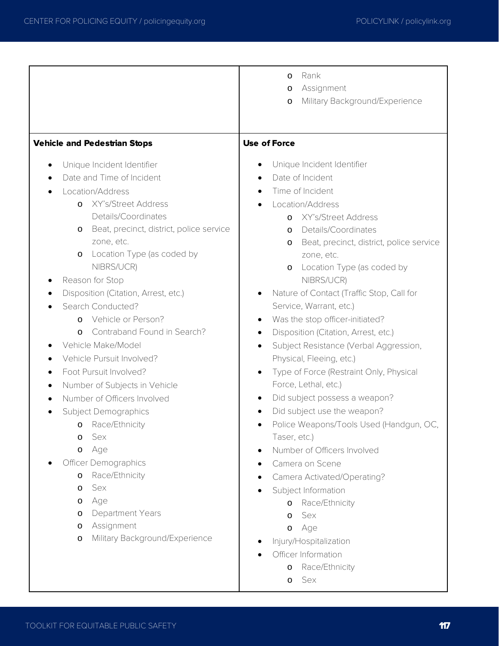| Rank<br>$\circ$<br>Assignment<br>O<br>Military Background/Experience<br>O<br><b>Use of Force</b><br><b>Vehicle and Pedestrian Stops</b><br>Unique Incident Identifier<br>Unique Incident Identifier<br>٠<br>Date and Time of Incident<br>Date of Incident<br>Time of Incident<br>Location/Address<br>XY's/Street Address<br>Location/Address<br>$\circ$<br>Details/Coordinates<br>XY's/Street Address<br>$\circ$<br>Beat, precinct, district, police service<br>Details/Coordinates<br>$\circ$<br>$\circ$<br>zone, etc.<br>Beat, precinct, district, police service<br>O<br>Location Type (as coded by<br>$\circ$<br>zone, etc.<br>NIBRS/UCR)<br>Location Type (as coded by<br>$\circ$<br>NIBRS/UCR)<br>Reason for Stop<br>$\bullet$<br>Nature of Contact (Traffic Stop, Call for<br>Disposition (Citation, Arrest, etc.)<br>Service, Warrant, etc.)<br>Search Conducted?<br>Vehicle or Person?<br>Was the stop officer-initiated?<br>$\Omega$<br>$\bullet$<br>Contraband Found in Search?<br>Disposition (Citation, Arrest, etc.)<br>$\circ$<br>$\bullet$<br>Vehicle Make/Model<br>Subject Resistance (Verbal Aggression,<br>$\bullet$<br>Vehicle Pursuit Involved?<br>Physical, Fleeing, etc.)<br>Foot Pursuit Involved?<br>Type of Force (Restraint Only, Physical<br>$\bullet$<br>Force, Lethal, etc.)<br>Number of Subjects in Vehicle<br>$\bullet$<br>Did subject possess a weapon?<br>Number of Officers Involved |  |
|--------------------------------------------------------------------------------------------------------------------------------------------------------------------------------------------------------------------------------------------------------------------------------------------------------------------------------------------------------------------------------------------------------------------------------------------------------------------------------------------------------------------------------------------------------------------------------------------------------------------------------------------------------------------------------------------------------------------------------------------------------------------------------------------------------------------------------------------------------------------------------------------------------------------------------------------------------------------------------------------------------------------------------------------------------------------------------------------------------------------------------------------------------------------------------------------------------------------------------------------------------------------------------------------------------------------------------------------------------------------------------------------------------------------------|--|
|                                                                                                                                                                                                                                                                                                                                                                                                                                                                                                                                                                                                                                                                                                                                                                                                                                                                                                                                                                                                                                                                                                                                                                                                                                                                                                                                                                                                                          |  |
|                                                                                                                                                                                                                                                                                                                                                                                                                                                                                                                                                                                                                                                                                                                                                                                                                                                                                                                                                                                                                                                                                                                                                                                                                                                                                                                                                                                                                          |  |
|                                                                                                                                                                                                                                                                                                                                                                                                                                                                                                                                                                                                                                                                                                                                                                                                                                                                                                                                                                                                                                                                                                                                                                                                                                                                                                                                                                                                                          |  |
|                                                                                                                                                                                                                                                                                                                                                                                                                                                                                                                                                                                                                                                                                                                                                                                                                                                                                                                                                                                                                                                                                                                                                                                                                                                                                                                                                                                                                          |  |
|                                                                                                                                                                                                                                                                                                                                                                                                                                                                                                                                                                                                                                                                                                                                                                                                                                                                                                                                                                                                                                                                                                                                                                                                                                                                                                                                                                                                                          |  |
|                                                                                                                                                                                                                                                                                                                                                                                                                                                                                                                                                                                                                                                                                                                                                                                                                                                                                                                                                                                                                                                                                                                                                                                                                                                                                                                                                                                                                          |  |
|                                                                                                                                                                                                                                                                                                                                                                                                                                                                                                                                                                                                                                                                                                                                                                                                                                                                                                                                                                                                                                                                                                                                                                                                                                                                                                                                                                                                                          |  |
| Did subject use the weapon?<br><b>Subject Demographics</b><br>Police Weapons/Tools Used (Handgun, OC,<br><b>o</b> Race/Ethnicity<br>Sex<br>Taser, etc.)<br>$\circ$<br>Age<br>Number of Officers Involved<br>O<br>$\bullet$<br><b>Officer Demographics</b><br>Camera on Scene<br>٠<br>Race/Ethnicity<br>$\circ$<br>Camera Activated/Operating?<br>Sex<br>$\circ$<br>Subject Information<br>Age<br>$\circ$<br>Race/Ethnicity<br>O<br>Department Years<br>$\circ$<br>Sex<br>O<br>Assignment<br>$\circ$<br>Age<br>$\circ$<br>Military Background/Experience<br>O<br>Injury/Hospitalization<br>Officer Information                                                                                                                                                                                                                                                                                                                                                                                                                                                                                                                                                                                                                                                                                                                                                                                                            |  |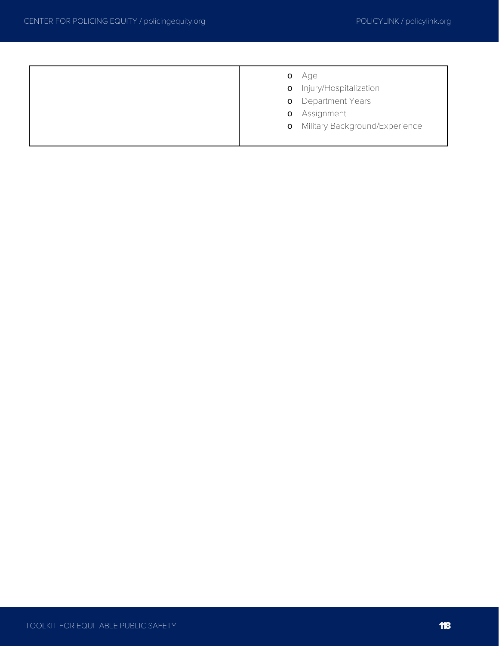| Age<br>O                                  |
|-------------------------------------------|
| Injury/Hospitalization<br>$\circ$         |
| Department Years<br>$\circ$               |
| Assignment<br>$\circ$                     |
| Military Background/Experience<br>$\circ$ |
|                                           |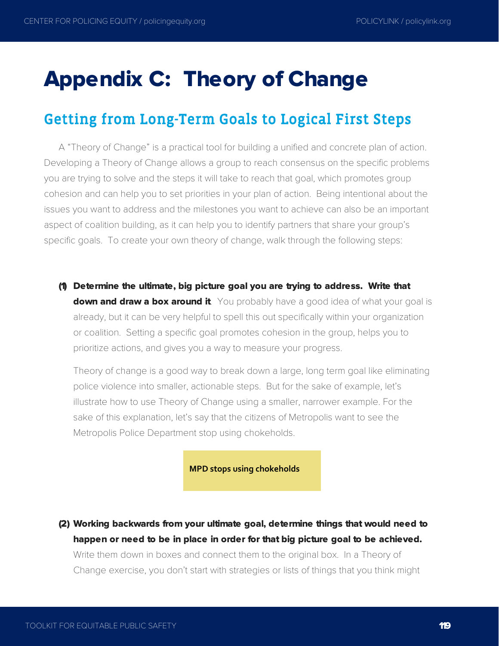## Appendix C: Theory of Change

### Getting from Long-Term Goals to Logical First Steps

A "Theory of Change" is a practical tool for building a unified and concrete plan of action. Developing a Theory of Change allows a group to reach consensus on the specific problems you are trying to solve and the steps it will take to reach that goal, which promotes group cohesion and can help you to set priorities in your plan of action. Being intentional about the issues you want to address and the milestones you want to achieve can also be an important aspect of coalition building, as it can help you to identify partners that share your group's specific goals. To create your own theory of change, walk through the following steps:

(1) Determine the ultimate, big picture goal you are trying to address. Write that down and draw a box around it You probably have a good idea of what your goal is already, but it can be very helpful to spell this out specifically within your organization or coalition. Setting a specific goal promotes cohesion in the group, helps you to prioritize actions, and gives you a way to measure your progress.

Theory of change is a good way to break down a large, long term goal like eliminating police violence into smaller, actionable steps. But for the sake of example, let's illustrate how to use Theory of Change using a smaller, narrower example. For the sake of this explanation, let's say that the citizens of Metropolis want to see the Metropolis Police Department stop using chokeholds.

**MPD stops using chokeholds**

(2) Working backwards from your ultimate goal, determine things that would need to happen or need to be in place in order for that big picture goal to be achieved. Write them down in boxes and connect them to the original box. In a Theory of Change exercise, you don't start with strategies or lists of things that you think might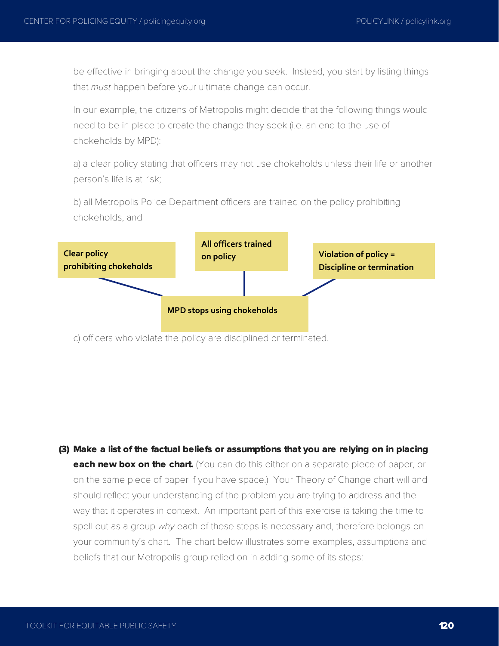be effective in bringing about the change you seek. Instead, you start by listing things that *must* happen before your ultimate change can occur.

In our example, the citizens of Metropolis might decide that the following things would need to be in place to create the change they seek (i.e. an end to the use of chokeholds by MPD):

a) a clear policy stating that officers may not use chokeholds unless their life or another person's life is at risk;

b) all Metropolis Police Department officers are trained on the policy prohibiting chokeholds, and



(3) Make a list of the factual beliefs or assumptions that you are relying on in placing each new box on the chart. (You can do this either on a separate piece of paper, or on the same piece of paper if you have space.) Your Theory of Change chart will and should reflect your understanding of the problem you are trying to address and the way that it operates in context. An important part of this exercise is taking the time to spell out as a group why each of these steps is necessary and, therefore belongs on your community's chart. The chart below illustrates some examples, assumptions and beliefs that our Metropolis group relied on in adding some of its steps: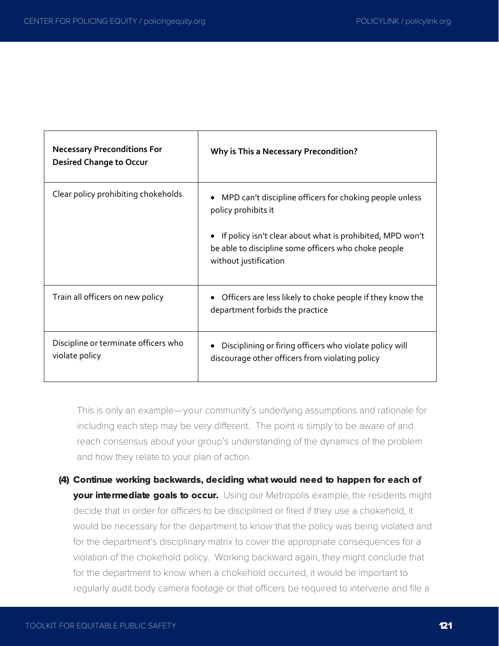| <b>Necessary Preconditions For</b><br><b>Desired Change to Occur</b> | Why is This a Necessary Precondition?                                                                                                                                                                                        |
|----------------------------------------------------------------------|------------------------------------------------------------------------------------------------------------------------------------------------------------------------------------------------------------------------------|
| Clear policy prohibiting chokeholds                                  | MPD can't discipline officers for choking people unless<br>policy prohibits it<br>If policy isn't clear about what is prohibited, MPD won't<br>be able to discipline some officers who choke people<br>without justification |
| Train all officers on new policy                                     | Officers are less likely to choke people if they know the<br>department forbids the practice                                                                                                                                 |
| Discipline or terminate officers who<br>violate policy               | Disciplining or firing officers who violate policy will<br>discourage other officers from violating policy                                                                                                                   |

This is only an example—your community's underlying assumptions and rationale for including each step may be very different. The point is simply to be aware of and reach consensus about your group's understanding of the dynamics of the problem and how they relate to your plan of action.

(4) Continue working backwards, deciding what would need to happen for each of your intermediate goals to occur. Using our Metropolis example, the residents might decide that in order for officers to be disciplined or fired if they use a chokehold, it would be necessary for the department to know that the policy was being violated and for the department's disciplinary matrix to cover the appropriate consequences for a violation of the chokehold policy. Working backward again, they might conclude that for the department to know when a chokehold occurred, it would be important to regularly audit body camera footage or that officers be required to intervene and file a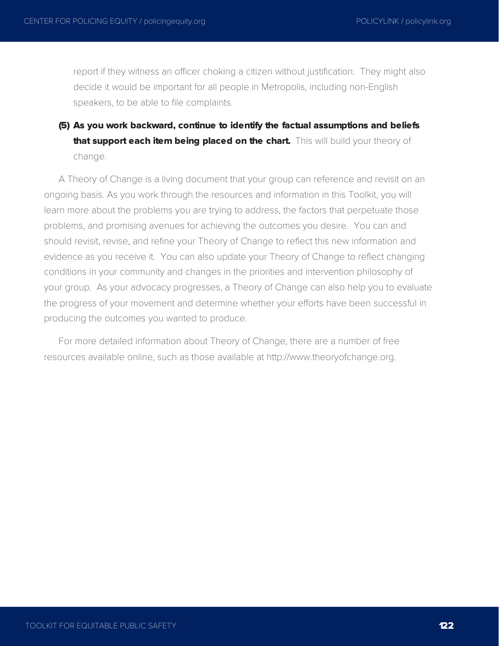report if they witness an officer choking a citizen without justification. They might also decide it would be important for all people in Metropolis, including non-English speakers, to be able to file complaints.

### (5) As you work backward, continue to identify the factual assumptions and beliefs that support each item being placed on the chart. This will build your theory of change.

A Theory of Change is a living document that your group can reference and revisit on an ongoing basis. As you work through the resources and information in this Toolkit, you will learn more about the problems you are trying to address, the factors that perpetuate those problems, and promising avenues for achieving the outcomes you desire. You can and should revisit, revise, and refine your Theory of Change to reflect this new information and evidence as you receive it. You can also update your Theory of Change to reflect changing conditions in your community and changes in the priorities and intervention philosophy of your group. As your advocacy progresses, a Theory of Change can also help you to evaluate the progress of your movement and determine whether your efforts have been successful in producing the outcomes you wanted to produce.

For more detailed information about Theory of Change, there are a number of free resources available online, such as those available at [http://www.theoryofchange.org.](http://www.theoryofchange.org/)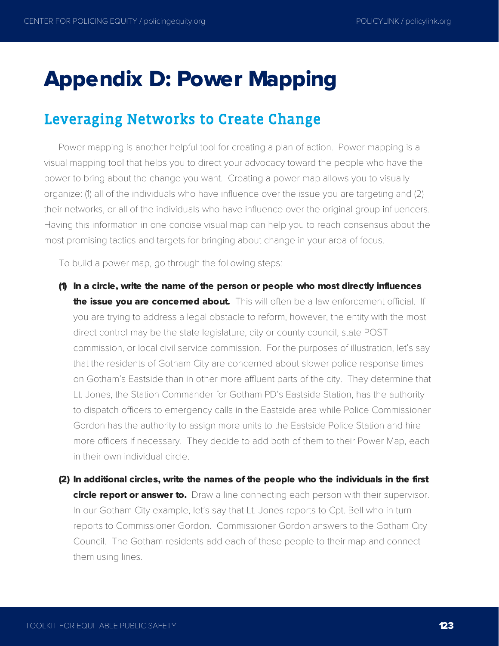## Appendix D: Power Mapping

### Leveraging Networks to Create Change

Power mapping is another helpful tool for creating a plan of action. Power mapping is a visual mapping tool that helps you to direct your advocacy toward the people who have the power to bring about the change you want. Creating a power map allows you to visually organize: (1) all of the individuals who have influence over the issue you are targeting and (2) their networks, or all of the individuals who have influence over the original group influencers. Having this information in one concise visual map can help you to reach consensus about the most promising tactics and targets for bringing about change in your area of focus.

To build a power map, go through the following steps:

- (1) In a circle, write the name of the person or people who most directly influences the issue you are concerned about. This will often be a law enforcement official. If you are trying to address a legal obstacle to reform, however, the entity with the most direct control may be the state legislature, city or county council, state POST commission, or local civil service commission. For the purposes of illustration, let's say that the residents of Gotham City are concerned about slower police response times on Gotham's Eastside than in other more affluent parts of the city. They determine that Lt. Jones, the Station Commander for Gotham PD's Eastside Station, has the authority to dispatch officers to emergency calls in the Eastside area while Police Commissioner Gordon has the authority to assign more units to the Eastside Police Station and hire more officers if necessary. They decide to add both of them to their Power Map, each in their own individual circle.
- (2) In additional circles, write the names of the people who the individuals in the first circle report or answer to. Draw a line connecting each person with their supervisor. In our Gotham City example, let's say that Lt. Jones reports to Cpt. Bell who in turn reports to Commissioner Gordon. Commissioner Gordon answers to the Gotham City Council. The Gotham residents add each of these people to their map and connect them using lines.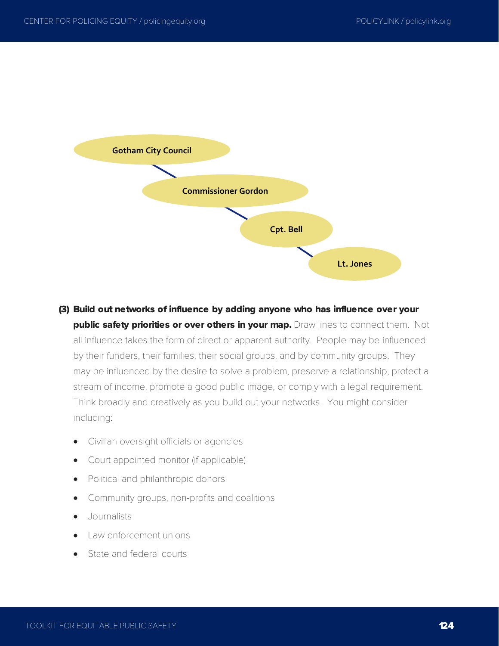

- (3) Build out networks of influence by adding anyone who has influence over your public safety priorities or over others in your map. Draw lines to connect them. Not all influence takes the form of direct or apparent authority. People may be influenced by their funders, their families, their social groups, and by community groups. They may be influenced by the desire to solve a problem, preserve a relationship, protect a stream of income, promote a good public image, or comply with a legal requirement. Think broadly and creatively as you build out your networks. You might consider including:
	- Civilian oversight officials or agencies
	- Court appointed monitor (if applicable)
	- Political and philanthropic donors
	- Community groups, non-profits and coalitions
	- Journalists
	- Law enforcement unions
	- State and federal courts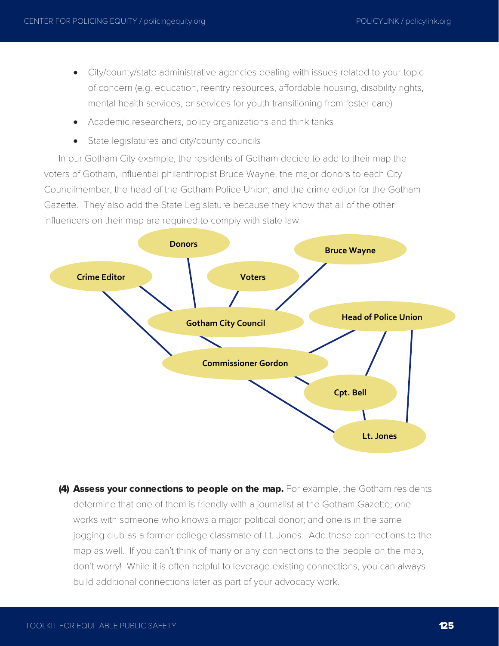- City/county/state administrative agencies dealing with issues related to your topic of concern (e.g. education, reentry resources, affordable housing, disability rights, mental health services, or services for youth transitioning from foster care)
- Academic researchers, policy organizations and think tanks
- State legislatures and city/county councils

In our Gotham City example, the residents of Gotham decide to add to their map the voters of Gotham, influential philanthropist Bruce Wayne, the major donors to each City Councilmember, the head of the Gotham Police Union, and the crime editor for the Gotham Gazette. They also add the State Legislature because they know that all of the other influencers on their map are required to comply with state law.



(4) Assess your connections to people on the map. For example, the Gotham residents determine that one of them is friendly with a journalist at the Gotham Gazette; one works with someone who knows a major political donor; and one is in the same jogging club as a former college classmate of Lt. Jones. Add these connections to the map as well. If you can't think of many or any connections to the people on the map, don't worry! While it is often helpful to leverage existing connections, you can always build additional connections later as part of your advocacy work.